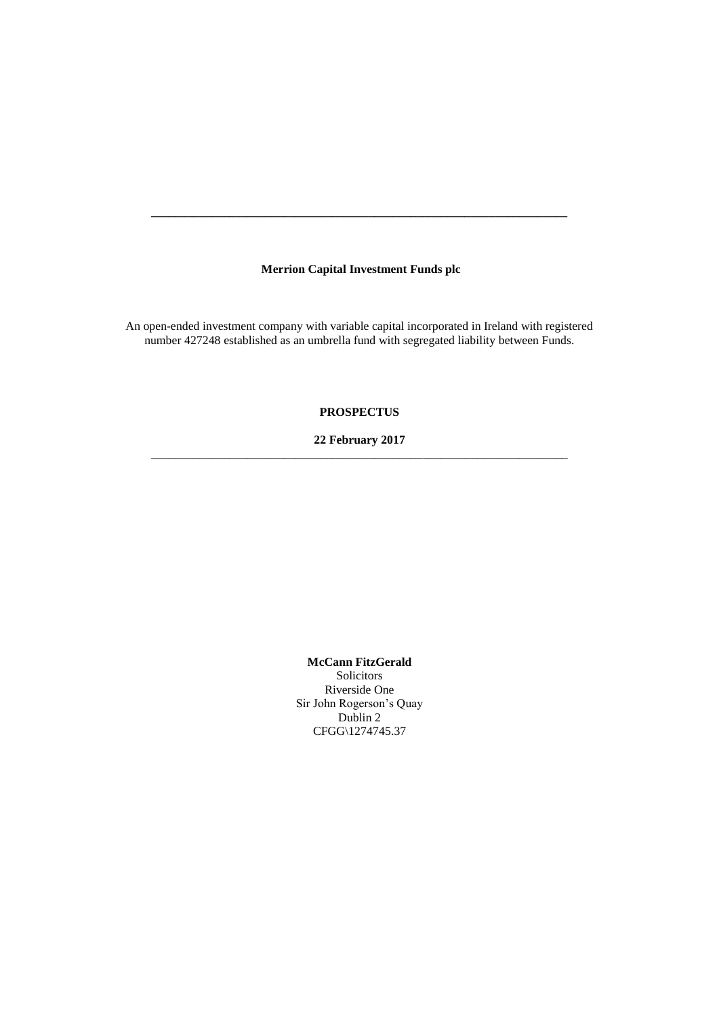# **Merrion Capital Investment Funds plc**

**\_\_\_\_\_\_\_\_\_\_\_\_\_\_\_\_\_\_\_\_\_\_\_\_\_\_\_\_\_\_\_\_\_\_\_\_\_\_\_\_\_\_\_\_\_\_\_\_\_\_\_\_\_\_\_\_\_\_\_\_\_\_\_\_\_\_\_\_\_**

An open-ended investment company with variable capital incorporated in Ireland with registered number 427248 established as an umbrella fund with segregated liability between Funds.

# **PROSPECTUS**

## **22 February 2017** \_\_\_\_\_\_\_\_\_\_\_\_\_\_\_\_\_\_\_\_\_\_\_\_\_\_\_\_\_\_\_\_\_\_\_\_\_\_\_\_\_\_\_\_\_\_\_\_\_\_\_\_\_\_\_\_\_\_\_\_\_\_\_\_\_\_\_\_\_

**McCann FitzGerald**

Solicitors Riverside One Sir John Rogerson's Quay Dublin 2 CFGG\1274745.37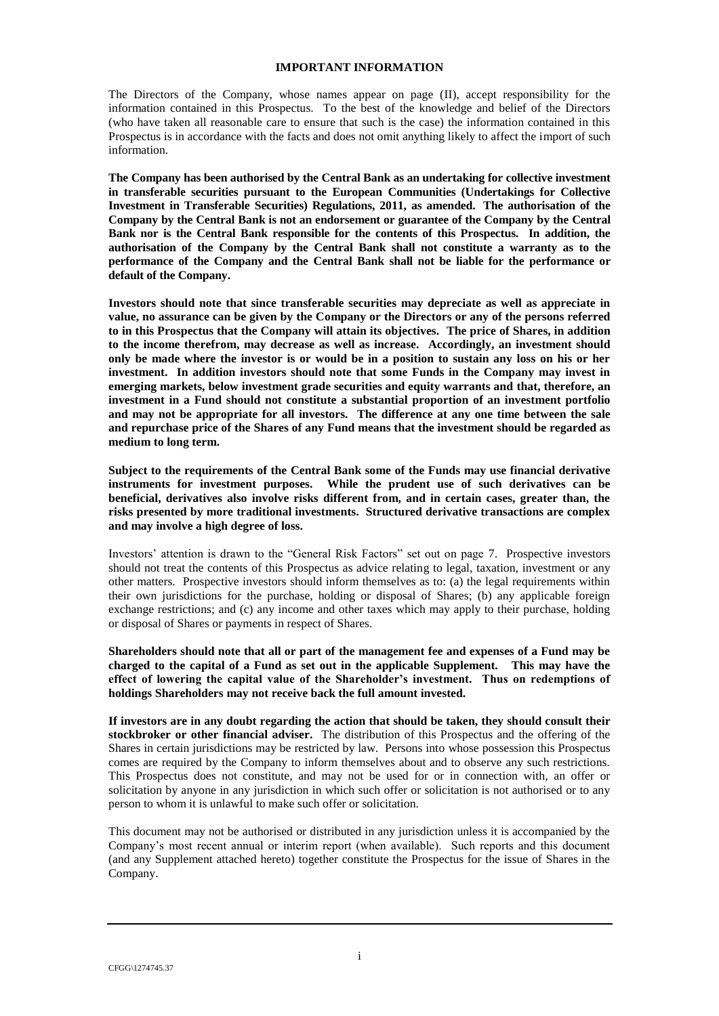### **IMPORTANT INFORMATION**

The Directors of the Company, whose names appear on page (II), accept responsibility for the information contained in this Prospectus. To the best of the knowledge and belief of the Directors (who have taken all reasonable care to ensure that such is the case) the information contained in this Prospectus is in accordance with the facts and does not omit anything likely to affect the import of such information.

**The Company has been authorised by the Central Bank as an undertaking for collective investment in transferable securities pursuant to the European Communities (Undertakings for Collective Investment in Transferable Securities) Regulations, 2011, as amended. The authorisation of the Company by the Central Bank is not an endorsement or guarantee of the Company by the Central Bank nor is the Central Bank responsible for the contents of this Prospectus. In addition, the authorisation of the Company by the Central Bank shall not constitute a warranty as to the performance of the Company and the Central Bank shall not be liable for the performance or default of the Company.**

**Investors should note that since transferable securities may depreciate as well as appreciate in value, no assurance can be given by the Company or the Directors or any of the persons referred to in this Prospectus that the Company will attain its objectives. The price of Shares, in addition to the income therefrom, may decrease as well as increase. Accordingly, an investment should only be made where the investor is or would be in a position to sustain any loss on his or her investment. In addition investors should note that some Funds in the Company may invest in emerging markets, below investment grade securities and equity warrants and that, therefore, an investment in a Fund should not constitute a substantial proportion of an investment portfolio and may not be appropriate for all investors. The difference at any one time between the sale and repurchase price of the Shares of any Fund means that the investment should be regarded as medium to long term.**

**Subject to the requirements of the Central Bank some of the Funds may use financial derivative instruments for investment purposes. While the prudent use of such derivatives can be beneficial, derivatives also involve risks different from, and in certain cases, greater than, the risks presented by more traditional investments. Structured derivative transactions are complex and may involve a high degree of loss.** 

Investors' attention is drawn to the "General Risk Factors" set out on page [7.](#page-21-0) Prospective investors should not treat the contents of this Prospectus as advice relating to legal, taxation, investment or any other matters. Prospective investors should inform themselves as to: (a) the legal requirements within their own jurisdictions for the purchase, holding or disposal of Shares; (b) any applicable foreign exchange restrictions; and (c) any income and other taxes which may apply to their purchase, holding or disposal of Shares or payments in respect of Shares.

**Shareholders should note that all or part of the management fee and expenses of a Fund may be charged to the capital of a Fund as set out in the applicable Supplement. This may have the effect of lowering the capital value of the Shareholder's investment. Thus on redemptions of holdings Shareholders may not receive back the full amount invested.**

**If investors are in any doubt regarding the action that should be taken, they should consult their stockbroker or other financial adviser.** The distribution of this Prospectus and the offering of the Shares in certain jurisdictions may be restricted by law. Persons into whose possession this Prospectus comes are required by the Company to inform themselves about and to observe any such restrictions. This Prospectus does not constitute, and may not be used for or in connection with, an offer or solicitation by anyone in any jurisdiction in which such offer or solicitation is not authorised or to any person to whom it is unlawful to make such offer or solicitation.

This document may not be authorised or distributed in any jurisdiction unless it is accompanied by the Company's most recent annual or interim report (when available). Such reports and this document (and any Supplement attached hereto) together constitute the Prospectus for the issue of Shares in the Company.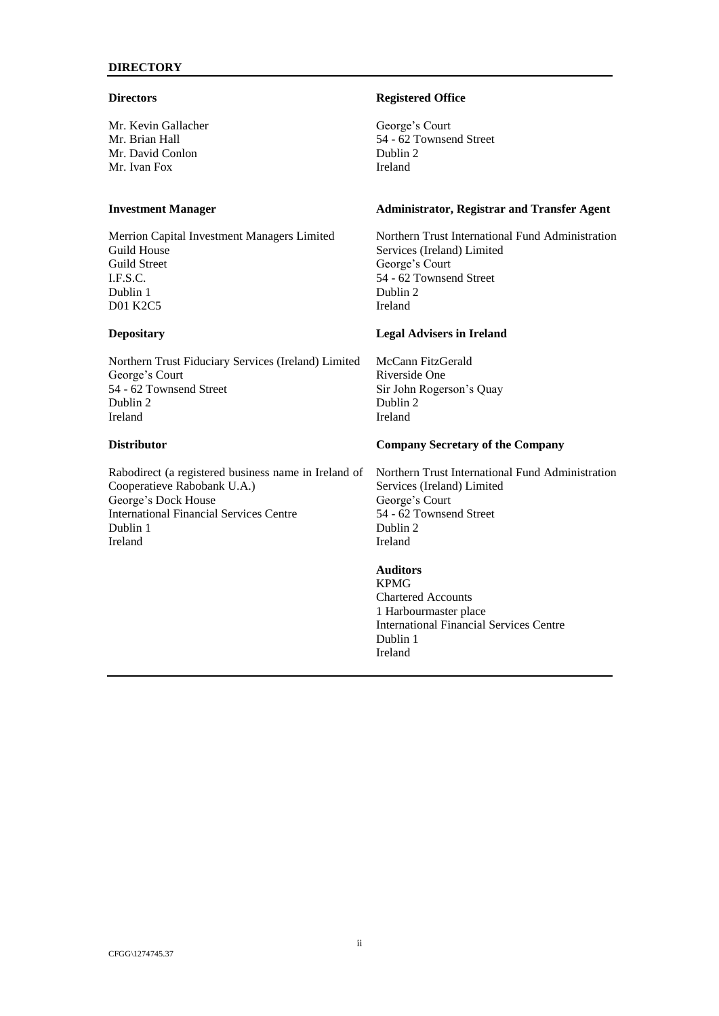## **DIRECTORY**

### **Directors**

Mr. Kevin Gallacher Mr. Brian Hall Mr. David Conlon Mr. Ivan Fox

# **Investment Manager**

Merrion Capital Investment Managers Limited Guild House Guild Street I.F.S.C. Dublin 1 D01 K2C5

### **Depositary**

Northern Trust Fiduciary Services (Ireland) Limited George's Court 54 - 62 Townsend Street Dublin 2 Ireland

# **Distributor**

Rabodirect (a registered business name in Ireland of Cooperatieve Rabobank U.A.) George's Dock House International Financial Services Centre Dublin 1 Ireland

### **Registered Office**

George's Court 54 - 62 Townsend Street Dublin 2 Ireland

## **Administrator, Registrar and Transfer Agent**

Northern Trust International Fund Administration Services (Ireland) Limited George's Court 54 - 62 Townsend Street Dublin 2 Ireland

## **Legal Advisers in Ireland**

McCann FitzGerald Riverside One Sir John Rogerson's Quay Dublin 2 Ireland

## **Company Secretary of the Company**

Northern Trust International Fund Administration Services (Ireland) Limited George's Court 54 - 62 Townsend Street Dublin 2 Ireland

### **Auditors**

KPMG Chartered Accounts 1 Harbourmaster place International Financial Services Centre Dublin 1 Ireland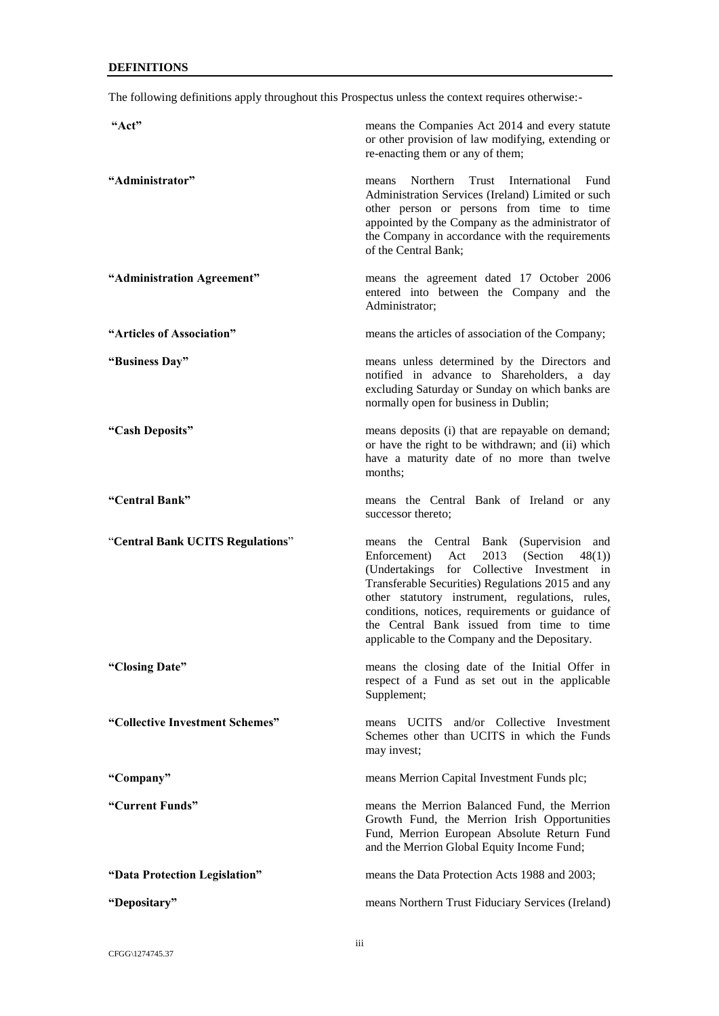The following definitions apply throughout this Prospectus unless the context requires otherwise:-

| "Act"                            | means the Companies Act 2014 and every statute<br>or other provision of law modifying, extending or<br>re-enacting them or any of them;                                                                                                                                        |
|----------------------------------|--------------------------------------------------------------------------------------------------------------------------------------------------------------------------------------------------------------------------------------------------------------------------------|
| "Administrator"                  | Trust International Fund<br>Northern<br>means<br>Administration Services (Ireland) Limited or such<br>other person or persons from time to time<br>appointed by the Company as the administrator of<br>the Company in accordance with the requirements<br>of the Central Bank; |
| "Administration Agreement"       | means the agreement dated 17 October 2006<br>entered into between the Company and the<br>Administrator;                                                                                                                                                                        |
| "Articles of Association"        | means the articles of association of the Company;                                                                                                                                                                                                                              |
| "Business Day"                   | means unless determined by the Directors and<br>notified in advance to Shareholders, a day<br>excluding Saturday or Sunday on which banks are<br>normally open for business in Dublin;                                                                                         |
| "Cash Deposits"                  | means deposits (i) that are repayable on demand;<br>or have the right to be withdrawn; and (ii) which<br>have a maturity date of no more than twelve<br>months:                                                                                                                |
| "Central Bank"                   | means the Central Bank of Ireland or any<br>successor thereto;                                                                                                                                                                                                                 |
| "Central Bank UCITS Regulations" | means the Central Bank (Supervision<br>and<br>2013<br>(Section)<br>48(1)<br>Enforcement)<br>Act<br>(Undertakings for Collective Investment in<br>Transferable Securities) Regulations 2015 and any<br>other statutory instrument, regulations, rules,                          |
|                                  | conditions, notices, requirements or guidance of<br>the Central Bank issued from time to time<br>applicable to the Company and the Depositary.                                                                                                                                 |
| "Closing Date"                   | means the closing date of the Initial Offer in<br>respect of a Fund as set out in the applicable<br>Supplement;                                                                                                                                                                |
| "Collective Investment Schemes"  | means UCITS and/or Collective Investment<br>Schemes other than UCITS in which the Funds<br>may invest;                                                                                                                                                                         |
| "Company"                        | means Merrion Capital Investment Funds plc;                                                                                                                                                                                                                                    |
| "Current Funds"                  | means the Merrion Balanced Fund, the Merrion<br>Growth Fund, the Merrion Irish Opportunities<br>Fund, Merrion European Absolute Return Fund<br>and the Merrion Global Equity Income Fund;                                                                                      |
| "Data Protection Legislation"    | means the Data Protection Acts 1988 and 2003;                                                                                                                                                                                                                                  |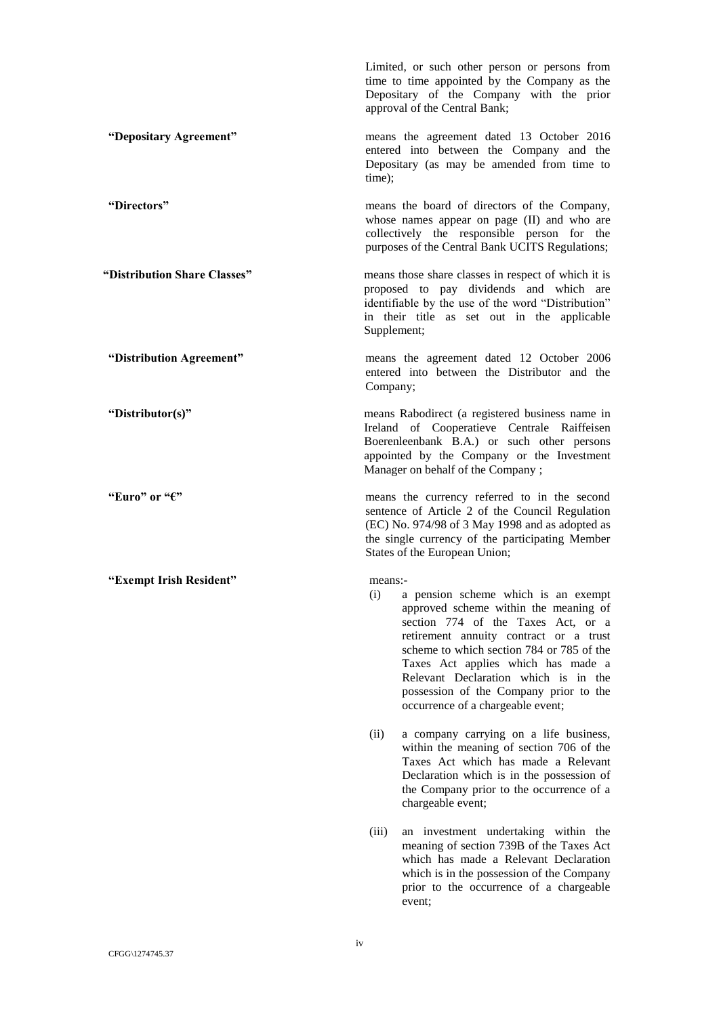Limited, or such other person or persons from time to time appointed by the Company as the Depositary of the Company with the prior approval of the Central Bank; **"Depositary Agreement"** means the agreement dated 13 October 2016 entered into between the Company and the Depositary (as may be amended from time to time); **"Directors"** means the board of directors of the Company, whose names appear on page (II) and who are collectively the responsible person for the purposes of the Central Bank UCITS Regulations; **"Distribution Share Classes"** means those share classes in respect of which it is proposed to pay dividends and which are identifiable by the use of the word "Distribution" in their title as set out in the applicable Supplement; **"Distribution Agreement"** means the agreement dated 12 October 2006 entered into between the Distributor and the Company; **"Distributor(s)"** means Rabodirect (a registered business name in Ireland of Cooperatieve Centrale Raiffeisen Boerenleenbank B.A.) or such other persons appointed by the Company or the Investment Manager on behalf of the Company ; **"Euro" or "€"** means the currency referred to in the second sentence of Article 2 of the Council Regulation (EC) No. 974/98 of 3 May 1998 and as adopted as the single currency of the participating Member States of the European Union; **"Exempt Irish Resident"** means:- (i) a pension scheme which is an exempt approved scheme within the meaning of section 774 of the Taxes Act, or a retirement annuity contract or a trust scheme to which section 784 or 785 of the Taxes Act applies which has made a Relevant Declaration which is in the possession of the Company prior to the occurrence of a chargeable event; (ii) a company carrying on a life business, within the meaning of section 706 of the Taxes Act which has made a Relevant Declaration which is in the possession of the Company prior to the occurrence of a chargeable event; (iii) an investment undertaking within the meaning of section 739B of the Taxes Act which has made a Relevant Declaration which is in the possession of the Company prior to the occurrence of a chargeable event;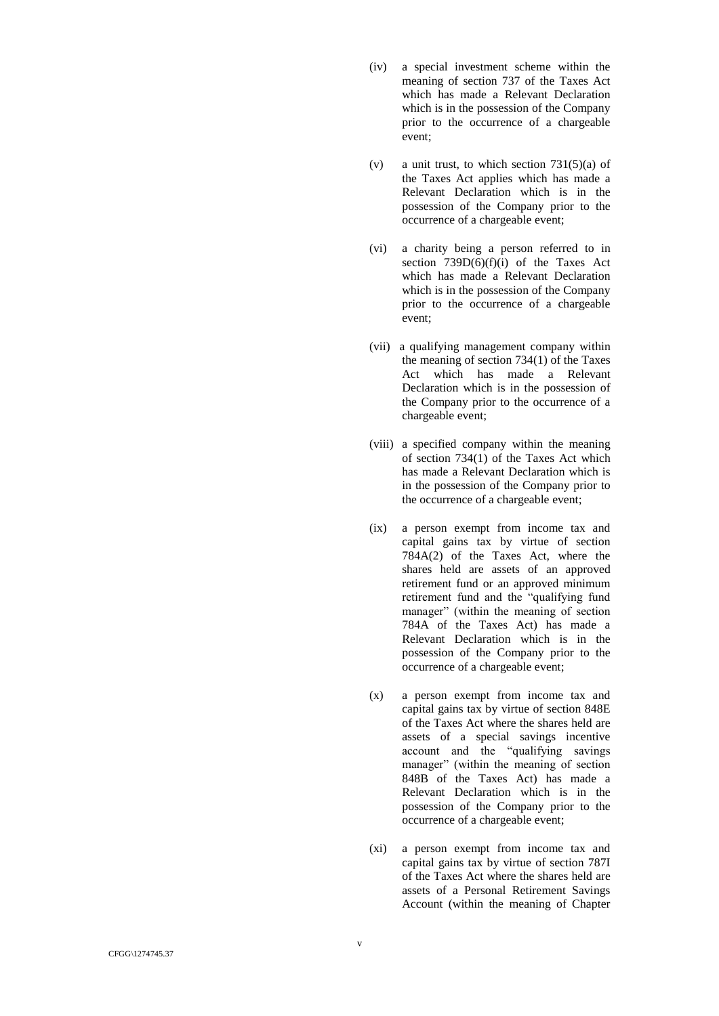- (iv) a special investment scheme within the meaning of section 737 of the Taxes Act which has made a Relevant Declaration which is in the possession of the Company prior to the occurrence of a chargeable event ;
- (v) a unit trust, to which section  $731(5)(a)$  of the Taxes Act applies which has made a Relevant Declaration which is in the possession of the Company prior to the occurrence of a chargeable event ;
- (vi) a charity being a person referred to in section  $739D(6)(f)(i)$  of the Taxes Act which has made a Relevant Declaration which is in the possession of the Company prior to the occurrence of a chargeable event ;
- (vii) a qualifying management company within the meaning of section 734(1) of the Taxes Act which has made a Relevant Declaration which is in the possession of the Company prior to the occurrence of a chargeable event ;
- (viii) a specified company within the meaning of section 734(1) of the Taxes Act which has made a Relevant Declaration which is in the possession of the Company prior to the occurrence of a chargeable event ;
- (ix) a person exempt from income tax and capital gains tax by virtue of section 784A(2) of the Taxes Act, where the shares held are assets of an approved retirement fund or an approved minimum retirement fund and the "qualifying fund manager" (within the meaning of section 784A of the Taxes Act) has made a Relevant Declaration which is in the possession of the Company prior to the occurrence of a chargeable event ;
- (x) a person exempt from income tax and capital gains tax by virtue of section 848E of the Taxes Act where the shares held are assets of a special savings incentive account and the "qualifying savings manager" (within the meaning of section 848B of the Taxes Act) has made a Relevant Declaration which is in the possession of the Company prior to the occurrence of a chargeable event ;
- (xi) a person exempt from income tax and capital gains tax by virtue of section 787I of the Taxes Act where the shares held are assets of a Personal Retirement Savings Account (within the meaning of Chapter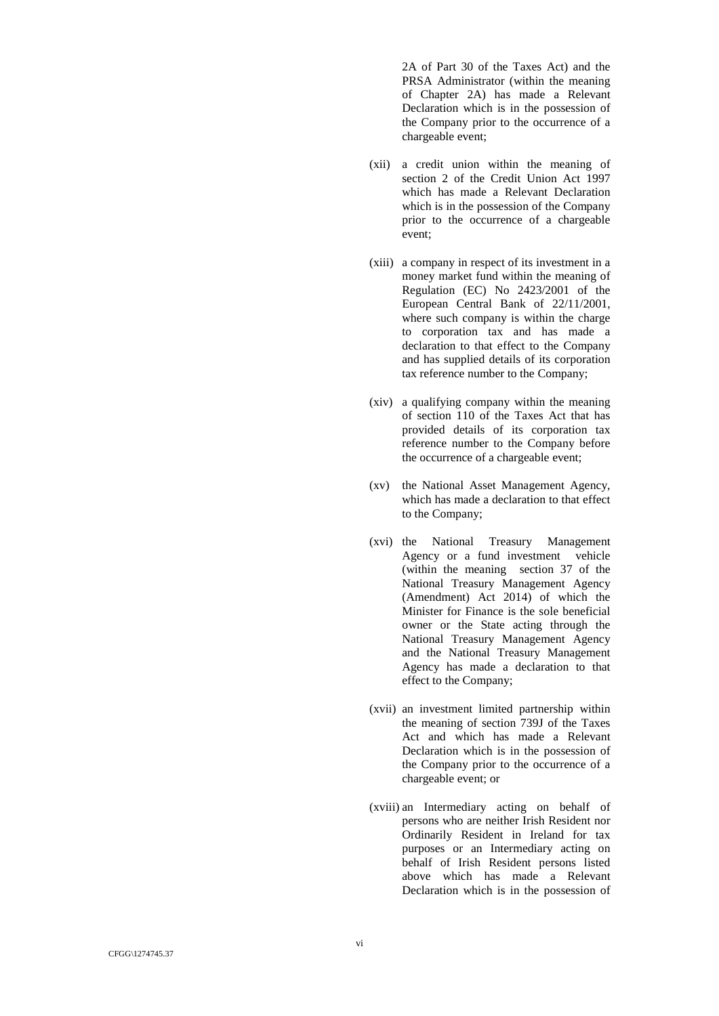2A of Part 30 of the Taxes Act) and the PRSA Administrator (within the meaning of Chapter 2A) has made a Relevant Declaration which is in the possession of the Company prior to the occurrence of a chargeable event;

- (xii) a credit union within the meaning of section 2 of the Credit Union Act 1997 which has made a Relevant Declaration which is in the possession of the Company prior to the occurrence of a chargeable event ;
- (xiii) a company in respect of its investment in a money market fund within the meaning of Regulation (EC) No 2423/2001 of the European Central Bank of 22/11/2001, where such company is within the charge to corporation tax and has made a declaration to that effect to the Company and has supplied details of its corporation tax reference number to the Company;
- (xiv) a qualifying company within the meaning of section 110 of the Taxes Act that has provided details of its corporation tax reference number to the Company before the occurrence of a chargeable event;
- (xv) the National Asset Management Agency, which has made a declaration to that effect to the Company;
- (xvi) the National Treasury Management Agency or a fund investment vehicle (within the meaning section 37 of the National Treasury Management Agency (Amendment) Act 2014) of which the Minister for Finance is the sole beneficial owner or the State acting through the National Treasury Management Agency and the National Treasury Management Agency has made a declaration to that effect to the Company;
- (xvii) an investment limited partnership within the meaning of section 739J of the Taxes Act and which has made a Relevant Declaration which is in the possession of the Company prior to the occurrence of a chargeable event; or
- (xviii) an Intermediary acting on behalf of persons who are neither Irish Resident nor Ordinarily Resident in Ireland for tax purposes or an Intermediary acting on behalf of Irish Resident persons listed above which has made a Relevant Declaration which is in the possession of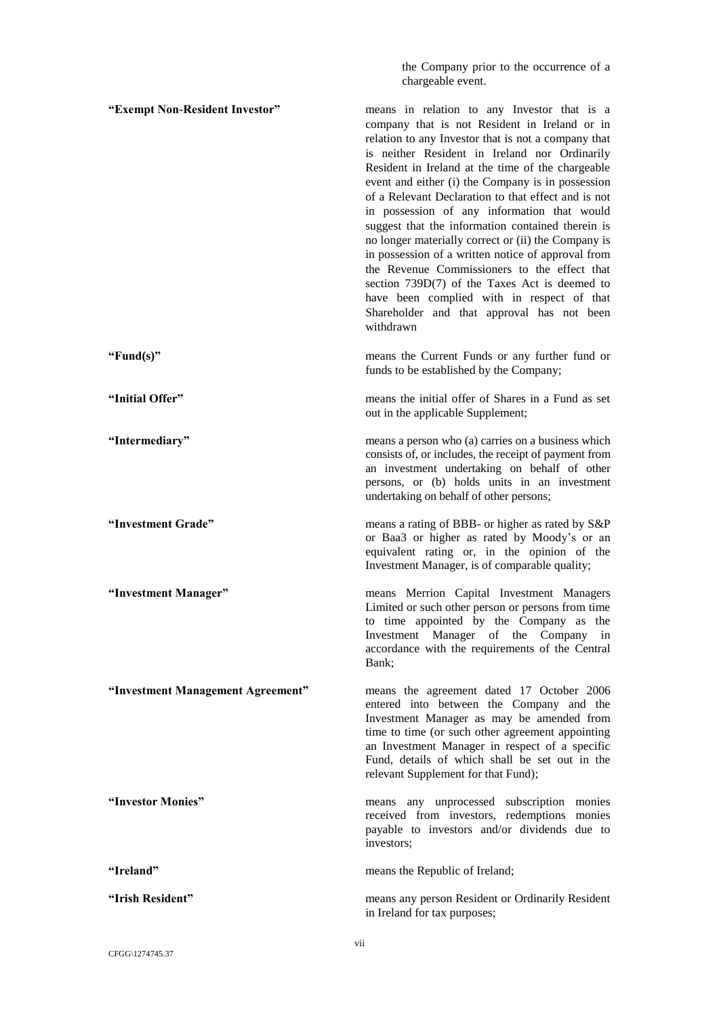the Company prior to the occurrence of a chargeable event.

**"Exempt Non-Resident Investor"** means in relation to any Investor that is a company that is not Resident in Ireland or in relation to any Investor that is not a company that is neither Resident in Ireland nor Ordinarily Resident in Ireland at the time of the chargeable event and either (i) the Company is in possession of a Relevant Declaration to that effect and is not in possession of any information that would suggest that the information contained therein is no longer materially correct or (ii) the Company is in possession of a written notice of approval from the Revenue Commissioners to the effect that section 739D(7) of the Taxes Act is deemed to have been complied with in respect of that Shareholder and that approval has not been withdrawn **"Fund(s)"** means the Current Funds or any further fund or funds to be established by the Company; **"Initial Offer"** means the initial offer of Shares in a Fund as set out in the applicable Supplement; **"Intermediary"** means a person who (a) carries on a business which consists of, or includes, the receipt of payment from an investment undertaking on behalf of other persons, or (b) holds units in an investment undertaking on behalf of other persons; **"Investment Grade"** means a rating of BBB- or higher as rated by S&P or Baa3 or higher as rated by Moody's or an equivalent rating or, in the opinion of the Investment Manager, is of comparable quality; **"Investment Manager"** means Merrion Capital Investment Managers Limited or such other person or persons from time to time appointed by the Company as the Investment Manager of the Company in accordance with the requirements of the Central Bank; **"Investment Management Agreement"** means the agreement dated 17 October 2006 entered into between the Company and the Investment Manager as may be amended from time to time (or such other agreement appointing an Investment Manager in respect of a specific Fund, details of which shall be set out in the relevant Supplement for that Fund); **"Investor Monies"** means any unprocessed subscription monies received from investors, redemptions monies payable to investors and/or dividends due to investors; **"Ireland"** means the Republic of Ireland; **"Irish Resident"** means any person Resident or Ordinarily Resident in Ireland for tax purposes;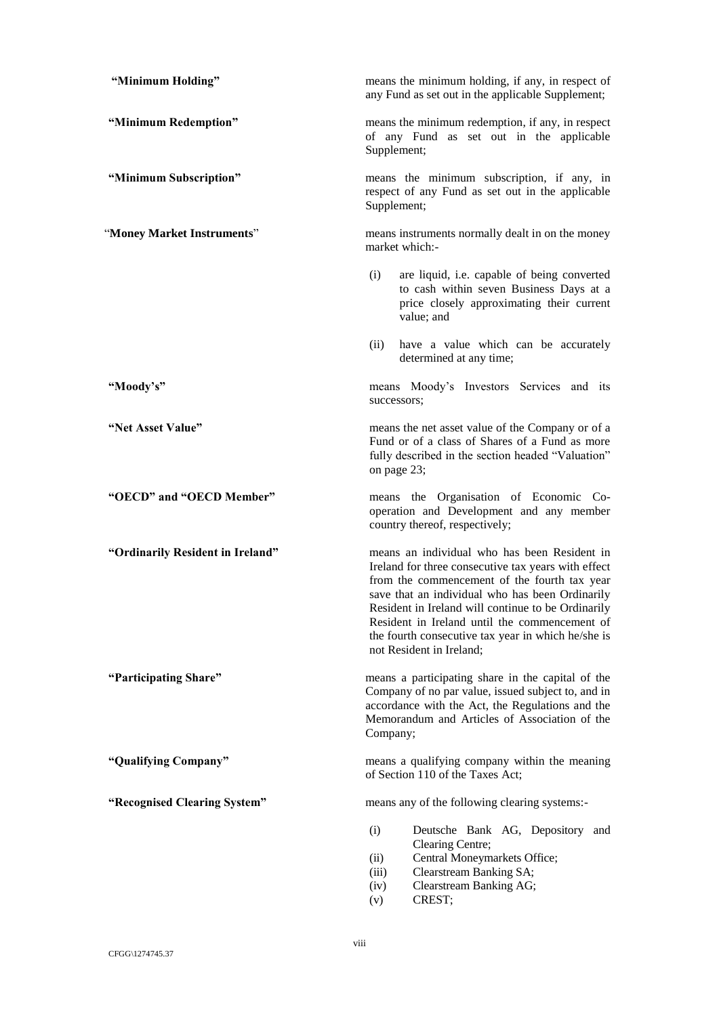| "Minimum Holding"                | means the minimum holding, if any, in respect of<br>any Fund as set out in the applicable Supplement;                                                                                                                                                                                                                                                                                           |
|----------------------------------|-------------------------------------------------------------------------------------------------------------------------------------------------------------------------------------------------------------------------------------------------------------------------------------------------------------------------------------------------------------------------------------------------|
| "Minimum Redemption"             | means the minimum redemption, if any, in respect<br>of any Fund as set out in the applicable<br>Supplement;                                                                                                                                                                                                                                                                                     |
| "Minimum Subscription"           | means the minimum subscription, if any, in<br>respect of any Fund as set out in the applicable<br>Supplement;                                                                                                                                                                                                                                                                                   |
| "Money Market Instruments"       | means instruments normally dealt in on the money<br>market which:-                                                                                                                                                                                                                                                                                                                              |
|                                  | are liquid, i.e. capable of being converted<br>(i)<br>to cash within seven Business Days at a<br>price closely approximating their current<br>value; and                                                                                                                                                                                                                                        |
|                                  | (ii)<br>have a value which can be accurately<br>determined at any time;                                                                                                                                                                                                                                                                                                                         |
| "Moody's"                        | means Moody's Investors Services and its<br>successors;                                                                                                                                                                                                                                                                                                                                         |
| "Net Asset Value"                | means the net asset value of the Company or of a<br>Fund or of a class of Shares of a Fund as more<br>fully described in the section headed "Valuation"<br>on page 23;                                                                                                                                                                                                                          |
| "OECD" and "OECD Member"         | means the Organisation of Economic Co-<br>operation and Development and any member<br>country thereof, respectively;                                                                                                                                                                                                                                                                            |
| "Ordinarily Resident in Ireland" | means an individual who has been Resident in<br>Ireland for three consecutive tax years with effect<br>from the commencement of the fourth tax year<br>save that an individual who has been Ordinarily<br>Resident in Ireland will continue to be Ordinarily<br>Resident in Ireland until the commencement of<br>the fourth consecutive tax year in which he/she is<br>not Resident in Ireland; |
| "Participating Share"            | means a participating share in the capital of the<br>Company of no par value, issued subject to, and in<br>accordance with the Act, the Regulations and the<br>Memorandum and Articles of Association of the<br>Company;                                                                                                                                                                        |
| "Qualifying Company"             | means a qualifying company within the meaning<br>of Section 110 of the Taxes Act;                                                                                                                                                                                                                                                                                                               |
| "Recognised Clearing System"     | means any of the following clearing systems:-                                                                                                                                                                                                                                                                                                                                                   |
|                                  | (i)<br>Deutsche Bank AG, Depository and<br>Clearing Centre;<br>Central Moneymarkets Office;<br>(ii)<br>Clearstream Banking SA;<br>(iii)<br>Clearstream Banking AG;<br>(iv)<br>CREST;<br>(v)                                                                                                                                                                                                     |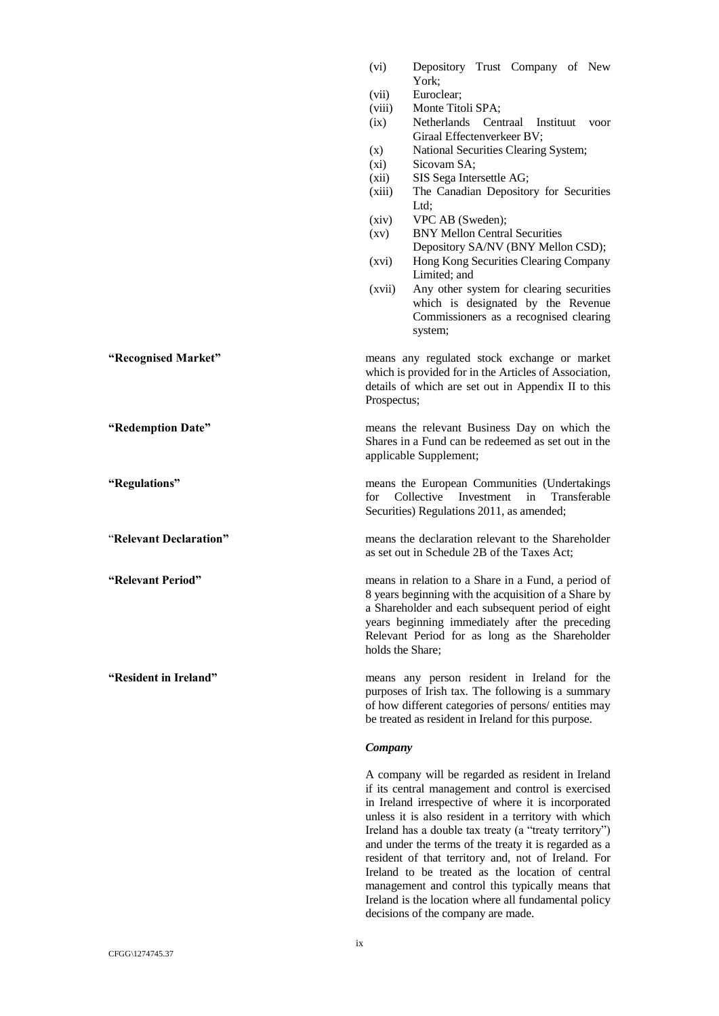|                        | (vi)             | Depository Trust Company of New<br>York;                                                                                                                                                                                                                                                                                                                                                                                                                                                                                                                                                               |
|------------------------|------------------|--------------------------------------------------------------------------------------------------------------------------------------------------------------------------------------------------------------------------------------------------------------------------------------------------------------------------------------------------------------------------------------------------------------------------------------------------------------------------------------------------------------------------------------------------------------------------------------------------------|
|                        | (vii)            | Euroclear;                                                                                                                                                                                                                                                                                                                                                                                                                                                                                                                                                                                             |
|                        | (viii)<br>(ix)   | Monte Titoli SPA;<br>Netherlands Centraal<br>Instituut voor<br>Giraal Effectenverkeer BV;                                                                                                                                                                                                                                                                                                                                                                                                                                                                                                              |
|                        | (x)              | National Securities Clearing System;                                                                                                                                                                                                                                                                                                                                                                                                                                                                                                                                                                   |
|                        | (xi)             | Sicovam SA;                                                                                                                                                                                                                                                                                                                                                                                                                                                                                                                                                                                            |
|                        | (xii)            | SIS Sega Intersettle AG;                                                                                                                                                                                                                                                                                                                                                                                                                                                                                                                                                                               |
|                        | (xiii)           | The Canadian Depository for Securities<br>Ltd;                                                                                                                                                                                                                                                                                                                                                                                                                                                                                                                                                         |
|                        | (xiv)            | VPC AB (Sweden);                                                                                                                                                                                                                                                                                                                                                                                                                                                                                                                                                                                       |
|                        | (xv)             | <b>BNY Mellon Central Securities</b>                                                                                                                                                                                                                                                                                                                                                                                                                                                                                                                                                                   |
|                        | (xvi)            | Depository SA/NV (BNY Mellon CSD);<br>Hong Kong Securities Clearing Company                                                                                                                                                                                                                                                                                                                                                                                                                                                                                                                            |
|                        | (xvii)           | Limited; and<br>Any other system for clearing securities                                                                                                                                                                                                                                                                                                                                                                                                                                                                                                                                               |
|                        |                  | which is designated by the Revenue<br>Commissioners as a recognised clearing                                                                                                                                                                                                                                                                                                                                                                                                                                                                                                                           |
|                        |                  | system;                                                                                                                                                                                                                                                                                                                                                                                                                                                                                                                                                                                                |
| "Recognised Market"    | Prospectus;      | means any regulated stock exchange or market<br>which is provided for in the Articles of Association,<br>details of which are set out in Appendix II to this                                                                                                                                                                                                                                                                                                                                                                                                                                           |
| "Redemption Date"      |                  | means the relevant Business Day on which the<br>Shares in a Fund can be redeemed as set out in the<br>applicable Supplement;                                                                                                                                                                                                                                                                                                                                                                                                                                                                           |
| "Regulations"          | for              | means the European Communities (Undertakings<br>Collective<br>Investment<br>Transferable<br>in<br>Securities) Regulations 2011, as amended;                                                                                                                                                                                                                                                                                                                                                                                                                                                            |
| "Relevant Declaration" |                  | means the declaration relevant to the Shareholder<br>as set out in Schedule 2B of the Taxes Act;                                                                                                                                                                                                                                                                                                                                                                                                                                                                                                       |
| "Relevant Period"      | holds the Share; | means in relation to a Share in a Fund, a period of<br>8 years beginning with the acquisition of a Share by<br>a Shareholder and each subsequent period of eight<br>years beginning immediately after the preceding<br>Relevant Period for as long as the Shareholder                                                                                                                                                                                                                                                                                                                                  |
| "Resident in Ireland"  |                  | means any person resident in Ireland for the<br>purposes of Irish tax. The following is a summary<br>of how different categories of persons/ entities may<br>be treated as resident in Ireland for this purpose.                                                                                                                                                                                                                                                                                                                                                                                       |
|                        | Company          |                                                                                                                                                                                                                                                                                                                                                                                                                                                                                                                                                                                                        |
|                        |                  | A company will be regarded as resident in Ireland<br>if its central management and control is exercised<br>in Ireland irrespective of where it is incorporated<br>unless it is also resident in a territory with which<br>Ireland has a double tax treaty (a "treaty territory")<br>and under the terms of the treaty it is regarded as a<br>resident of that territory and, not of Ireland. For<br>Ireland to be treated as the location of central<br>management and control this typically means that<br>Ireland is the location where all fundamental policy<br>decisions of the company are made. |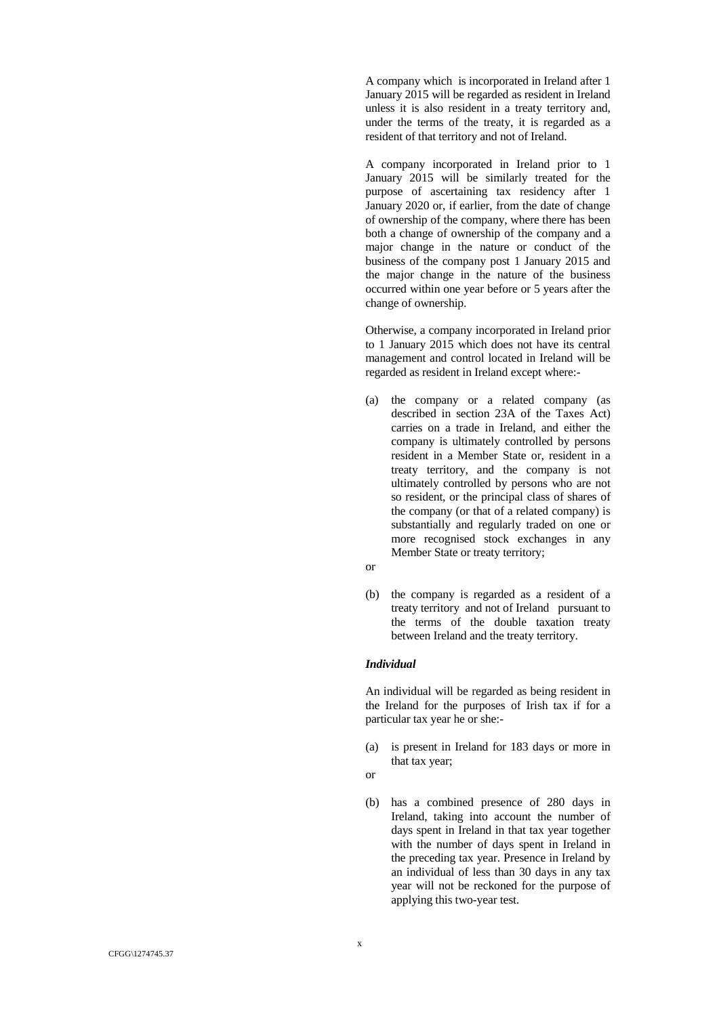A company which is incorporated in Ireland after 1 January 2015 will be regarded as resident in Ireland unless it is also resident in a treaty territory and, under the terms of the treaty, it is regarded as a resident of that territory and not of Ireland.

A company incorporated in Ireland prior to 1 January 2015 will be similarly treated for the purpose of ascertaining tax residency after 1 January 2020 or, if earlier, from the date of change of ownership of the company, where there has been both a change of ownership of the company and a major change in the nature or conduct of the business of the company post 1 January 2015 and the major change in the nature of the business occurred within one year before or 5 years after the change of ownership.

Otherwise, a company incorporated in Ireland prior to 1 January 2015 which does not have its central management and control located in Ireland will be regarded as resident in Ireland except where: -

- (a) the company or a related company (as described in section 23A of the Taxes Act) carries on a trade in Ireland, and either the company is ultimately controlled by persons resident in a Member State or, resident in a treaty territory, and the company is not ultimately controlled by persons who are not so resident, or the principal class of shares of the company (or that of a related company) is substantially and regularly traded on one or more recognised stock exchanges in any Member State or treaty territory;
- or
- (b) the company is regarded as a resident of a treaty territory and not of Ireland pursuant to the terms of the double taxation treaty between Ireland and the treaty territory.

### *Individual*

An individual will be regarded as being resident in the Ireland for the purposes of Irish tax if for a particular tax year he or she: -

- (a) is present in Ireland for 183 days or more in that tax year;
- o r
- (b) has a combined presence of 280 days in Ireland, taking into account the number of days spent in Ireland in that tax year together with the number of days spent in Ireland in the preceding tax year. Presence in Ireland by an individual of less than 30 days in any tax year will not be reckoned for the purpose of applying this two -year test.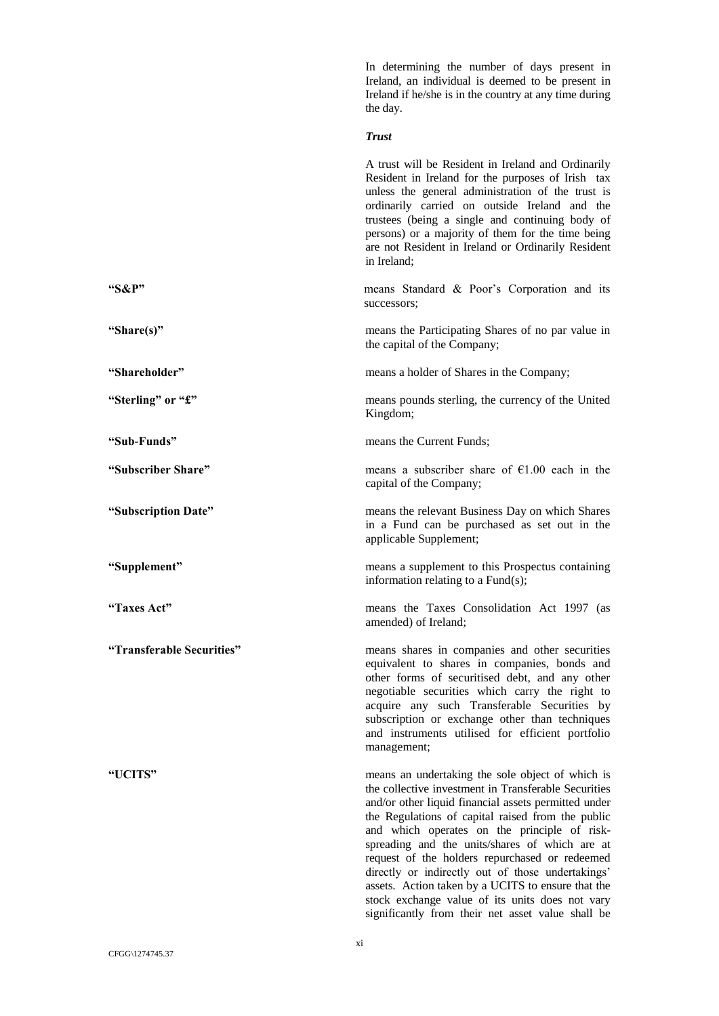|                           | In determining the number of days present in<br>Ireland, an individual is deemed to be present in<br>Ireland if he/she is in the country at any time during<br>the day.                                                                                                                                                                                                                                                                                                                                                                                                                      |
|---------------------------|----------------------------------------------------------------------------------------------------------------------------------------------------------------------------------------------------------------------------------------------------------------------------------------------------------------------------------------------------------------------------------------------------------------------------------------------------------------------------------------------------------------------------------------------------------------------------------------------|
|                           | <b>Trust</b>                                                                                                                                                                                                                                                                                                                                                                                                                                                                                                                                                                                 |
|                           | A trust will be Resident in Ireland and Ordinarily<br>Resident in Ireland for the purposes of Irish tax<br>unless the general administration of the trust is<br>ordinarily carried on outside Ireland and the<br>trustees (being a single and continuing body of<br>persons) or a majority of them for the time being<br>are not Resident in Ireland or Ordinarily Resident<br>in Ireland;                                                                                                                                                                                                   |
| " $S\&P"$                 | means Standard & Poor's Corporation and its<br>successors;                                                                                                                                                                                                                                                                                                                                                                                                                                                                                                                                   |
| "Share(s)"                | means the Participating Shares of no par value in<br>the capital of the Company;                                                                                                                                                                                                                                                                                                                                                                                                                                                                                                             |
| "Shareholder"             | means a holder of Shares in the Company;                                                                                                                                                                                                                                                                                                                                                                                                                                                                                                                                                     |
| "Sterling" or "£"         | means pounds sterling, the currency of the United<br>Kingdom;                                                                                                                                                                                                                                                                                                                                                                                                                                                                                                                                |
| "Sub-Funds"               | means the Current Funds;                                                                                                                                                                                                                                                                                                                                                                                                                                                                                                                                                                     |
| "Subscriber Share"        | means a subscriber share of $E1.00$ each in the<br>capital of the Company;                                                                                                                                                                                                                                                                                                                                                                                                                                                                                                                   |
| "Subscription Date"       | means the relevant Business Day on which Shares<br>in a Fund can be purchased as set out in the<br>applicable Supplement;                                                                                                                                                                                                                                                                                                                                                                                                                                                                    |
| "Supplement"              | means a supplement to this Prospectus containing<br>information relating to a $Fund(s)$ ;                                                                                                                                                                                                                                                                                                                                                                                                                                                                                                    |
| "Taxes Act"               | means the Taxes Consolidation Act 1997 (as<br>amended) of Ireland;                                                                                                                                                                                                                                                                                                                                                                                                                                                                                                                           |
| "Transferable Securities" | means shares in companies and other securities<br>equivalent to shares in companies, bonds and<br>other forms of securitised debt, and any other<br>negotiable securities which carry the right to<br>acquire any such Transferable Securities by<br>subscription or exchange other than techniques<br>and instruments utilised for efficient portfolio<br>management;                                                                                                                                                                                                                       |
| "UCITS"                   | means an undertaking the sole object of which is<br>the collective investment in Transferable Securities<br>and/or other liquid financial assets permitted under<br>the Regulations of capital raised from the public<br>and which operates on the principle of risk-<br>spreading and the units/shares of which are at<br>request of the holders repurchased or redeemed<br>directly or indirectly out of those undertakings'<br>assets. Action taken by a UCITS to ensure that the<br>stock exchange value of its units does not vary<br>significantly from their net asset value shall be |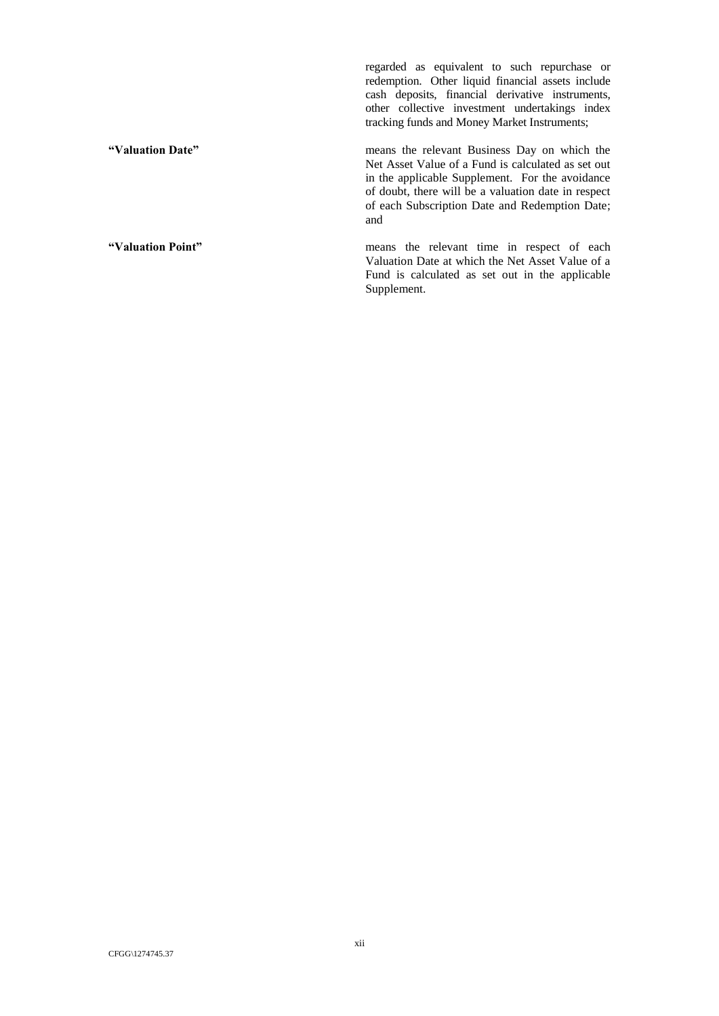regarded as equivalent to such repurchase or redemption. Other liquid financial assets include cash deposits, financial derivative instruments, other collective investment undertakings index tracking funds and Money Market Instruments;

**"Valuation Date"** means the relevant Business Day on which the Net Asset Value of a Fund is calculated as set out in the applicable Supplement. For the avoidance of doubt, there will be a valuation date in respect of each Subscription Date and Redemption Date; and

**"Valuation Point"** means the relevant time in respect of each Valuation Date at which the Net Asset Value of a Fund is calculated as set out in the applicable Supplement.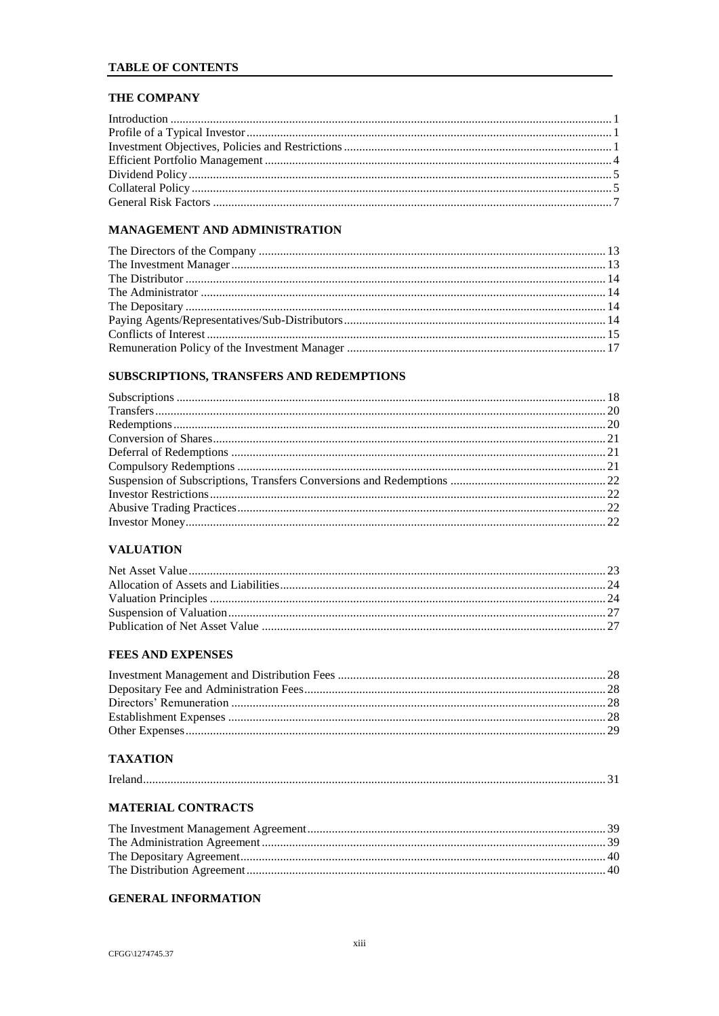# **TABLE OF CONTENTS**

# THE COMPANY

# MANAGEMENT AND ADMINISTRATION

# SUBSCRIPTIONS, TRANSFERS AND REDEMPTIONS

# **VALUATION**

# **FEES AND EXPENSES**

# **TAXATION**

|--|

# MATERIAL CONTRACTS

# **GENERAL INFORMATION**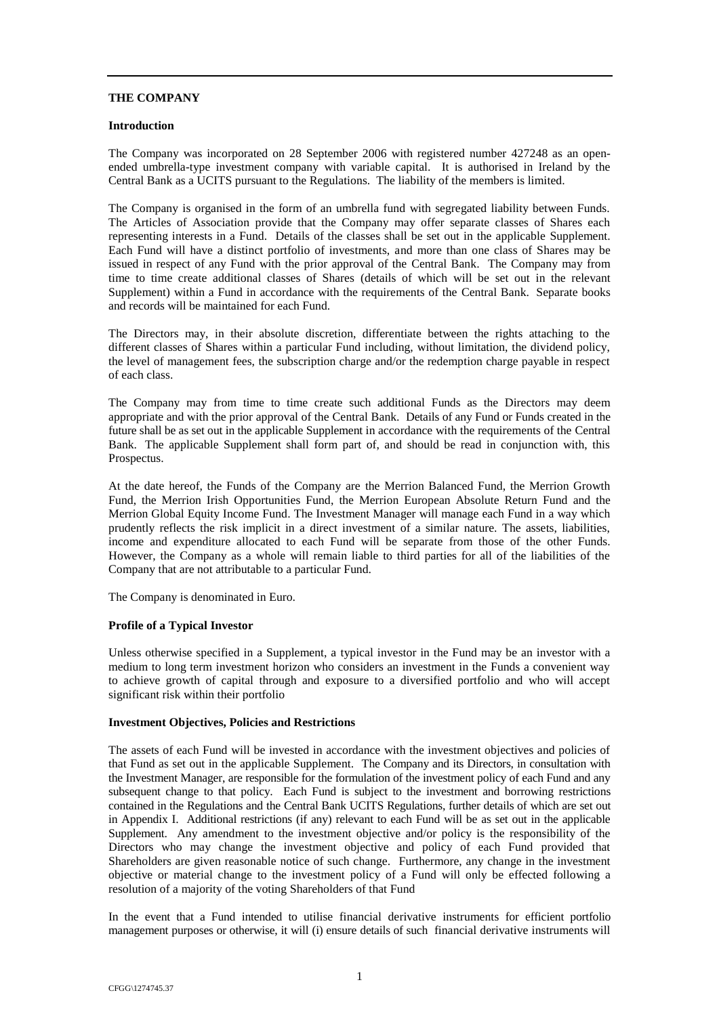## **THE COMPANY**

### <span id="page-15-0"></span>**Introduction**

The Company was incorporated on 28 September 2006 with registered number 427248 as an openended umbrella-type investment company with variable capital. It is authorised in Ireland by the Central Bank as a UCITS pursuant to the Regulations. The liability of the members is limited.

The Company is organised in the form of an umbrella fund with segregated liability between Funds. The Articles of Association provide that the Company may offer separate classes of Shares each representing interests in a Fund. Details of the classes shall be set out in the applicable Supplement. Each Fund will have a distinct portfolio of investments, and more than one class of Shares may be issued in respect of any Fund with the prior approval of the Central Bank. The Company may from time to time create additional classes of Shares (details of which will be set out in the relevant Supplement) within a Fund in accordance with the requirements of the Central Bank. Separate books and records will be maintained for each Fund.

The Directors may, in their absolute discretion, differentiate between the rights attaching to the different classes of Shares within a particular Fund including, without limitation, the dividend policy, the level of management fees, the subscription charge and/or the redemption charge payable in respect of each class.

The Company may from time to time create such additional Funds as the Directors may deem appropriate and with the prior approval of the Central Bank. Details of any Fund or Funds created in the future shall be as set out in the applicable Supplement in accordance with the requirements of the Central Bank. The applicable Supplement shall form part of, and should be read in conjunction with, this Prospectus.

At the date hereof, the Funds of the Company are the Merrion Balanced Fund, the Merrion Growth Fund, the Merrion Irish Opportunities Fund, the Merrion European Absolute Return Fund and the Merrion Global Equity Income Fund. The Investment Manager will manage each Fund in a way which prudently reflects the risk implicit in a direct investment of a similar nature. The assets, liabilities, income and expenditure allocated to each Fund will be separate from those of the other Funds. However, the Company as a whole will remain liable to third parties for all of the liabilities of the Company that are not attributable to a particular Fund.

The Company is denominated in Euro.

### <span id="page-15-1"></span>**Profile of a Typical Investor**

Unless otherwise specified in a Supplement, a typical investor in the Fund may be an investor with a medium to long term investment horizon who considers an investment in the Funds a convenient way to achieve growth of capital through and exposure to a diversified portfolio and who will accept significant risk within their portfolio

#### **Investment Objectives, Policies and Restrictions**

The assets of each Fund will be invested in accordance with the investment objectives and policies of that Fund as set out in the applicable Supplement. The Company and its Directors, in consultation with the Investment Manager, are responsible for the formulation of the investment policy of each Fund and any subsequent change to that policy. Each Fund is subject to the investment and borrowing restrictions contained in the Regulations and the Central Bank UCITS Regulations, further details of which are set out in Appendix I. Additional restrictions (if any) relevant to each Fund will be as set out in the applicable Supplement. Any amendment to the investment objective and/or policy is the responsibility of the Directors who may change the investment objective and policy of each Fund provided that Shareholders are given reasonable notice of such change. Furthermore, any change in the investment objective or material change to the investment policy of a Fund will only be effected following a resolution of a majority of the voting Shareholders of that Fund

In the event that a Fund intended to utilise financial derivative instruments for efficient portfolio management purposes or otherwise, it will (i) ensure details of such financial derivative instruments will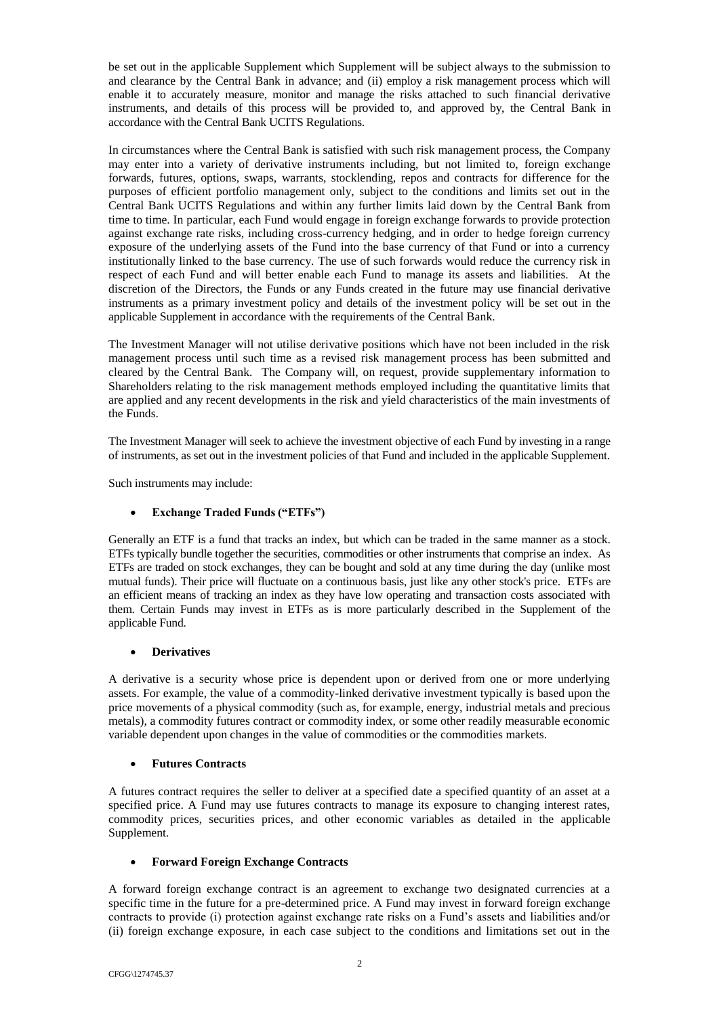be set out in the applicable Supplement which Supplement will be subject always to the submission to and clearance by the Central Bank in advance; and (ii) employ a risk management process which will enable it to accurately measure, monitor and manage the risks attached to such financial derivative instruments, and details of this process will be provided to, and approved by, the Central Bank in accordance with the Central Bank UCITS Regulations.

In circumstances where the Central Bank is satisfied with such risk management process, the Company may enter into a variety of derivative instruments including, but not limited to, foreign exchange forwards, futures, options, swaps, warrants, stocklending, repos and contracts for difference for the purposes of efficient portfolio management only, subject to the conditions and limits set out in the Central Bank UCITS Regulations and within any further limits laid down by the Central Bank from time to time. In particular, each Fund would engage in foreign exchange forwards to provide protection against exchange rate risks, including cross-currency hedging, and in order to hedge foreign currency exposure of the underlying assets of the Fund into the base currency of that Fund or into a currency institutionally linked to the base currency. The use of such forwards would reduce the currency risk in respect of each Fund and will better enable each Fund to manage its assets and liabilities. At the discretion of the Directors, the Funds or any Funds created in the future may use financial derivative instruments as a primary investment policy and details of the investment policy will be set out in the applicable Supplement in accordance with the requirements of the Central Bank.

The Investment Manager will not utilise derivative positions which have not been included in the risk management process until such time as a revised risk management process has been submitted and cleared by the Central Bank. The Company will, on request, provide supplementary information to Shareholders relating to the risk management methods employed including the quantitative limits that are applied and any recent developments in the risk and yield characteristics of the main investments of the Funds.

The Investment Manager will seek to achieve the investment objective of each Fund by investing in a range of instruments, as set out in the investment policies of that Fund and included in the applicable Supplement.

Such instruments may include:

# **Exchange Traded Funds ("ETFs")**

Generally an ETF is a fund that tracks an index, but which can be traded in the same manner as a stock. ETFs typically bundle together the securities, commodities or other instruments that comprise an index. As ETFs are traded on stock exchanges, they can be bought and sold at any time during the day (unlike most mutual funds). Their price will fluctuate on a continuous basis, just like any other stock's price. ETFs are an efficient means of tracking an index as they have low operating and transaction costs associated with them. Certain Funds may invest in ETFs as is more particularly described in the Supplement of the applicable Fund.

# **Derivatives**

A derivative is a security whose price is dependent upon or derived from one or more underlying assets. For example, the value of a commodity-linked derivative investment typically is based upon the price movements of a physical commodity (such as, for example, energy, industrial metals and precious metals), a commodity futures contract or commodity index, or some other readily measurable economic variable dependent upon changes in the value of commodities or the commodities markets.

# **Futures Contracts**

A futures contract requires the seller to deliver at a specified date a specified quantity of an asset at a specified price. A Fund may use futures contracts to manage its exposure to changing interest rates, commodity prices, securities prices, and other economic variables as detailed in the applicable Supplement.

# **Forward Foreign Exchange Contracts**

A forward foreign exchange contract is an agreement to exchange two designated currencies at a specific time in the future for a pre-determined price. A Fund may invest in forward foreign exchange contracts to provide (i) protection against exchange rate risks on a Fund's assets and liabilities and/or (ii) foreign exchange exposure, in each case subject to the conditions and limitations set out in the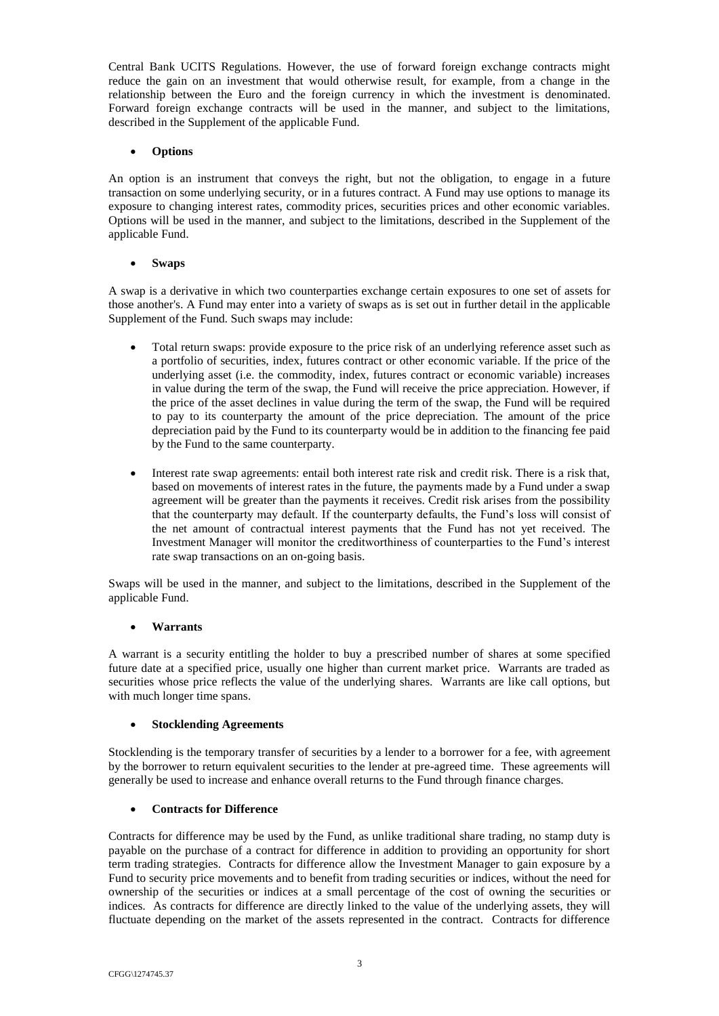Central Bank UCITS Regulations. However, the use of forward foreign exchange contracts might reduce the gain on an investment that would otherwise result, for example, from a change in the relationship between the Euro and the foreign currency in which the investment is denominated. Forward foreign exchange contracts will be used in the manner, and subject to the limitations, described in the Supplement of the applicable Fund.

# **Options**

An option is an instrument that conveys the right, but not the obligation, to engage in a future transaction on some underlying security, or in a futures contract. A Fund may use options to manage its exposure to changing interest rates, commodity prices, securities prices and other economic variables. Options will be used in the manner, and subject to the limitations, described in the Supplement of the applicable Fund.

# **Swaps**

A swap is a derivative in which two counterparties exchange certain exposures to one set of assets for those another's. A Fund may enter into a variety of swaps as is set out in further detail in the applicable Supplement of the Fund. Such swaps may include:

- Total return swaps: provide exposure to the price risk of an underlying reference asset such as a portfolio of securities, index, futures contract or other economic variable. If the price of the underlying asset (i.e. the commodity, index, futures contract or economic variable) increases in value during the term of the swap, the Fund will receive the price appreciation. However, if the price of the asset declines in value during the term of the swap, the Fund will be required to pay to its counterparty the amount of the price depreciation. The amount of the price depreciation paid by the Fund to its counterparty would be in addition to the financing fee paid by the Fund to the same counterparty.
- Interest rate swap agreements: entail both interest rate risk and credit risk. There is a risk that, based on movements of interest rates in the future, the payments made by a Fund under a swap agreement will be greater than the payments it receives. Credit risk arises from the possibility that the counterparty may default. If the counterparty defaults, the Fund's loss will consist of the net amount of contractual interest payments that the Fund has not yet received. The Investment Manager will monitor the creditworthiness of counterparties to the Fund's interest rate swap transactions on an on-going basis.

Swaps will be used in the manner, and subject to the limitations, described in the Supplement of the applicable Fund.

# **Warrants**

A warrant is a security entitling the holder to buy a prescribed number of shares at some specified future date at a specified price, usually one higher than current market price. Warrants are traded as securities whose price reflects the value of the underlying shares. Warrants are like call options, but with much longer time spans.

# **Stocklending Agreements**

Stocklending is the temporary transfer of securities by a lender to a borrower for a fee, with agreement by the borrower to return equivalent securities to the lender at pre-agreed time. These agreements will generally be used to increase and enhance overall returns to the Fund through finance charges.

# **Contracts for Difference**

Contracts for difference may be used by the Fund, as unlike traditional share trading, no stamp duty is payable on the purchase of a contract for difference in addition to providing an opportunity for short term trading strategies. Contracts for difference allow the Investment Manager to gain exposure by a Fund to security price movements and to benefit from trading securities or indices, without the need for ownership of the securities or indices at a small percentage of the cost of owning the securities or indices. As contracts for difference are directly linked to the value of the underlying assets, they will fluctuate depending on the market of the assets represented in the contract. Contracts for difference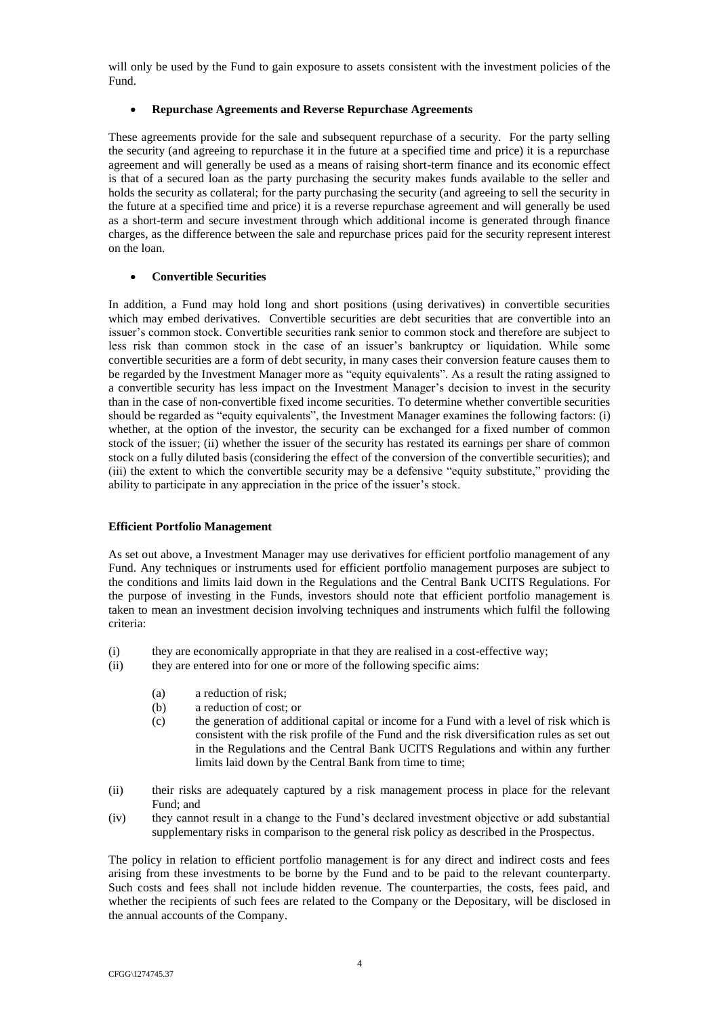will only be used by the Fund to gain exposure to assets consistent with the investment policies of the Fund.

## **Repurchase Agreements and Reverse Repurchase Agreements**

These agreements provide for the sale and subsequent repurchase of a security. For the party selling the security (and agreeing to repurchase it in the future at a specified time and price) it is a repurchase agreement and will generally be used as a means of raising short-term finance and its economic effect is that of a secured loan as the party purchasing the security makes funds available to the seller and holds the security as collateral; for the party purchasing the security (and agreeing to sell the security in the future at a specified time and price) it is a reverse repurchase agreement and will generally be used as a short-term and secure investment through which additional income is generated through finance charges, as the difference between the sale and repurchase prices paid for the security represent interest on the loan.

# **Convertible Securities**

In addition, a Fund may hold long and short positions (using derivatives) in convertible securities which may embed derivatives. Convertible securities are debt securities that are convertible into an issuer's common stock. Convertible securities rank senior to common stock and therefore are subject to less risk than common stock in the case of an issuer's bankruptcy or liquidation. While some convertible securities are a form of debt security, in many cases their conversion feature causes them to be regarded by the Investment Manager more as "equity equivalents". As a result the rating assigned to a convertible security has less impact on the Investment Manager's decision to invest in the security than in the case of non-convertible fixed income securities. To determine whether convertible securities should be regarded as "equity equivalents", the Investment Manager examines the following factors: (i) whether, at the option of the investor, the security can be exchanged for a fixed number of common stock of the issuer; (ii) whether the issuer of the security has restated its earnings per share of common stock on a fully diluted basis (considering the effect of the conversion of the convertible securities); and (iii) the extent to which the convertible security may be a defensive "equity substitute," providing the ability to participate in any appreciation in the price of the issuer's stock.

### <span id="page-18-0"></span>**Efficient Portfolio Management**

As set out above, a Investment Manager may use derivatives for efficient portfolio management of any Fund. Any techniques or instruments used for efficient portfolio management purposes are subject to the conditions and limits laid down in the Regulations and the Central Bank UCITS Regulations. For the purpose of investing in the Funds, investors should note that efficient portfolio management is taken to mean an investment decision involving techniques and instruments which fulfil the following criteria:

- (i) they are economically appropriate in that they are realised in a cost-effective way;
- (ii) they are entered into for one or more of the following specific aims:
	- (a) a reduction of risk;
	- (b) a reduction of cost; or
	- (c) the generation of additional capital or income for a Fund with a level of risk which is consistent with the risk profile of the Fund and the risk diversification rules as set out in the Regulations and the Central Bank UCITS Regulations and within any further limits laid down by the Central Bank from time to time;
- (ii) their risks are adequately captured by a risk management process in place for the relevant Fund; and
- (iv) they cannot result in a change to the Fund's declared investment objective or add substantial supplementary risks in comparison to the general risk policy as described in the Prospectus.

The policy in relation to efficient portfolio management is for any direct and indirect costs and fees arising from these investments to be borne by the Fund and to be paid to the relevant counterparty. Such costs and fees shall not include hidden revenue. The counterparties, the costs, fees paid, and whether the recipients of such fees are related to the Company or the Depositary, will be disclosed in the annual accounts of the Company.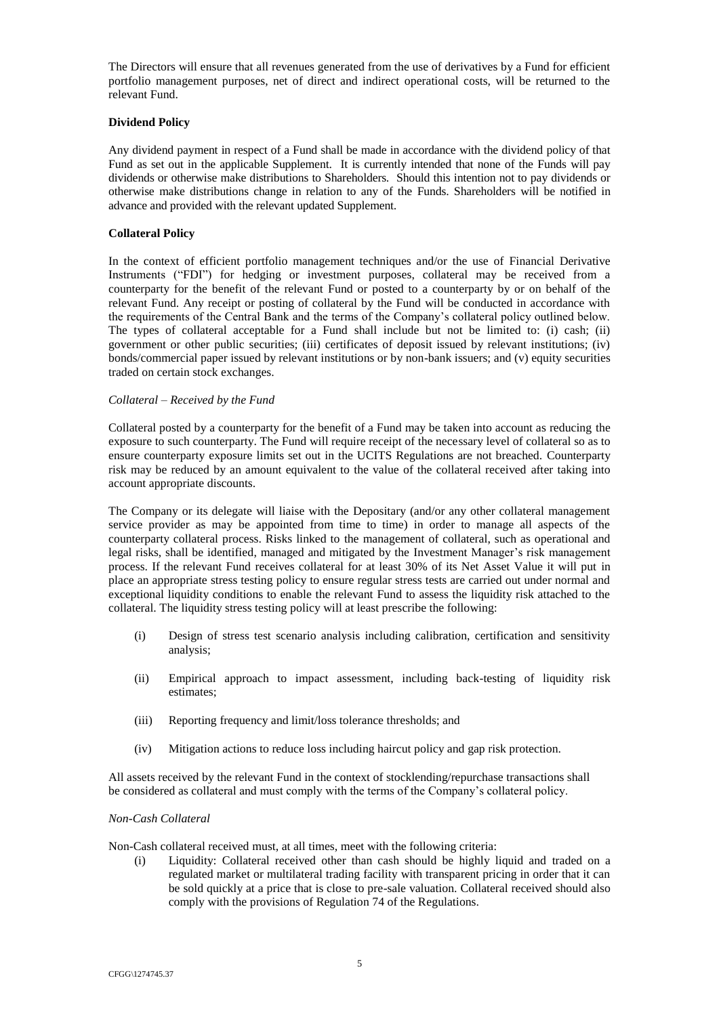The Directors will ensure that all revenues generated from the use of derivatives by a Fund for efficient portfolio management purposes, net of direct and indirect operational costs, will be returned to the relevant Fund.

# <span id="page-19-0"></span>**Dividend Policy**

Any dividend payment in respect of a Fund shall be made in accordance with the dividend policy of that Fund as set out in the applicable Supplement. It is currently intended that none of the Funds will pay dividends or otherwise make distributions to Shareholders. Should this intention not to pay dividends or otherwise make distributions change in relation to any of the Funds. Shareholders will be notified in advance and provided with the relevant updated Supplement.

### <span id="page-19-1"></span>**Collateral Policy**

In the context of efficient portfolio management techniques and/or the use of Financial Derivative Instruments ("FDI") for hedging or investment purposes, collateral may be received from a counterparty for the benefit of the relevant Fund or posted to a counterparty by or on behalf of the relevant Fund. Any receipt or posting of collateral by the Fund will be conducted in accordance with the requirements of the Central Bank and the terms of the Company's collateral policy outlined below. The types of collateral acceptable for a Fund shall include but not be limited to: (i) cash; (ii) government or other public securities; (iii) certificates of deposit issued by relevant institutions; (iv) bonds/commercial paper issued by relevant institutions or by non-bank issuers; and (v) equity securities traded on certain stock exchanges.

### *Collateral – Received by the Fund*

Collateral posted by a counterparty for the benefit of a Fund may be taken into account as reducing the exposure to such counterparty. The Fund will require receipt of the necessary level of collateral so as to ensure counterparty exposure limits set out in the UCITS Regulations are not breached. Counterparty risk may be reduced by an amount equivalent to the value of the collateral received after taking into account appropriate discounts.

The Company or its delegate will liaise with the Depositary (and/or any other collateral management service provider as may be appointed from time to time) in order to manage all aspects of the counterparty collateral process. Risks linked to the management of collateral, such as operational and legal risks, shall be identified, managed and mitigated by the Investment Manager's risk management process. If the relevant Fund receives collateral for at least 30% of its Net Asset Value it will put in place an appropriate stress testing policy to ensure regular stress tests are carried out under normal and exceptional liquidity conditions to enable the relevant Fund to assess the liquidity risk attached to the collateral. The liquidity stress testing policy will at least prescribe the following:

- (i) Design of stress test scenario analysis including calibration, certification and sensitivity analysis;
- (ii) Empirical approach to impact assessment, including back-testing of liquidity risk estimates;
- (iii) Reporting frequency and limit/loss tolerance thresholds; and
- (iv) Mitigation actions to reduce loss including haircut policy and gap risk protection.

All assets received by the relevant Fund in the context of stocklending/repurchase transactions shall be considered as collateral and must comply with the terms of the Company's collateral policy.

### *Non-Cash Collateral*

Non-Cash collateral received must, at all times, meet with the following criteria:

(i) Liquidity: Collateral received other than cash should be highly liquid and traded on a regulated market or multilateral trading facility with transparent pricing in order that it can be sold quickly at a price that is close to pre-sale valuation. Collateral received should also comply with the provisions of Regulation 74 of the Regulations.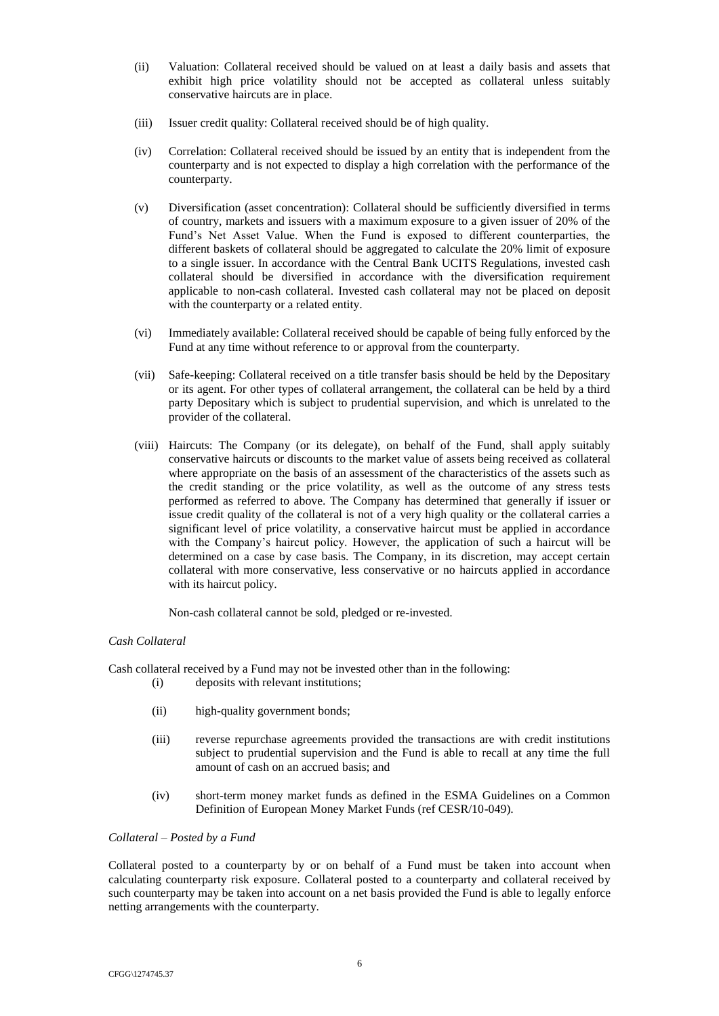- (ii) Valuation: Collateral received should be valued on at least a daily basis and assets that exhibit high price volatility should not be accepted as collateral unless suitably conservative haircuts are in place.
- (iii) Issuer credit quality: Collateral received should be of high quality.
- (iv) Correlation: Collateral received should be issued by an entity that is independent from the counterparty and is not expected to display a high correlation with the performance of the counterparty.
- (v) Diversification (asset concentration): Collateral should be sufficiently diversified in terms of country, markets and issuers with a maximum exposure to a given issuer of 20% of the Fund's Net Asset Value. When the Fund is exposed to different counterparties, the different baskets of collateral should be aggregated to calculate the 20% limit of exposure to a single issuer. In accordance with the Central Bank UCITS Regulations, invested cash collateral should be diversified in accordance with the diversification requirement applicable to non-cash collateral. Invested cash collateral may not be placed on deposit with the counterparty or a related entity.
- (vi) Immediately available: Collateral received should be capable of being fully enforced by the Fund at any time without reference to or approval from the counterparty.
- (vii) Safe-keeping: Collateral received on a title transfer basis should be held by the Depositary or its agent. For other types of collateral arrangement, the collateral can be held by a third party Depositary which is subject to prudential supervision, and which is unrelated to the provider of the collateral.
- (viii) Haircuts: The Company (or its delegate), on behalf of the Fund, shall apply suitably conservative haircuts or discounts to the market value of assets being received as collateral where appropriate on the basis of an assessment of the characteristics of the assets such as the credit standing or the price volatility, as well as the outcome of any stress tests performed as referred to above. The Company has determined that generally if issuer or issue credit quality of the collateral is not of a very high quality or the collateral carries a significant level of price volatility, a conservative haircut must be applied in accordance with the Company's haircut policy. However, the application of such a haircut will be determined on a case by case basis. The Company, in its discretion, may accept certain collateral with more conservative, less conservative or no haircuts applied in accordance with its haircut policy.

Non-cash collateral cannot be sold, pledged or re-invested.

### *Cash Collateral*

Cash collateral received by a Fund may not be invested other than in the following:

- (i) deposits with relevant institutions;
- (ii) high-quality government bonds;
- (iii) reverse repurchase agreements provided the transactions are with credit institutions subject to prudential supervision and the Fund is able to recall at any time the full amount of cash on an accrued basis; and
- (iv) short-term money market funds as defined in the ESMA Guidelines on a Common Definition of European Money Market Funds (ref CESR/10-049).

# *Collateral – Posted by a Fund*

Collateral posted to a counterparty by or on behalf of a Fund must be taken into account when calculating counterparty risk exposure. Collateral posted to a counterparty and collateral received by such counterparty may be taken into account on a net basis provided the Fund is able to legally enforce netting arrangements with the counterparty.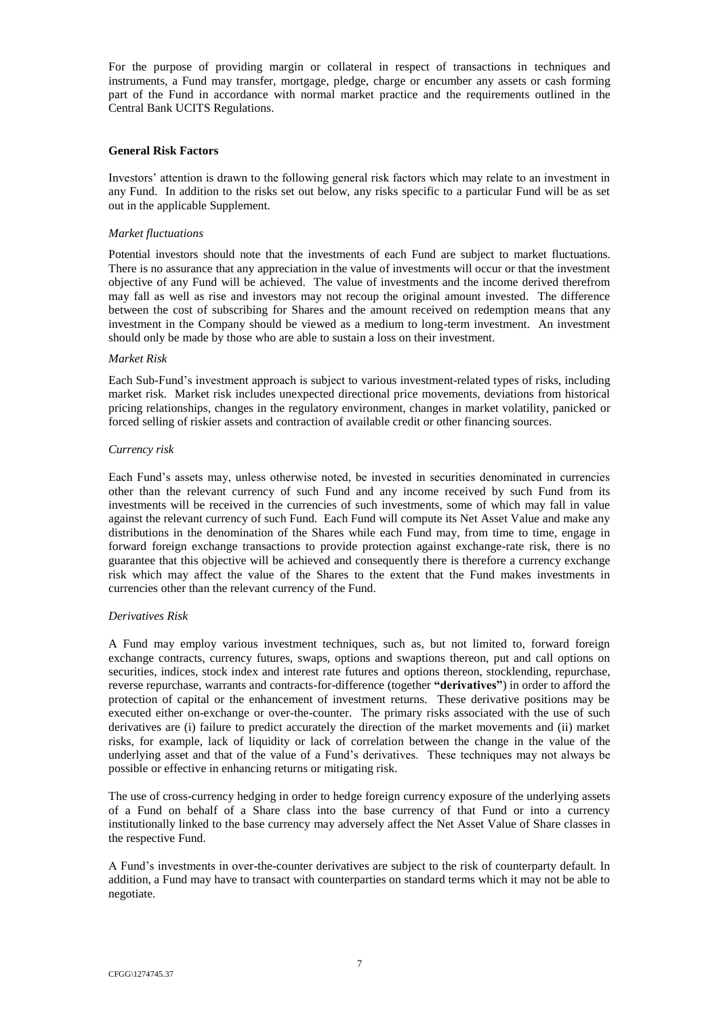For the purpose of providing margin or collateral in respect of transactions in techniques and instruments, a Fund may transfer, mortgage, pledge, charge or encumber any assets or cash forming part of the Fund in accordance with normal market practice and the requirements outlined in the Central Bank UCITS Regulations.

### <span id="page-21-0"></span>**General Risk Factors**

Investors' attention is drawn to the following general risk factors which may relate to an investment in any Fund. In addition to the risks set out below, any risks specific to a particular Fund will be as set out in the applicable Supplement.

### *Market fluctuations*

Potential investors should note that the investments of each Fund are subject to market fluctuations. There is no assurance that any appreciation in the value of investments will occur or that the investment objective of any Fund will be achieved. The value of investments and the income derived therefrom may fall as well as rise and investors may not recoup the original amount invested. The difference between the cost of subscribing for Shares and the amount received on redemption means that any investment in the Company should be viewed as a medium to long-term investment. An investment should only be made by those who are able to sustain a loss on their investment.

#### *Market Risk*

Each Sub-Fund's investment approach is subject to various investment-related types of risks, including market risk. Market risk includes unexpected directional price movements, deviations from historical pricing relationships, changes in the regulatory environment, changes in market volatility, panicked or forced selling of riskier assets and contraction of available credit or other financing sources.

#### *Currency risk*

Each Fund's assets may, unless otherwise noted, be invested in securities denominated in currencies other than the relevant currency of such Fund and any income received by such Fund from its investments will be received in the currencies of such investments, some of which may fall in value against the relevant currency of such Fund. Each Fund will compute its Net Asset Value and make any distributions in the denomination of the Shares while each Fund may, from time to time, engage in forward foreign exchange transactions to provide protection against exchange-rate risk, there is no guarantee that this objective will be achieved and consequently there is therefore a currency exchange risk which may affect the value of the Shares to the extent that the Fund makes investments in currencies other than the relevant currency of the Fund.

### *Derivatives Risk*

A Fund may employ various investment techniques, such as, but not limited to, forward foreign exchange contracts, currency futures, swaps, options and swaptions thereon, put and call options on securities, indices, stock index and interest rate futures and options thereon, stocklending, repurchase, reverse repurchase, warrants and contracts-for-difference (together **"derivatives"**) in order to afford the protection of capital or the enhancement of investment returns. These derivative positions may be executed either on-exchange or over-the-counter. The primary risks associated with the use of such derivatives are (i) failure to predict accurately the direction of the market movements and (ii) market risks, for example, lack of liquidity or lack of correlation between the change in the value of the underlying asset and that of the value of a Fund's derivatives. These techniques may not always be possible or effective in enhancing returns or mitigating risk.

The use of cross-currency hedging in order to hedge foreign currency exposure of the underlying assets of a Fund on behalf of a Share class into the base currency of that Fund or into a currency institutionally linked to the base currency may adversely affect the Net Asset Value of Share classes in the respective Fund.

A Fund's investments in over-the-counter derivatives are subject to the risk of counterparty default. In addition, a Fund may have to transact with counterparties on standard terms which it may not be able to negotiate.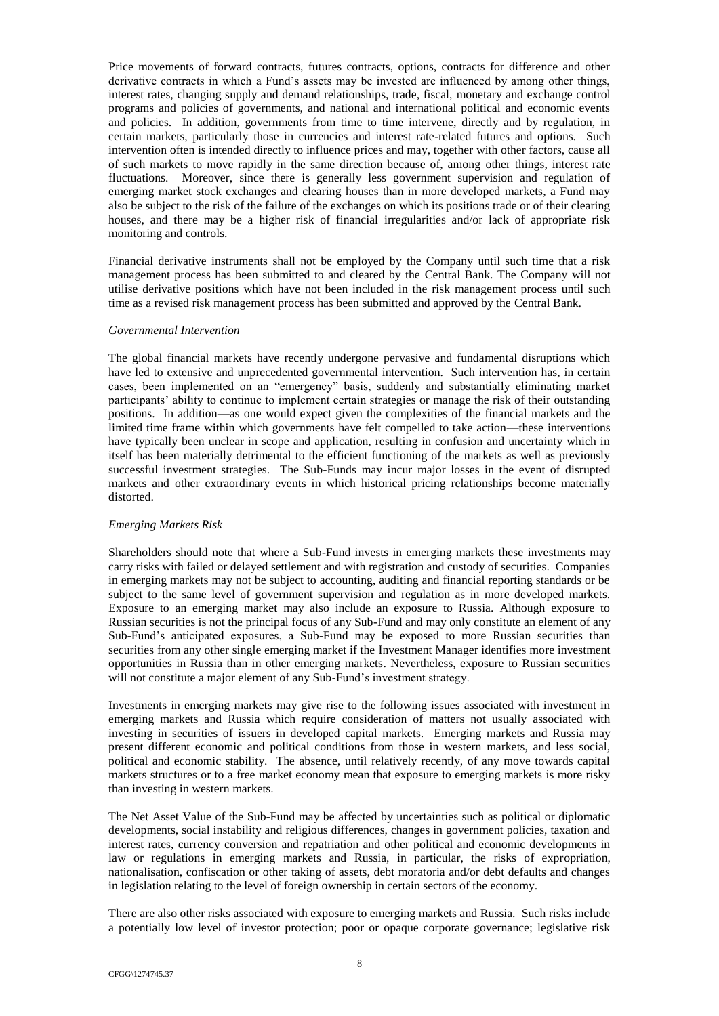Price movements of forward contracts, futures contracts, options, contracts for difference and other derivative contracts in which a Fund's assets may be invested are influenced by among other things, interest rates, changing supply and demand relationships, trade, fiscal, monetary and exchange control programs and policies of governments, and national and international political and economic events and policies. In addition, governments from time to time intervene, directly and by regulation, in certain markets, particularly those in currencies and interest rate-related futures and options. Such intervention often is intended directly to influence prices and may, together with other factors, cause all of such markets to move rapidly in the same direction because of, among other things, interest rate fluctuations. Moreover, since there is generally less government supervision and regulation of emerging market stock exchanges and clearing houses than in more developed markets, a Fund may also be subject to the risk of the failure of the exchanges on which its positions trade or of their clearing houses, and there may be a higher risk of financial irregularities and/or lack of appropriate risk monitoring and controls.

Financial derivative instruments shall not be employed by the Company until such time that a risk management process has been submitted to and cleared by the Central Bank. The Company will not utilise derivative positions which have not been included in the risk management process until such time as a revised risk management process has been submitted and approved by the Central Bank.

### *Governmental Intervention*

The global financial markets have recently undergone pervasive and fundamental disruptions which have led to extensive and unprecedented governmental intervention. Such intervention has, in certain cases, been implemented on an "emergency" basis, suddenly and substantially eliminating market participants' ability to continue to implement certain strategies or manage the risk of their outstanding positions. In addition—as one would expect given the complexities of the financial markets and the limited time frame within which governments have felt compelled to take action—these interventions have typically been unclear in scope and application, resulting in confusion and uncertainty which in itself has been materially detrimental to the efficient functioning of the markets as well as previously successful investment strategies. The Sub-Funds may incur major losses in the event of disrupted markets and other extraordinary events in which historical pricing relationships become materially distorted.

## *Emerging Markets Risk*

Shareholders should note that where a Sub-Fund invests in emerging markets these investments may carry risks with failed or delayed settlement and with registration and custody of securities. Companies in emerging markets may not be subject to accounting, auditing and financial reporting standards or be subject to the same level of government supervision and regulation as in more developed markets. Exposure to an emerging market may also include an exposure to Russia. Although exposure to Russian securities is not the principal focus of any Sub-Fund and may only constitute an element of any Sub-Fund's anticipated exposures, a Sub-Fund may be exposed to more Russian securities than securities from any other single emerging market if the Investment Manager identifies more investment opportunities in Russia than in other emerging markets. Nevertheless, exposure to Russian securities will not constitute a major element of any Sub-Fund's investment strategy.

Investments in emerging markets may give rise to the following issues associated with investment in emerging markets and Russia which require consideration of matters not usually associated with investing in securities of issuers in developed capital markets. Emerging markets and Russia may present different economic and political conditions from those in western markets, and less social, political and economic stability. The absence, until relatively recently, of any move towards capital markets structures or to a free market economy mean that exposure to emerging markets is more risky than investing in western markets.

The Net Asset Value of the Sub-Fund may be affected by uncertainties such as political or diplomatic developments, social instability and religious differences, changes in government policies, taxation and interest rates, currency conversion and repatriation and other political and economic developments in law or regulations in emerging markets and Russia, in particular, the risks of expropriation, nationalisation, confiscation or other taking of assets, debt moratoria and/or debt defaults and changes in legislation relating to the level of foreign ownership in certain sectors of the economy.

There are also other risks associated with exposure to emerging markets and Russia. Such risks include a potentially low level of investor protection; poor or opaque corporate governance; legislative risk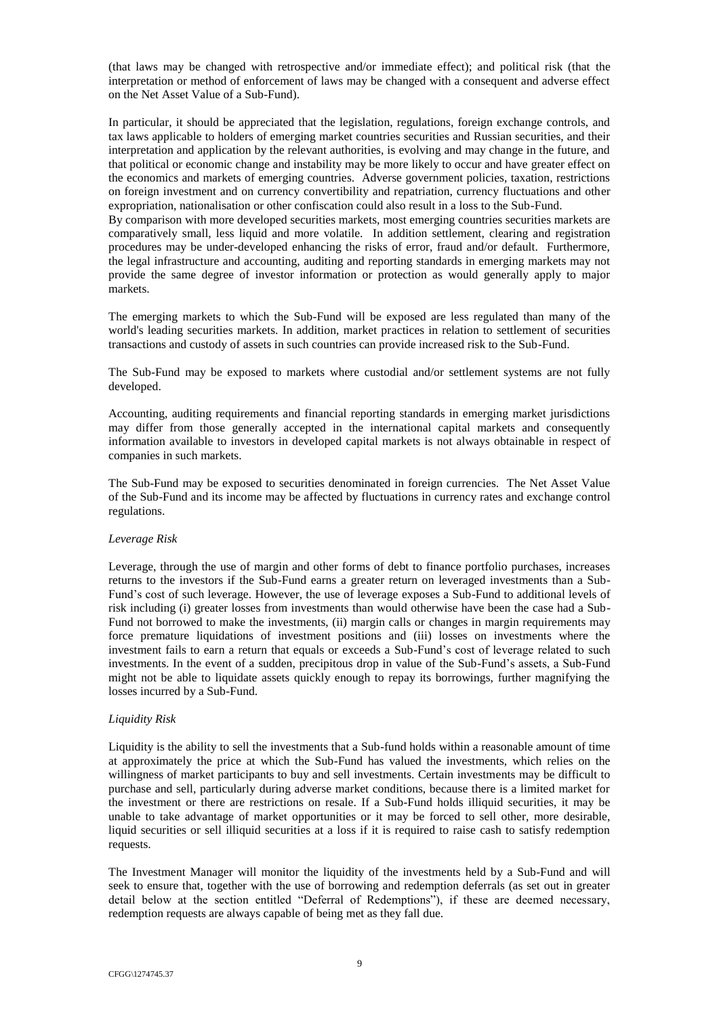(that laws may be changed with retrospective and/or immediate effect); and political risk (that the interpretation or method of enforcement of laws may be changed with a consequent and adverse effect on the Net Asset Value of a Sub-Fund).

In particular, it should be appreciated that the legislation, regulations, foreign exchange controls, and tax laws applicable to holders of emerging market countries securities and Russian securities, and their interpretation and application by the relevant authorities, is evolving and may change in the future, and that political or economic change and instability may be more likely to occur and have greater effect on the economics and markets of emerging countries. Adverse government policies, taxation, restrictions on foreign investment and on currency convertibility and repatriation, currency fluctuations and other expropriation, nationalisation or other confiscation could also result in a loss to the Sub-Fund.

By comparison with more developed securities markets, most emerging countries securities markets are comparatively small, less liquid and more volatile. In addition settlement, clearing and registration procedures may be under-developed enhancing the risks of error, fraud and/or default. Furthermore, the legal infrastructure and accounting, auditing and reporting standards in emerging markets may not provide the same degree of investor information or protection as would generally apply to major markets.

The emerging markets to which the Sub-Fund will be exposed are less regulated than many of the world's leading securities markets. In addition, market practices in relation to settlement of securities transactions and custody of assets in such countries can provide increased risk to the Sub-Fund.

The Sub-Fund may be exposed to markets where custodial and/or settlement systems are not fully developed.

Accounting, auditing requirements and financial reporting standards in emerging market jurisdictions may differ from those generally accepted in the international capital markets and consequently information available to investors in developed capital markets is not always obtainable in respect of companies in such markets.

The Sub-Fund may be exposed to securities denominated in foreign currencies. The Net Asset Value of the Sub-Fund and its income may be affected by fluctuations in currency rates and exchange control regulations.

# *Leverage Risk*

Leverage, through the use of margin and other forms of debt to finance portfolio purchases, increases returns to the investors if the Sub-Fund earns a greater return on leveraged investments than a Sub-Fund's cost of such leverage. However, the use of leverage exposes a Sub-Fund to additional levels of risk including (i) greater losses from investments than would otherwise have been the case had a Sub-Fund not borrowed to make the investments, (ii) margin calls or changes in margin requirements may force premature liquidations of investment positions and (iii) losses on investments where the investment fails to earn a return that equals or exceeds a Sub-Fund's cost of leverage related to such investments. In the event of a sudden, precipitous drop in value of the Sub-Fund's assets, a Sub-Fund might not be able to liquidate assets quickly enough to repay its borrowings, further magnifying the losses incurred by a Sub-Fund.

### *Liquidity Risk*

Liquidity is the ability to sell the investments that a Sub-fund holds within a reasonable amount of time at approximately the price at which the Sub-Fund has valued the investments, which relies on the willingness of market participants to buy and sell investments. Certain investments may be difficult to purchase and sell, particularly during adverse market conditions, because there is a limited market for the investment or there are restrictions on resale. If a Sub-Fund holds illiquid securities, it may be unable to take advantage of market opportunities or it may be forced to sell other, more desirable, liquid securities or sell illiquid securities at a loss if it is required to raise cash to satisfy redemption requests.

The Investment Manager will monitor the liquidity of the investments held by a Sub-Fund and will seek to ensure that, together with the use of borrowing and redemption deferrals (as set out in greater detail below at the section entitled "Deferral of Redemptions"), if these are deemed necessary, redemption requests are always capable of being met as they fall due.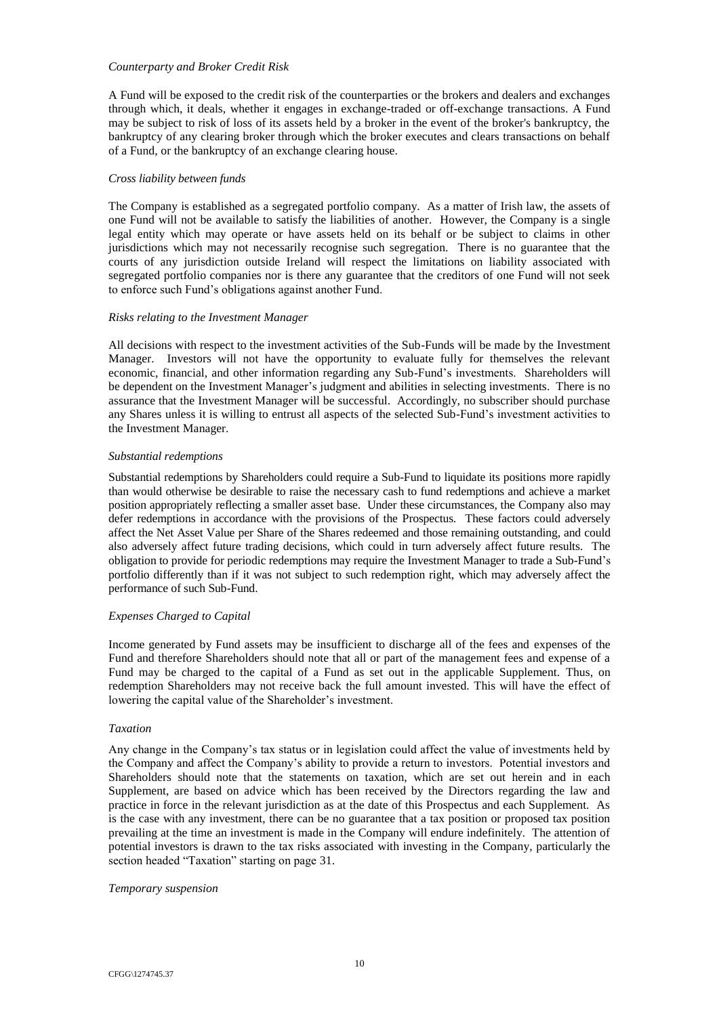## *Counterparty and Broker Credit Risk*

A Fund will be exposed to the credit risk of the counterparties or the brokers and dealers and exchanges through which, it deals, whether it engages in exchange-traded or off-exchange transactions. A Fund may be subject to risk of loss of its assets held by a broker in the event of the broker's bankruptcy, the bankruptcy of any clearing broker through which the broker executes and clears transactions on behalf of a Fund, or the bankruptcy of an exchange clearing house.

### *Cross liability between funds*

The Company is established as a segregated portfolio company. As a matter of Irish law, the assets of one Fund will not be available to satisfy the liabilities of another. However, the Company is a single legal entity which may operate or have assets held on its behalf or be subject to claims in other jurisdictions which may not necessarily recognise such segregation. There is no guarantee that the courts of any jurisdiction outside Ireland will respect the limitations on liability associated with segregated portfolio companies nor is there any guarantee that the creditors of one Fund will not seek to enforce such Fund's obligations against another Fund.

## *Risks relating to the Investment Manager*

All decisions with respect to the investment activities of the Sub-Funds will be made by the Investment Manager. Investors will not have the opportunity to evaluate fully for themselves the relevant economic, financial, and other information regarding any Sub-Fund's investments. Shareholders will be dependent on the Investment Manager's judgment and abilities in selecting investments. There is no assurance that the Investment Manager will be successful. Accordingly, no subscriber should purchase any Shares unless it is willing to entrust all aspects of the selected Sub-Fund's investment activities to the Investment Manager.

## *Substantial redemptions*

Substantial redemptions by Shareholders could require a Sub-Fund to liquidate its positions more rapidly than would otherwise be desirable to raise the necessary cash to fund redemptions and achieve a market position appropriately reflecting a smaller asset base. Under these circumstances, the Company also may defer redemptions in accordance with the provisions of the Prospectus. These factors could adversely affect the Net Asset Value per Share of the Shares redeemed and those remaining outstanding, and could also adversely affect future trading decisions, which could in turn adversely affect future results. The obligation to provide for periodic redemptions may require the Investment Manager to trade a Sub-Fund's portfolio differently than if it was not subject to such redemption right, which may adversely affect the performance of such Sub-Fund.

# *Expenses Charged to Capital*

Income generated by Fund assets may be insufficient to discharge all of the fees and expenses of the Fund and therefore Shareholders should note that all or part of the management fees and expense of a Fund may be charged to the capital of a Fund as set out in the applicable Supplement. Thus, on redemption Shareholders may not receive back the full amount invested. This will have the effect of lowering the capital value of the Shareholder's investment.

### *Taxation*

Any change in the Company's tax status or in legislation could affect the value of investments held by the Company and affect the Company's ability to provide a return to investors. Potential investors and Shareholders should note that the statements on taxation, which are set out herein and in each Supplement, are based on advice which has been received by the Directors regarding the law and practice in force in the relevant jurisdiction as at the date of this Prospectus and each Supplement. As is the case with any investment, there can be no guarantee that a tax position or proposed tax position prevailing at the time an investment is made in the Company will endure indefinitely. The attention of potential investors is drawn to the tax risks associated with investing in the Company, particularly the section headed "Taxation" starting on page [31.](#page-45-0)

### *Temporary suspension*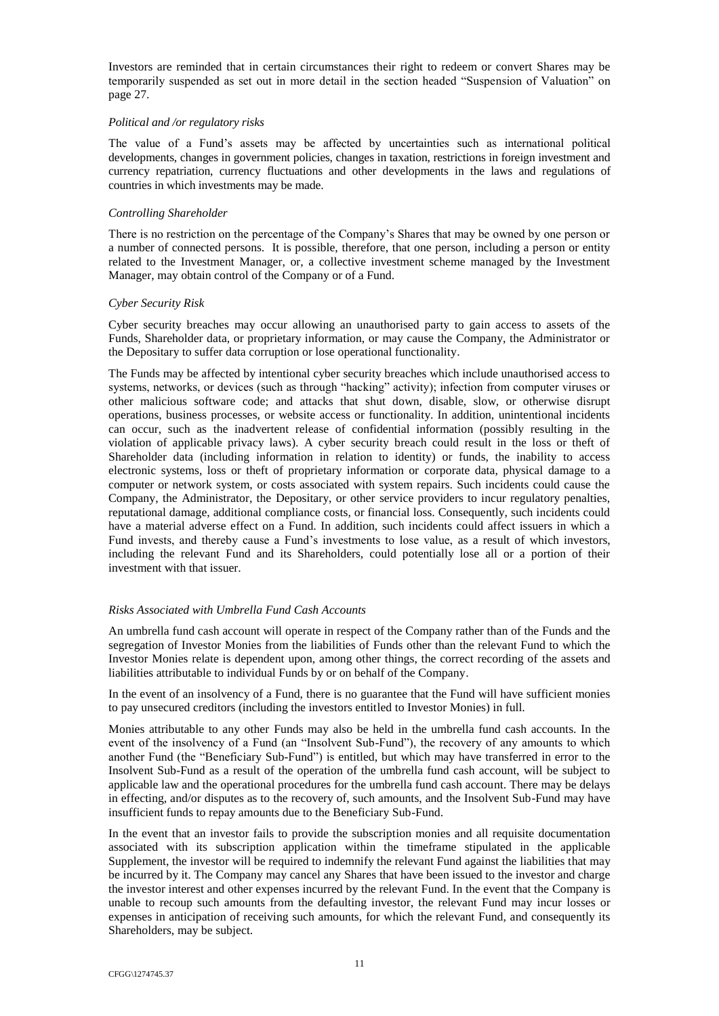Investors are reminded that in certain circumstances their right to redeem or convert Shares may be temporarily suspended as set out in more detail in the section headed "Suspension of Valuation" on page [27.](#page-41-0)

### *Political and /or regulatory risks*

The value of a Fund's assets may be affected by uncertainties such as international political developments, changes in government policies, changes in taxation, restrictions in foreign investment and currency repatriation, currency fluctuations and other developments in the laws and regulations of countries in which investments may be made.

### *Controlling Shareholder*

There is no restriction on the percentage of the Company's Shares that may be owned by one person or a number of connected persons. It is possible, therefore, that one person, including a person or entity related to the Investment Manager, or, a collective investment scheme managed by the Investment Manager, may obtain control of the Company or of a Fund.

## *Cyber Security Risk*

Cyber security breaches may occur allowing an unauthorised party to gain access to assets of the Funds, Shareholder data, or proprietary information, or may cause the Company, the Administrator or the Depositary to suffer data corruption or lose operational functionality.

The Funds may be affected by intentional cyber security breaches which include unauthorised access to systems, networks, or devices (such as through "hacking" activity); infection from computer viruses or other malicious software code; and attacks that shut down, disable, slow, or otherwise disrupt operations, business processes, or website access or functionality. In addition, unintentional incidents can occur, such as the inadvertent release of confidential information (possibly resulting in the violation of applicable privacy laws). A cyber security breach could result in the loss or theft of Shareholder data (including information in relation to identity) or funds, the inability to access electronic systems, loss or theft of proprietary information or corporate data, physical damage to a computer or network system, or costs associated with system repairs. Such incidents could cause the Company, the Administrator, the Depositary, or other service providers to incur regulatory penalties, reputational damage, additional compliance costs, or financial loss. Consequently, such incidents could have a material adverse effect on a Fund. In addition, such incidents could affect issuers in which a Fund invests, and thereby cause a Fund's investments to lose value, as a result of which investors, including the relevant Fund and its Shareholders, could potentially lose all or a portion of their investment with that issuer.

# *Risks Associated with Umbrella Fund Cash Accounts*

An umbrella fund cash account will operate in respect of the Company rather than of the Funds and the segregation of Investor Monies from the liabilities of Funds other than the relevant Fund to which the Investor Monies relate is dependent upon, among other things, the correct recording of the assets and liabilities attributable to individual Funds by or on behalf of the Company.

In the event of an insolvency of a Fund, there is no guarantee that the Fund will have sufficient monies to pay unsecured creditors (including the investors entitled to Investor Monies) in full.

Monies attributable to any other Funds may also be held in the umbrella fund cash accounts. In the event of the insolvency of a Fund (an "Insolvent Sub-Fund"), the recovery of any amounts to which another Fund (the "Beneficiary Sub-Fund") is entitled, but which may have transferred in error to the Insolvent Sub-Fund as a result of the operation of the umbrella fund cash account, will be subject to applicable law and the operational procedures for the umbrella fund cash account. There may be delays in effecting, and/or disputes as to the recovery of, such amounts, and the Insolvent Sub-Fund may have insufficient funds to repay amounts due to the Beneficiary Sub-Fund.

In the event that an investor fails to provide the subscription monies and all requisite documentation associated with its subscription application within the timeframe stipulated in the applicable Supplement, the investor will be required to indemnify the relevant Fund against the liabilities that may be incurred by it. The Company may cancel any Shares that have been issued to the investor and charge the investor interest and other expenses incurred by the relevant Fund. In the event that the Company is unable to recoup such amounts from the defaulting investor, the relevant Fund may incur losses or expenses in anticipation of receiving such amounts, for which the relevant Fund, and consequently its Shareholders, may be subject.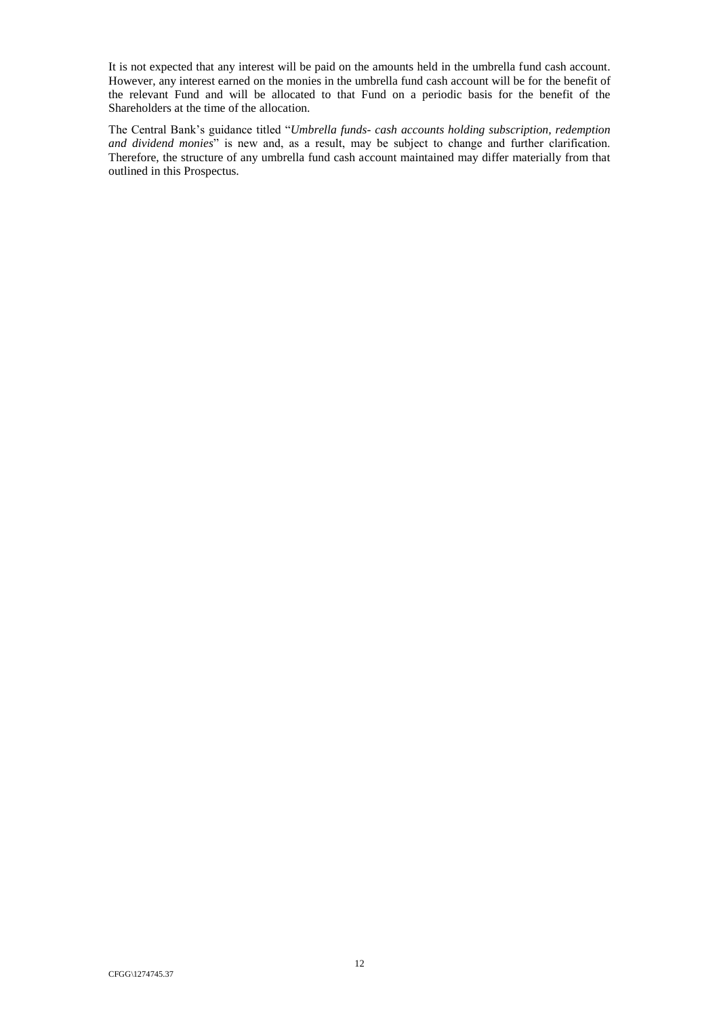It is not expected that any interest will be paid on the amounts held in the umbrella fund cash account. However, any interest earned on the monies in the umbrella fund cash account will be for the benefit of the relevant Fund and will be allocated to that Fund on a periodic basis for the benefit of the Shareholders at the time of the allocation.

The Central Bank's guidance titled "*Umbrella funds- cash accounts holding subscription, redemption and dividend monies*" is new and, as a result, may be subject to change and further clarification. Therefore, the structure of any umbrella fund cash account maintained may differ materially from that outlined in this Prospectus.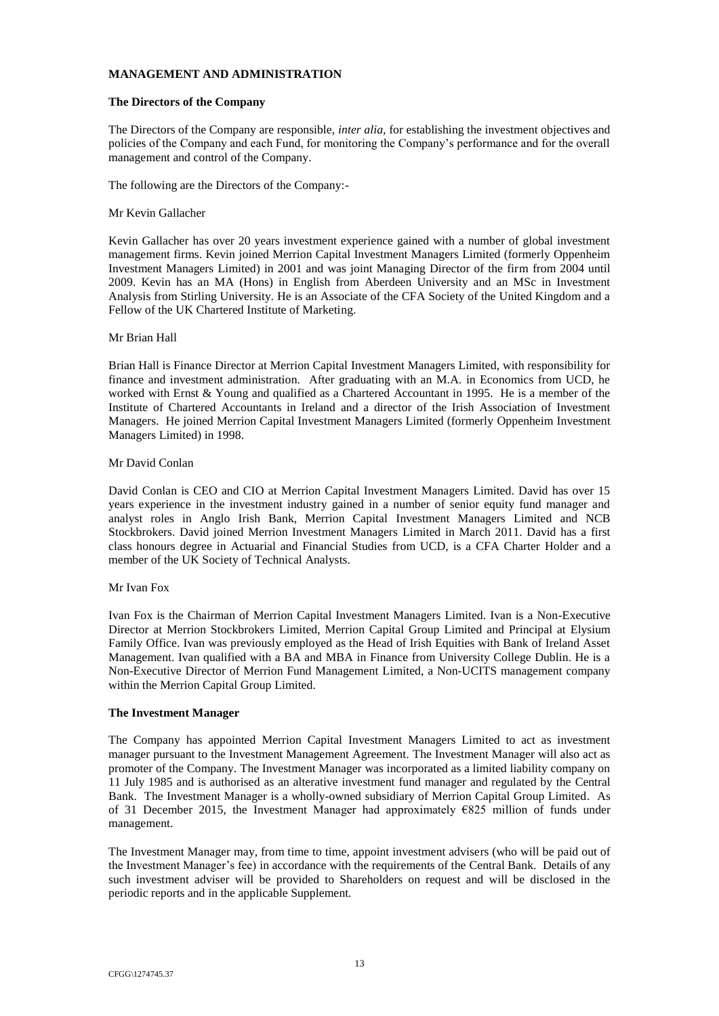## **MANAGEMENT AND ADMINISTRATION**

## <span id="page-27-0"></span>**The Directors of the Company**

The Directors of the Company are responsible, *inter alia,* for establishing the investment objectives and policies of the Company and each Fund, for monitoring the Company's performance and for the overall management and control of the Company.

The following are the Directors of the Company:-

### Mr Kevin Gallacher

Kevin Gallacher has over 20 years investment experience gained with a number of global investment management firms. Kevin joined Merrion Capital Investment Managers Limited (formerly Oppenheim Investment Managers Limited) in 2001 and was joint Managing Director of the firm from 2004 until 2009. Kevin has an MA (Hons) in English from Aberdeen University and an MSc in Investment Analysis from Stirling University. He is an Associate of the CFA Society of the United Kingdom and a Fellow of the UK Chartered Institute of Marketing.

## Mr Brian Hall

Brian Hall is Finance Director at Merrion Capital Investment Managers Limited, with responsibility for finance and investment administration. After graduating with an M.A. in Economics from UCD, he worked with Ernst & Young and qualified as a Chartered Accountant in 1995. He is a member of the Institute of Chartered Accountants in Ireland and a director of the Irish Association of Investment Managers. He joined Merrion Capital Investment Managers Limited (formerly Oppenheim Investment Managers Limited) in 1998.

### Mr David Conlan

David Conlan is CEO and CIO at Merrion Capital Investment Managers Limited. David has over 15 years experience in the investment industry gained in a number of senior equity fund manager and analyst roles in Anglo Irish Bank, Merrion Capital Investment Managers Limited and NCB Stockbrokers. David joined Merrion Investment Managers Limited in March 2011. David has a first class honours degree in Actuarial and Financial Studies from UCD, is a CFA Charter Holder and a member of the UK Society of Technical Analysts.

### Mr Ivan Fox

Ivan Fox is the Chairman of Merrion Capital Investment Managers Limited. Ivan is a Non-Executive Director at Merrion Stockbrokers Limited, Merrion Capital Group Limited and Principal at Elysium Family Office. Ivan was previously employed as the Head of Irish Equities with Bank of Ireland Asset Management. Ivan qualified with a BA and MBA in Finance from University College Dublin. He is a Non-Executive Director of Merrion Fund Management Limited, a Non-UCITS management company within the Merrion Capital Group Limited.

### <span id="page-27-1"></span>**The Investment Manager**

The Company has appointed Merrion Capital Investment Managers Limited to act as investment manager pursuant to the Investment Management Agreement. The Investment Manager will also act as promoter of the Company. The Investment Manager was incorporated as a limited liability company on 11 July 1985 and is authorised as an alterative investment fund manager and regulated by the Central Bank. The Investment Manager is a wholly-owned subsidiary of Merrion Capital Group Limited. As of 31 December 2015, the Investment Manager had approximately €825 million of funds under management.

The Investment Manager may, from time to time, appoint investment advisers (who will be paid out of the Investment Manager's fee) in accordance with the requirements of the Central Bank. Details of any such investment adviser will be provided to Shareholders on request and will be disclosed in the periodic reports and in the applicable Supplement.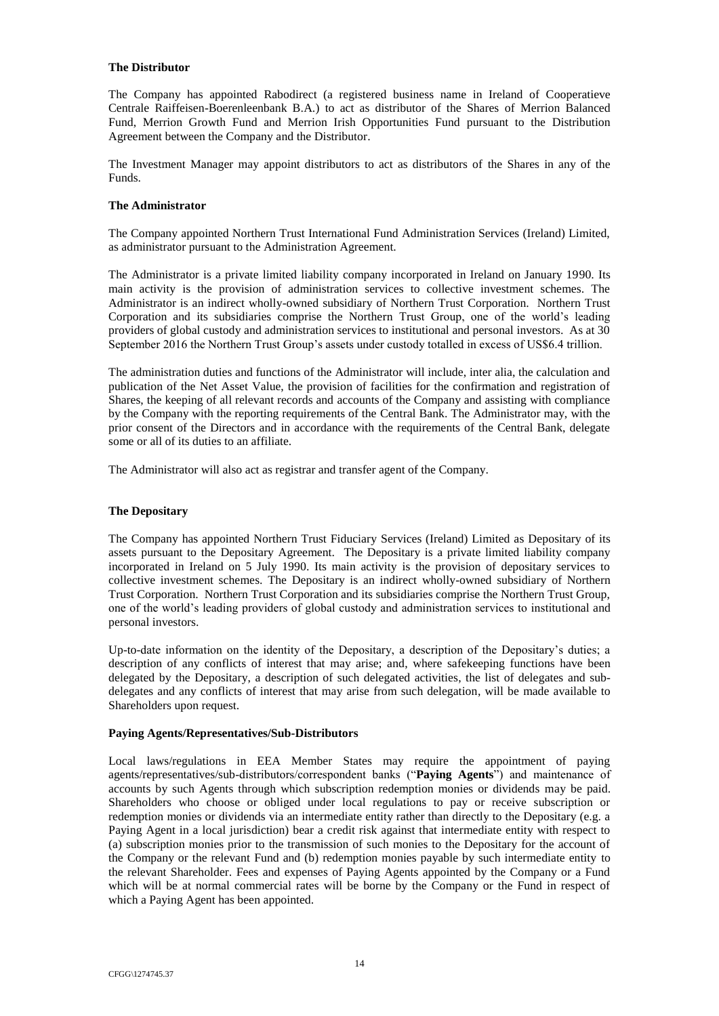### <span id="page-28-0"></span>**The Distributor**

The Company has appointed Rabodirect (a registered business name in Ireland of Cooperatieve Centrale Raiffeisen-Boerenleenbank B.A.) to act as distributor of the Shares of Merrion Balanced Fund, Merrion Growth Fund and Merrion Irish Opportunities Fund pursuant to the Distribution Agreement between the Company and the Distributor.

The Investment Manager may appoint distributors to act as distributors of the Shares in any of the Funds.

## <span id="page-28-1"></span>**The Administrator**

The Company appointed Northern Trust International Fund Administration Services (Ireland) Limited, as administrator pursuant to the Administration Agreement.

The Administrator is a private limited liability company incorporated in Ireland on January 1990. Its main activity is the provision of administration services to collective investment schemes. The Administrator is an indirect wholly-owned subsidiary of Northern Trust Corporation. Northern Trust Corporation and its subsidiaries comprise the Northern Trust Group, one of the world's leading providers of global custody and administration services to institutional and personal investors. As at 30 September 2016 the Northern Trust Group's assets under custody totalled in excess of US\$6.4 trillion.

The administration duties and functions of the Administrator will include, inter alia, the calculation and publication of the Net Asset Value, the provision of facilities for the confirmation and registration of Shares, the keeping of all relevant records and accounts of the Company and assisting with compliance by the Company with the reporting requirements of the Central Bank. The Administrator may, with the prior consent of the Directors and in accordance with the requirements of the Central Bank, delegate some or all of its duties to an affiliate.

The Administrator will also act as registrar and transfer agent of the Company.

## <span id="page-28-2"></span>**The Depositary**

The Company has appointed Northern Trust Fiduciary Services (Ireland) Limited as Depositary of its assets pursuant to the Depositary Agreement. The Depositary is a private limited liability company incorporated in Ireland on 5 July 1990. Its main activity is the provision of depositary services to collective investment schemes. The Depositary is an indirect wholly-owned subsidiary of Northern Trust Corporation. Northern Trust Corporation and its subsidiaries comprise the Northern Trust Group, one of the world's leading providers of global custody and administration services to institutional and personal investors.

Up-to-date information on the identity of the Depositary, a description of the Depositary's duties; a description of any conflicts of interest that may arise; and, where safekeeping functions have been delegated by the Depositary, a description of such delegated activities, the list of delegates and subdelegates and any conflicts of interest that may arise from such delegation, will be made available to Shareholders upon request.

### <span id="page-28-3"></span>**Paying Agents/Representatives/Sub-Distributors**

Local laws/regulations in EEA Member States may require the appointment of paying agents/representatives/sub-distributors/correspondent banks ("**Paying Agents**") and maintenance of accounts by such Agents through which subscription redemption monies or dividends may be paid. Shareholders who choose or obliged under local regulations to pay or receive subscription or redemption monies or dividends via an intermediate entity rather than directly to the Depositary (e.g. a Paying Agent in a local jurisdiction) bear a credit risk against that intermediate entity with respect to (a) subscription monies prior to the transmission of such monies to the Depositary for the account of the Company or the relevant Fund and (b) redemption monies payable by such intermediate entity to the relevant Shareholder. Fees and expenses of Paying Agents appointed by the Company or a Fund which will be at normal commercial rates will be borne by the Company or the Fund in respect of which a Paying Agent has been appointed.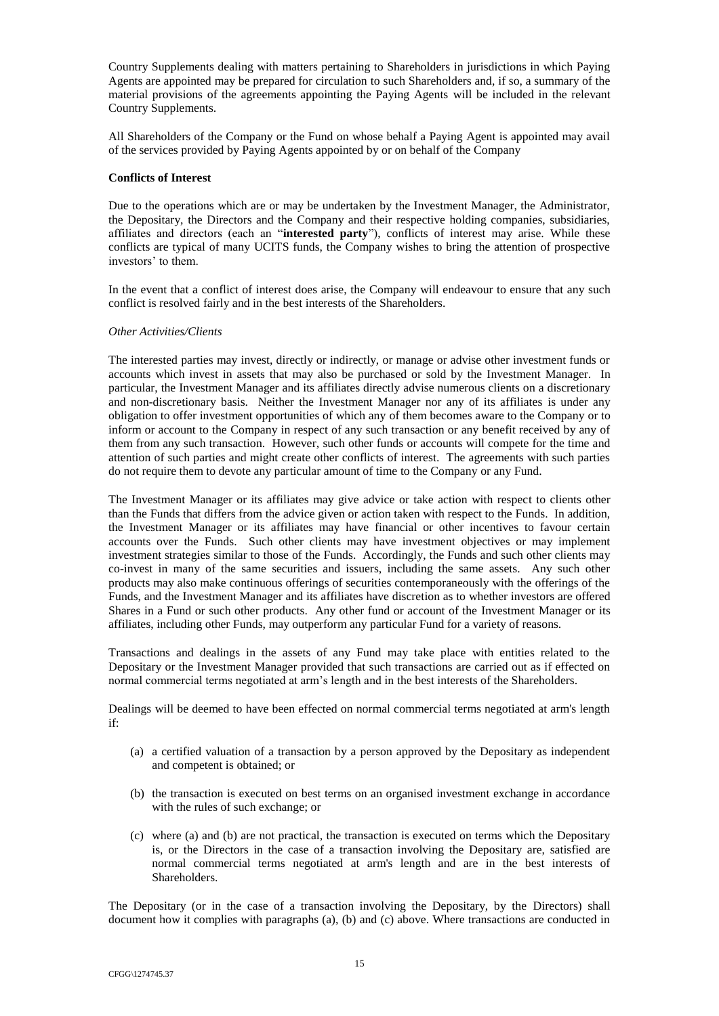Country Supplements dealing with matters pertaining to Shareholders in jurisdictions in which Paying Agents are appointed may be prepared for circulation to such Shareholders and, if so, a summary of the material provisions of the agreements appointing the Paying Agents will be included in the relevant Country Supplements.

All Shareholders of the Company or the Fund on whose behalf a Paying Agent is appointed may avail of the services provided by Paying Agents appointed by or on behalf of the Company

# <span id="page-29-0"></span>**Conflicts of Interest**

Due to the operations which are or may be undertaken by the Investment Manager, the Administrator, the Depositary, the Directors and the Company and their respective holding companies, subsidiaries, affiliates and directors (each an "**interested party**"), conflicts of interest may arise. While these conflicts are typical of many UCITS funds, the Company wishes to bring the attention of prospective investors' to them.

In the event that a conflict of interest does arise, the Company will endeavour to ensure that any such conflict is resolved fairly and in the best interests of the Shareholders.

### *Other Activities/Clients*

The interested parties may invest, directly or indirectly, or manage or advise other investment funds or accounts which invest in assets that may also be purchased or sold by the Investment Manager. In particular, the Investment Manager and its affiliates directly advise numerous clients on a discretionary and non-discretionary basis. Neither the Investment Manager nor any of its affiliates is under any obligation to offer investment opportunities of which any of them becomes aware to the Company or to inform or account to the Company in respect of any such transaction or any benefit received by any of them from any such transaction. However, such other funds or accounts will compete for the time and attention of such parties and might create other conflicts of interest. The agreements with such parties do not require them to devote any particular amount of time to the Company or any Fund.

The Investment Manager or its affiliates may give advice or take action with respect to clients other than the Funds that differs from the advice given or action taken with respect to the Funds. In addition, the Investment Manager or its affiliates may have financial or other incentives to favour certain accounts over the Funds. Such other clients may have investment objectives or may implement investment strategies similar to those of the Funds. Accordingly, the Funds and such other clients may co-invest in many of the same securities and issuers, including the same assets. Any such other products may also make continuous offerings of securities contemporaneously with the offerings of the Funds, and the Investment Manager and its affiliates have discretion as to whether investors are offered Shares in a Fund or such other products. Any other fund or account of the Investment Manager or its affiliates, including other Funds, may outperform any particular Fund for a variety of reasons.

Transactions and dealings in the assets of any Fund may take place with entities related to the Depositary or the Investment Manager provided that such transactions are carried out as if effected on normal commercial terms negotiated at arm's length and in the best interests of the Shareholders.

Dealings will be deemed to have been effected on normal commercial terms negotiated at arm's length if:

- (a) a certified valuation of a transaction by a person approved by the Depositary as independent and competent is obtained; or
- (b) the transaction is executed on best terms on an organised investment exchange in accordance with the rules of such exchange; or
- (c) where (a) and (b) are not practical, the transaction is executed on terms which the Depositary is, or the Directors in the case of a transaction involving the Depositary are, satisfied are normal commercial terms negotiated at arm's length and are in the best interests of Shareholders.

The Depositary (or in the case of a transaction involving the Depositary, by the Directors) shall document how it complies with paragraphs (a), (b) and (c) above. Where transactions are conducted in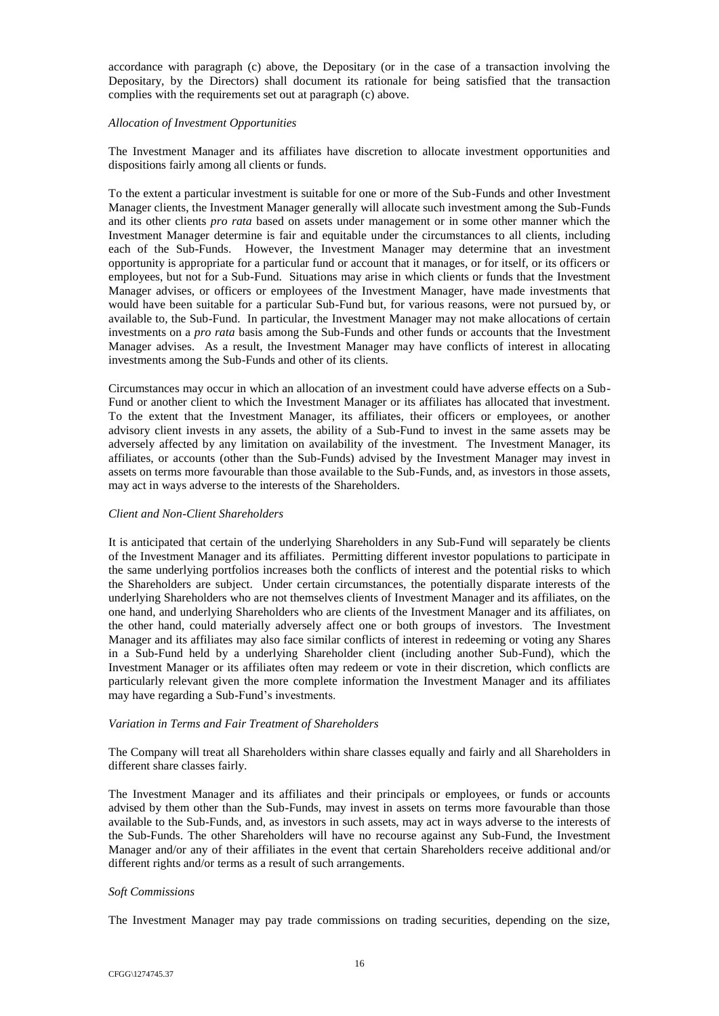accordance with paragraph (c) above, the Depositary (or in the case of a transaction involving the Depositary, by the Directors) shall document its rationale for being satisfied that the transaction complies with the requirements set out at paragraph (c) above.

### *Allocation of Investment Opportunities*

The Investment Manager and its affiliates have discretion to allocate investment opportunities and dispositions fairly among all clients or funds.

To the extent a particular investment is suitable for one or more of the Sub-Funds and other Investment Manager clients, the Investment Manager generally will allocate such investment among the Sub-Funds and its other clients *pro rata* based on assets under management or in some other manner which the Investment Manager determine is fair and equitable under the circumstances to all clients, including each of the Sub-Funds. However, the Investment Manager may determine that an investment opportunity is appropriate for a particular fund or account that it manages, or for itself, or its officers or employees, but not for a Sub-Fund. Situations may arise in which clients or funds that the Investment Manager advises, or officers or employees of the Investment Manager, have made investments that would have been suitable for a particular Sub-Fund but, for various reasons, were not pursued by, or available to, the Sub-Fund. In particular, the Investment Manager may not make allocations of certain investments on a *pro rata* basis among the Sub-Funds and other funds or accounts that the Investment Manager advises. As a result, the Investment Manager may have conflicts of interest in allocating investments among the Sub-Funds and other of its clients.

Circumstances may occur in which an allocation of an investment could have adverse effects on a Sub-Fund or another client to which the Investment Manager or its affiliates has allocated that investment. To the extent that the Investment Manager, its affiliates, their officers or employees, or another advisory client invests in any assets, the ability of a Sub-Fund to invest in the same assets may be adversely affected by any limitation on availability of the investment. The Investment Manager, its affiliates, or accounts (other than the Sub-Funds) advised by the Investment Manager may invest in assets on terms more favourable than those available to the Sub-Funds, and, as investors in those assets, may act in ways adverse to the interests of the Shareholders.

### *Client and Non-Client Shareholders*

It is anticipated that certain of the underlying Shareholders in any Sub-Fund will separately be clients of the Investment Manager and its affiliates. Permitting different investor populations to participate in the same underlying portfolios increases both the conflicts of interest and the potential risks to which the Shareholders are subject. Under certain circumstances, the potentially disparate interests of the underlying Shareholders who are not themselves clients of Investment Manager and its affiliates, on the one hand, and underlying Shareholders who are clients of the Investment Manager and its affiliates, on the other hand, could materially adversely affect one or both groups of investors. The Investment Manager and its affiliates may also face similar conflicts of interest in redeeming or voting any Shares in a Sub-Fund held by a underlying Shareholder client (including another Sub-Fund), which the Investment Manager or its affiliates often may redeem or vote in their discretion, which conflicts are particularly relevant given the more complete information the Investment Manager and its affiliates may have regarding a Sub-Fund's investments.

### *Variation in Terms and Fair Treatment of Shareholders*

The Company will treat all Shareholders within share classes equally and fairly and all Shareholders in different share classes fairly.

The Investment Manager and its affiliates and their principals or employees, or funds or accounts advised by them other than the Sub-Funds, may invest in assets on terms more favourable than those available to the Sub-Funds, and, as investors in such assets, may act in ways adverse to the interests of the Sub-Funds. The other Shareholders will have no recourse against any Sub-Fund, the Investment Manager and/or any of their affiliates in the event that certain Shareholders receive additional and/or different rights and/or terms as a result of such arrangements.

### *Soft Commissions*

The Investment Manager may pay trade commissions on trading securities, depending on the size,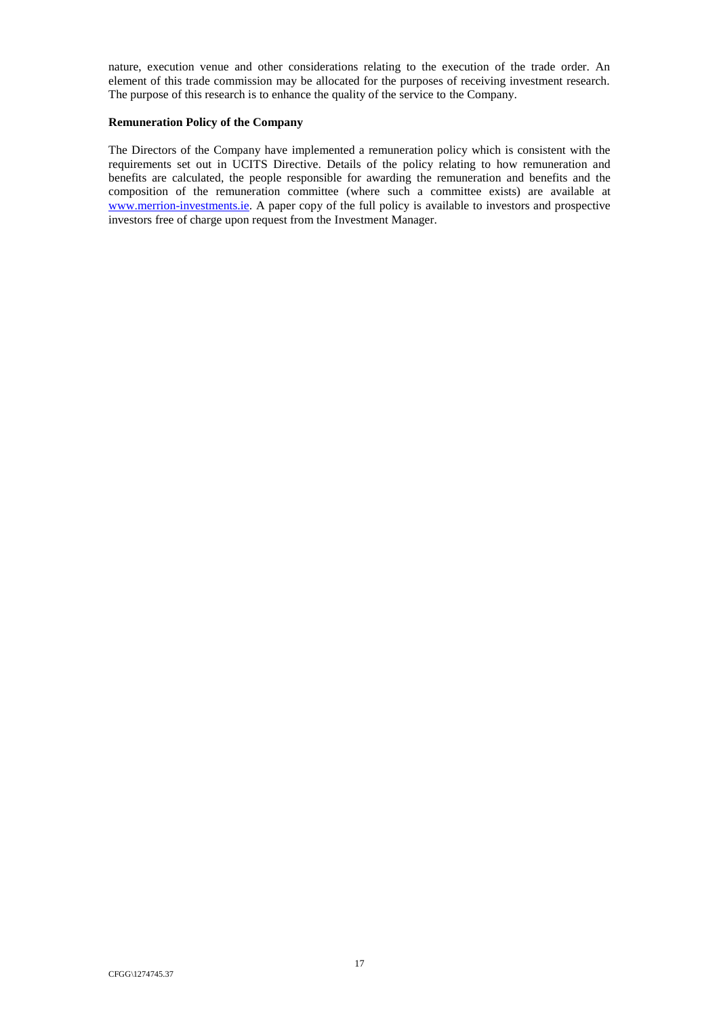nature, execution venue and other considerations relating to the execution of the trade order. An element of this trade commission may be allocated for the purposes of receiving investment research. The purpose of this research is to enhance the quality of the service to the Company.

## <span id="page-31-0"></span>**Remuneration Policy of the Company**

The Directors of the Company have implemented a remuneration policy which is consistent with the requirements set out in UCITS Directive. Details of the policy relating to how remuneration and benefits are calculated, the people responsible for awarding the remuneration and benefits and the composition of the remuneration committee (where such a committee exists) are available at [www.merrion-investments.ie.](http://www.merrion-investments.ie/) A paper copy of the full policy is available to investors and prospective investors free of charge upon request from the Investment Manager.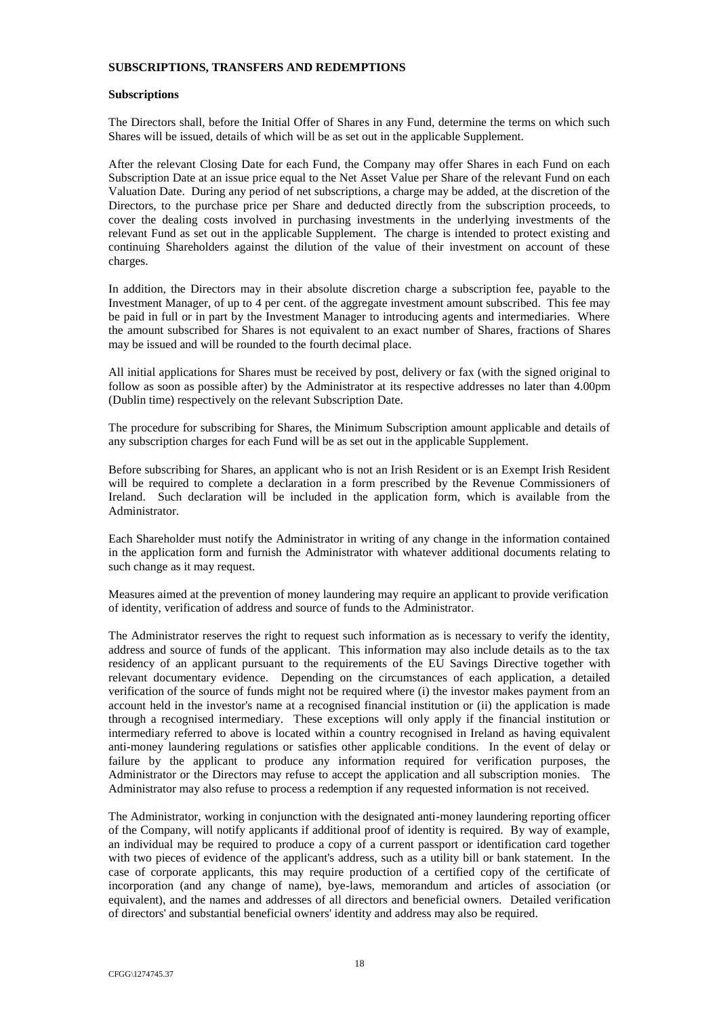### **SUBSCRIPTIONS, TRANSFERS AND REDEMPTIONS**

### <span id="page-32-0"></span>**Subscriptions**

The Directors shall, before the Initial Offer of Shares in any Fund, determine the terms on which such Shares will be issued, details of which will be as set out in the applicable Supplement.

After the relevant Closing Date for each Fund, the Company may offer Shares in each Fund on each Subscription Date at an issue price equal to the Net Asset Value per Share of the relevant Fund on each Valuation Date. During any period of net subscriptions, a charge may be added, at the discretion of the Directors, to the purchase price per Share and deducted directly from the subscription proceeds, to cover the dealing costs involved in purchasing investments in the underlying investments of the relevant Fund as set out in the applicable Supplement. The charge is intended to protect existing and continuing Shareholders against the dilution of the value of their investment on account of these charges.

In addition, the Directors may in their absolute discretion charge a subscription fee, payable to the Investment Manager, of up to 4 per cent. of the aggregate investment amount subscribed. This fee may be paid in full or in part by the Investment Manager to introducing agents and intermediaries. Where the amount subscribed for Shares is not equivalent to an exact number of Shares, fractions of Shares may be issued and will be rounded to the fourth decimal place.

All initial applications for Shares must be received by post, delivery or fax (with the signed original to follow as soon as possible after) by the Administrator at its respective addresses no later than 4.00pm (Dublin time) respectively on the relevant Subscription Date.

The procedure for subscribing for Shares, the Minimum Subscription amount applicable and details of any subscription charges for each Fund will be as set out in the applicable Supplement.

Before subscribing for Shares, an applicant who is not an Irish Resident or is an Exempt Irish Resident will be required to complete a declaration in a form prescribed by the Revenue Commissioners of Ireland. Such declaration will be included in the application form, which is available from the Administrator.

Each Shareholder must notify the Administrator in writing of any change in the information contained in the application form and furnish the Administrator with whatever additional documents relating to such change as it may request.

Measures aimed at the prevention of money laundering may require an applicant to provide verification of identity, verification of address and source of funds to the Administrator.

The Administrator reserves the right to request such information as is necessary to verify the identity, address and source of funds of the applicant. This information may also include details as to the tax residency of an applicant pursuant to the requirements of the EU Savings Directive together with relevant documentary evidence. Depending on the circumstances of each application, a detailed verification of the source of funds might not be required where (i) the investor makes payment from an account held in the investor's name at a recognised financial institution or (ii) the application is made through a recognised intermediary. These exceptions will only apply if the financial institution or intermediary referred to above is located within a country recognised in Ireland as having equivalent anti-money laundering regulations or satisfies other applicable conditions. In the event of delay or failure by the applicant to produce any information required for verification purposes, the Administrator or the Directors may refuse to accept the application and all subscription monies. The Administrator may also refuse to process a redemption if any requested information is not received.

The Administrator, working in conjunction with the designated anti-money laundering reporting officer of the Company, will notify applicants if additional proof of identity is required. By way of example, an individual may be required to produce a copy of a current passport or identification card together with two pieces of evidence of the applicant's address, such as a utility bill or bank statement. In the case of corporate applicants, this may require production of a certified copy of the certificate of incorporation (and any change of name), bye-laws, memorandum and articles of association (or equivalent), and the names and addresses of all directors and beneficial owners. Detailed verification of directors' and substantial beneficial owners' identity and address may also be required.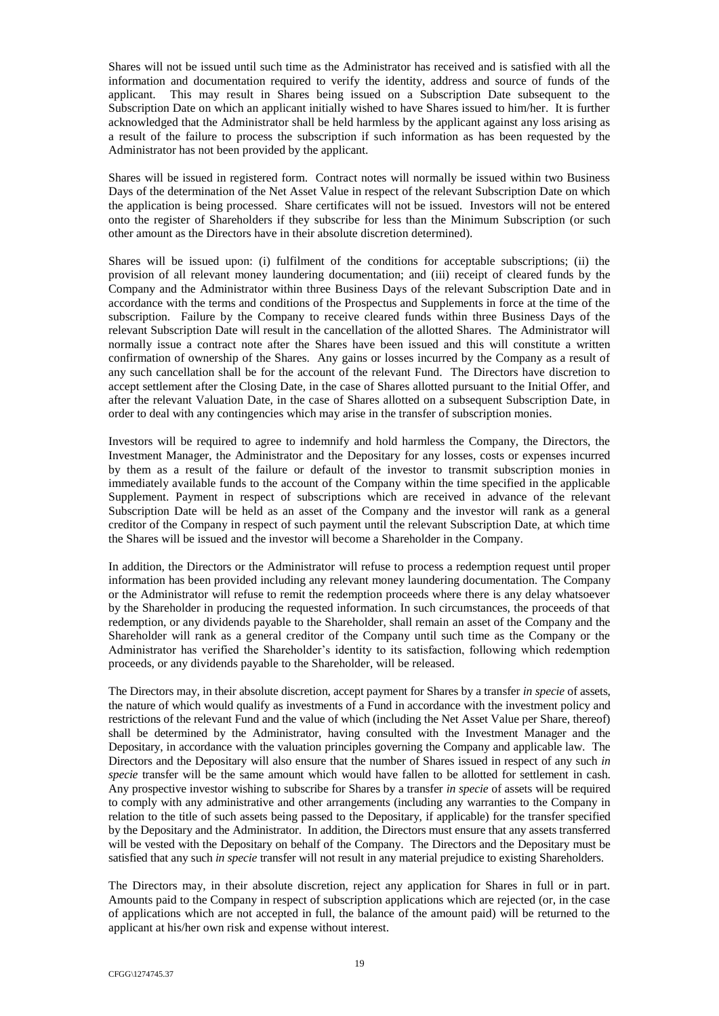Shares will not be issued until such time as the Administrator has received and is satisfied with all the information and documentation required to verify the identity, address and source of funds of the applicant. This may result in Shares being issued on a Subscription Date subsequent to the Subscription Date on which an applicant initially wished to have Shares issued to him/her. It is further acknowledged that the Administrator shall be held harmless by the applicant against any loss arising as a result of the failure to process the subscription if such information as has been requested by the Administrator has not been provided by the applicant.

Shares will be issued in registered form. Contract notes will normally be issued within two Business Days of the determination of the Net Asset Value in respect of the relevant Subscription Date on which the application is being processed. Share certificates will not be issued. Investors will not be entered onto the register of Shareholders if they subscribe for less than the Minimum Subscription (or such other amount as the Directors have in their absolute discretion determined).

Shares will be issued upon: (i) fulfilment of the conditions for acceptable subscriptions; (ii) the provision of all relevant money laundering documentation; and (iii) receipt of cleared funds by the Company and the Administrator within three Business Days of the relevant Subscription Date and in accordance with the terms and conditions of the Prospectus and Supplements in force at the time of the subscription. Failure by the Company to receive cleared funds within three Business Days of the relevant Subscription Date will result in the cancellation of the allotted Shares. The Administrator will normally issue a contract note after the Shares have been issued and this will constitute a written confirmation of ownership of the Shares. Any gains or losses incurred by the Company as a result of any such cancellation shall be for the account of the relevant Fund. The Directors have discretion to accept settlement after the Closing Date, in the case of Shares allotted pursuant to the Initial Offer, and after the relevant Valuation Date, in the case of Shares allotted on a subsequent Subscription Date, in order to deal with any contingencies which may arise in the transfer of subscription monies.

Investors will be required to agree to indemnify and hold harmless the Company, the Directors, the Investment Manager, the Administrator and the Depositary for any losses, costs or expenses incurred by them as a result of the failure or default of the investor to transmit subscription monies in immediately available funds to the account of the Company within the time specified in the applicable Supplement. Payment in respect of subscriptions which are received in advance of the relevant Subscription Date will be held as an asset of the Company and the investor will rank as a general creditor of the Company in respect of such payment until the relevant Subscription Date, at which time the Shares will be issued and the investor will become a Shareholder in the Company.

In addition, the Directors or the Administrator will refuse to process a redemption request until proper information has been provided including any relevant money laundering documentation. The Company or the Administrator will refuse to remit the redemption proceeds where there is any delay whatsoever by the Shareholder in producing the requested information. In such circumstances, the proceeds of that redemption, or any dividends payable to the Shareholder, shall remain an asset of the Company and the Shareholder will rank as a general creditor of the Company until such time as the Company or the Administrator has verified the Shareholder's identity to its satisfaction, following which redemption proceeds, or any dividends payable to the Shareholder, will be released.

The Directors may, in their absolute discretion, accept payment for Shares by a transfer *in specie* of assets, the nature of which would qualify as investments of a Fund in accordance with the investment policy and restrictions of the relevant Fund and the value of which (including the Net Asset Value per Share, thereof) shall be determined by the Administrator, having consulted with the Investment Manager and the Depositary, in accordance with the valuation principles governing the Company and applicable law. The Directors and the Depositary will also ensure that the number of Shares issued in respect of any such *in specie* transfer will be the same amount which would have fallen to be allotted for settlement in cash. Any prospective investor wishing to subscribe for Shares by a transfer *in specie* of assets will be required to comply with any administrative and other arrangements (including any warranties to the Company in relation to the title of such assets being passed to the Depositary, if applicable) for the transfer specified by the Depositary and the Administrator. In addition, the Directors must ensure that any assets transferred will be vested with the Depositary on behalf of the Company. The Directors and the Depositary must be satisfied that any such *in specie* transfer will not result in any material prejudice to existing Shareholders.

The Directors may, in their absolute discretion, reject any application for Shares in full or in part. Amounts paid to the Company in respect of subscription applications which are rejected (or, in the case of applications which are not accepted in full, the balance of the amount paid) will be returned to the applicant at his/her own risk and expense without interest.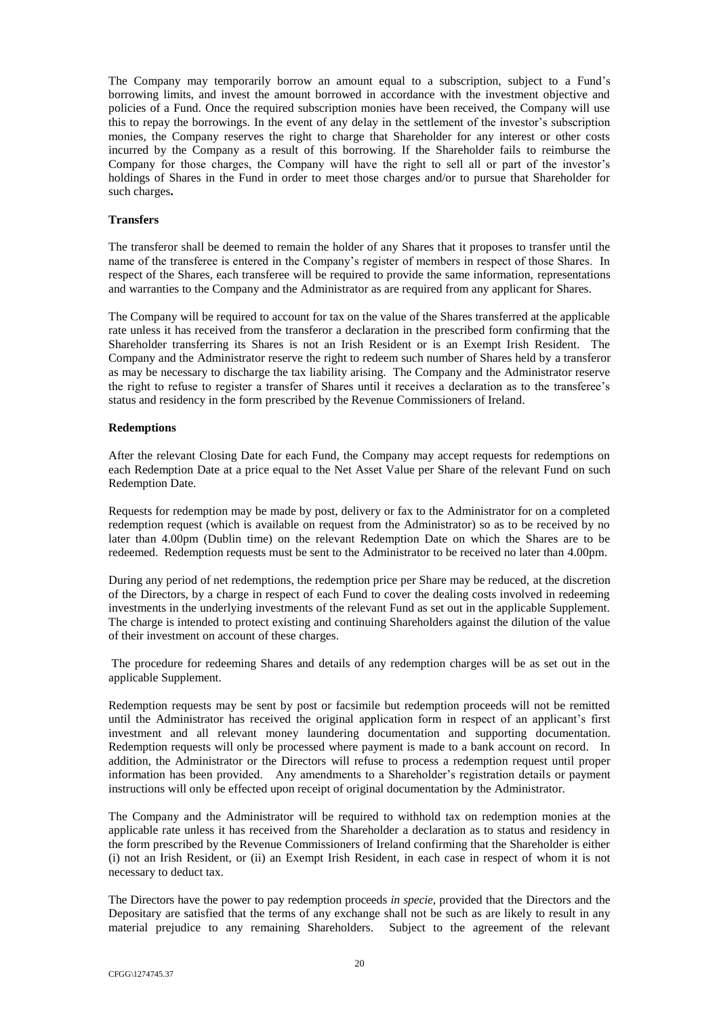The Company may temporarily borrow an amount equal to a subscription, subject to a Fund's borrowing limits, and invest the amount borrowed in accordance with the investment objective and policies of a Fund. Once the required subscription monies have been received, the Company will use this to repay the borrowings. In the event of any delay in the settlement of the investor's subscription monies, the Company reserves the right to charge that Shareholder for any interest or other costs incurred by the Company as a result of this borrowing. If the Shareholder fails to reimburse the Company for those charges, the Company will have the right to sell all or part of the investor's holdings of Shares in the Fund in order to meet those charges and/or to pursue that Shareholder for such charges**.**

### <span id="page-34-0"></span>**Transfers**

The transferor shall be deemed to remain the holder of any Shares that it proposes to transfer until the name of the transferee is entered in the Company's register of members in respect of those Shares. In respect of the Shares, each transferee will be required to provide the same information, representations and warranties to the Company and the Administrator as are required from any applicant for Shares.

The Company will be required to account for tax on the value of the Shares transferred at the applicable rate unless it has received from the transferor a declaration in the prescribed form confirming that the Shareholder transferring its Shares is not an Irish Resident or is an Exempt Irish Resident. The Company and the Administrator reserve the right to redeem such number of Shares held by a transferor as may be necessary to discharge the tax liability arising. The Company and the Administrator reserve the right to refuse to register a transfer of Shares until it receives a declaration as to the transferee's status and residency in the form prescribed by the Revenue Commissioners of Ireland.

### <span id="page-34-1"></span>**Redemptions**

After the relevant Closing Date for each Fund, the Company may accept requests for redemptions on each Redemption Date at a price equal to the Net Asset Value per Share of the relevant Fund on such Redemption Date.

Requests for redemption may be made by post, delivery or fax to the Administrator for on a completed redemption request (which is available on request from the Administrator) so as to be received by no later than 4.00pm (Dublin time) on the relevant Redemption Date on which the Shares are to be redeemed. Redemption requests must be sent to the Administrator to be received no later than 4.00pm.

During any period of net redemptions, the redemption price per Share may be reduced, at the discretion of the Directors, by a charge in respect of each Fund to cover the dealing costs involved in redeeming investments in the underlying investments of the relevant Fund as set out in the applicable Supplement. The charge is intended to protect existing and continuing Shareholders against the dilution of the value of their investment on account of these charges.

The procedure for redeeming Shares and details of any redemption charges will be as set out in the applicable Supplement.

Redemption requests may be sent by post or facsimile but redemption proceeds will not be remitted until the Administrator has received the original application form in respect of an applicant's first investment and all relevant money laundering documentation and supporting documentation. Redemption requests will only be processed where payment is made to a bank account on record. In addition, the Administrator or the Directors will refuse to process a redemption request until proper information has been provided. Any amendments to a Shareholder's registration details or payment instructions will only be effected upon receipt of original documentation by the Administrator.

The Company and the Administrator will be required to withhold tax on redemption monies at the applicable rate unless it has received from the Shareholder a declaration as to status and residency in the form prescribed by the Revenue Commissioners of Ireland confirming that the Shareholder is either (i) not an Irish Resident, or (ii) an Exempt Irish Resident, in each case in respect of whom it is not necessary to deduct tax.

The Directors have the power to pay redemption proceeds *in specie*, provided that the Directors and the Depositary are satisfied that the terms of any exchange shall not be such as are likely to result in any material prejudice to any remaining Shareholders. Subject to the agreement of the relevant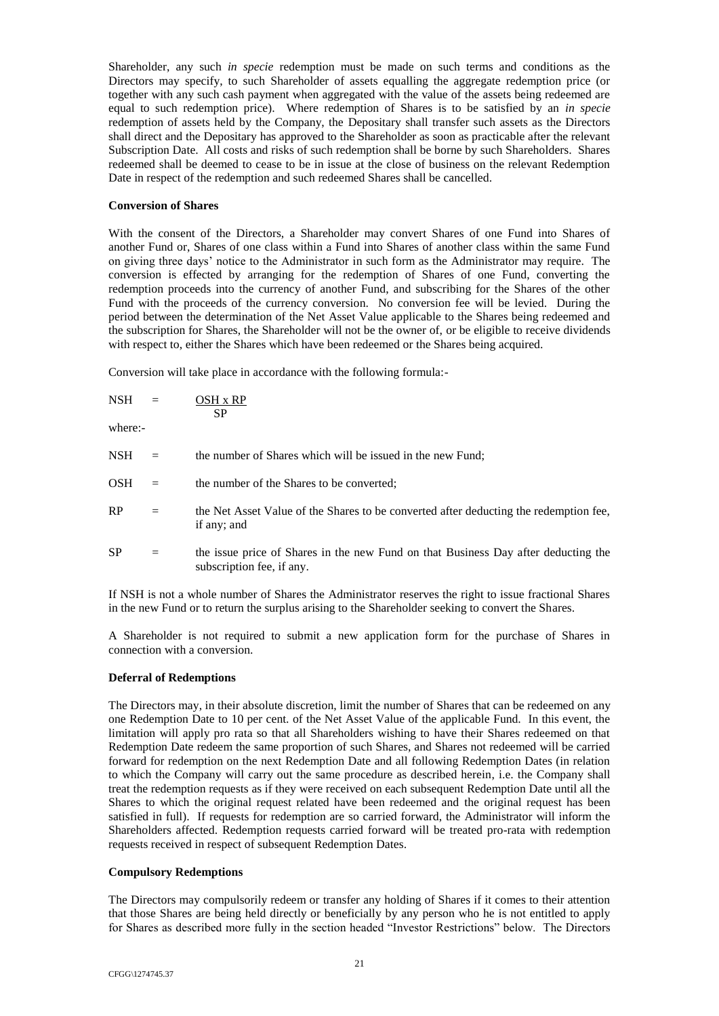Shareholder, any such *in specie* redemption must be made on such terms and conditions as the Directors may specify, to such Shareholder of assets equalling the aggregate redemption price (or together with any such cash payment when aggregated with the value of the assets being redeemed are equal to such redemption price). Where redemption of Shares is to be satisfied by an *in specie* redemption of assets held by the Company, the Depositary shall transfer such assets as the Directors shall direct and the Depositary has approved to the Shareholder as soon as practicable after the relevant Subscription Date. All costs and risks of such redemption shall be borne by such Shareholders. Shares redeemed shall be deemed to cease to be in issue at the close of business on the relevant Redemption Date in respect of the redemption and such redeemed Shares shall be cancelled.

## <span id="page-35-0"></span>**Conversion of Shares**

With the consent of the Directors, a Shareholder may convert Shares of one Fund into Shares of another Fund or, Shares of one class within a Fund into Shares of another class within the same Fund on giving three days' notice to the Administrator in such form as the Administrator may require. The conversion is effected by arranging for the redemption of Shares of one Fund, converting the redemption proceeds into the currency of another Fund, and subscribing for the Shares of the other Fund with the proceeds of the currency conversion. No conversion fee will be levied. During the period between the determination of the Net Asset Value applicable to the Shares being redeemed and the subscription for Shares, the Shareholder will not be the owner of, or be eligible to receive dividends with respect to, either the Shares which have been redeemed or the Shares being acquired.

Conversion will take place in accordance with the following formula:-

| <b>NSH</b> | - | OSH x RP  |
|------------|---|-----------|
|            |   | <b>SP</b> |

where:-

| <b>NSH</b> | $=$ | the number of Shares which will be issued in the new Fund;                                                      |
|------------|-----|-----------------------------------------------------------------------------------------------------------------|
| <b>OSH</b> | $=$ | the number of the Shares to be converted;                                                                       |
| RP         | $=$ | the Net Asset Value of the Shares to be converted after deducting the redemption fee,<br>if any; and            |
| <b>SP</b>  | $=$ | the issue price of Shares in the new Fund on that Business Day after deducting the<br>subscription fee, if any. |

If NSH is not a whole number of Shares the Administrator reserves the right to issue fractional Shares in the new Fund or to return the surplus arising to the Shareholder seeking to convert the Shares.

A Shareholder is not required to submit a new application form for the purchase of Shares in connection with a conversion.

# <span id="page-35-1"></span>**Deferral of Redemptions**

The Directors may, in their absolute discretion, limit the number of Shares that can be redeemed on any one Redemption Date to 10 per cent. of the Net Asset Value of the applicable Fund. In this event, the limitation will apply pro rata so that all Shareholders wishing to have their Shares redeemed on that Redemption Date redeem the same proportion of such Shares, and Shares not redeemed will be carried forward for redemption on the next Redemption Date and all following Redemption Dates (in relation to which the Company will carry out the same procedure as described herein, i.e. the Company shall treat the redemption requests as if they were received on each subsequent Redemption Date until all the Shares to which the original request related have been redeemed and the original request has been satisfied in full). If requests for redemption are so carried forward, the Administrator will inform the Shareholders affected. Redemption requests carried forward will be treated pro-rata with redemption requests received in respect of subsequent Redemption Dates.

# <span id="page-35-2"></span>**Compulsory Redemptions**

The Directors may compulsorily redeem or transfer any holding of Shares if it comes to their attention that those Shares are being held directly or beneficially by any person who he is not entitled to apply for Shares as described more fully in the section headed "Investor Restrictions" below. The Directors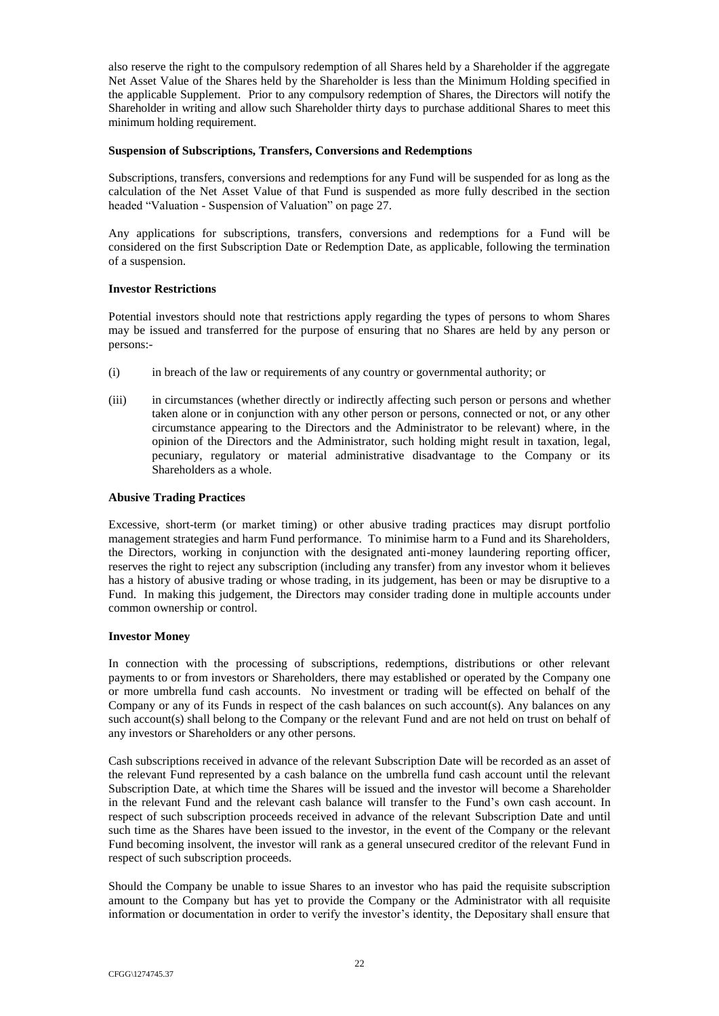also reserve the right to the compulsory redemption of all Shares held by a Shareholder if the aggregate Net Asset Value of the Shares held by the Shareholder is less than the Minimum Holding specified in the applicable Supplement. Prior to any compulsory redemption of Shares, the Directors will notify the Shareholder in writing and allow such Shareholder thirty days to purchase additional Shares to meet this minimum holding requirement.

### <span id="page-36-0"></span>**Suspension of Subscriptions, Transfers, Conversions and Redemptions**

Subscriptions, transfers, conversions and redemptions for any Fund will be suspended for as long as the calculation of the Net Asset Value of that Fund is suspended as more fully described in the section headed "Valuation - Suspension of Valuation" on page [27.](#page-41-0)

Any applications for subscriptions, transfers, conversions and redemptions for a Fund will be considered on the first Subscription Date or Redemption Date, as applicable, following the termination of a suspension.

# <span id="page-36-1"></span>**Investor Restrictions**

Potential investors should note that restrictions apply regarding the types of persons to whom Shares may be issued and transferred for the purpose of ensuring that no Shares are held by any person or persons:-

- (i) in breach of the law or requirements of any country or governmental authority; or
- (iii) in circumstances (whether directly or indirectly affecting such person or persons and whether taken alone or in conjunction with any other person or persons, connected or not, or any other circumstance appearing to the Directors and the Administrator to be relevant) where, in the opinion of the Directors and the Administrator, such holding might result in taxation, legal, pecuniary, regulatory or material administrative disadvantage to the Company or its Shareholders as a whole.

## <span id="page-36-2"></span>**Abusive Trading Practices**

Excessive, short-term (or market timing) or other abusive trading practices may disrupt portfolio management strategies and harm Fund performance. To minimise harm to a Fund and its Shareholders, the Directors, working in conjunction with the designated anti-money laundering reporting officer, reserves the right to reject any subscription (including any transfer) from any investor whom it believes has a history of abusive trading or whose trading, in its judgement, has been or may be disruptive to a Fund. In making this judgement, the Directors may consider trading done in multiple accounts under common ownership or control.

### <span id="page-36-3"></span>**Investor Money**

In connection with the processing of subscriptions, redemptions, distributions or other relevant payments to or from investors or Shareholders, there may established or operated by the Company one or more umbrella fund cash accounts. No investment or trading will be effected on behalf of the Company or any of its Funds in respect of the cash balances on such account(s). Any balances on any such account(s) shall belong to the Company or the relevant Fund and are not held on trust on behalf of any investors or Shareholders or any other persons.

Cash subscriptions received in advance of the relevant Subscription Date will be recorded as an asset of the relevant Fund represented by a cash balance on the umbrella fund cash account until the relevant Subscription Date, at which time the Shares will be issued and the investor will become a Shareholder in the relevant Fund and the relevant cash balance will transfer to the Fund's own cash account. In respect of such subscription proceeds received in advance of the relevant Subscription Date and until such time as the Shares have been issued to the investor, in the event of the Company or the relevant Fund becoming insolvent, the investor will rank as a general unsecured creditor of the relevant Fund in respect of such subscription proceeds.

Should the Company be unable to issue Shares to an investor who has paid the requisite subscription amount to the Company but has yet to provide the Company or the Administrator with all requisite information or documentation in order to verify the investor's identity, the Depositary shall ensure that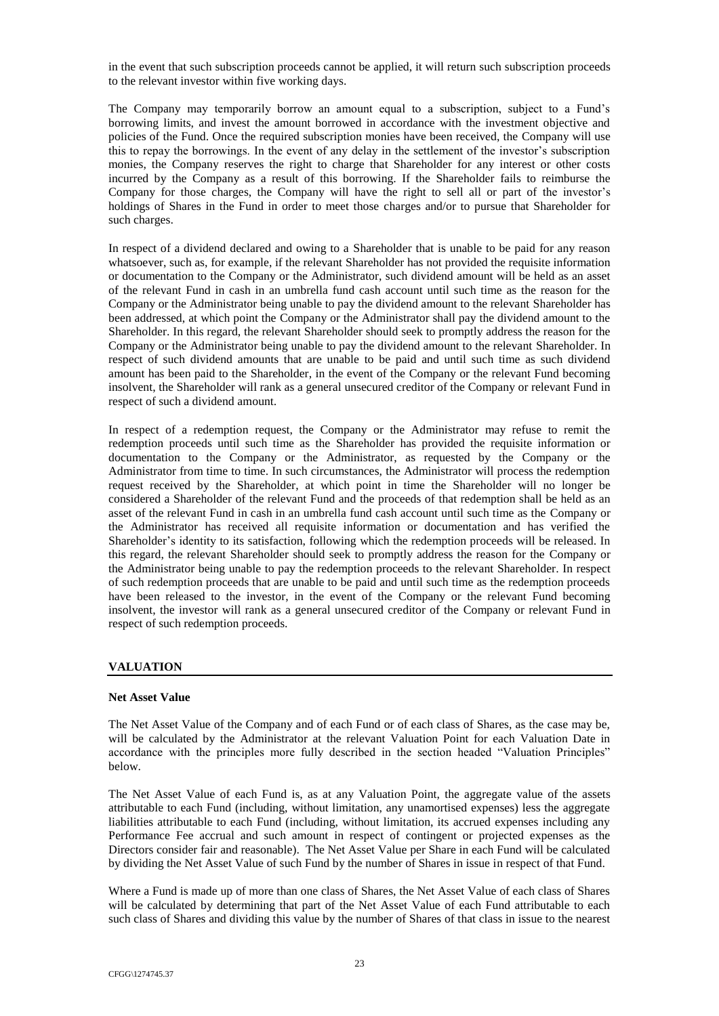in the event that such subscription proceeds cannot be applied, it will return such subscription proceeds to the relevant investor within five working days.

The Company may temporarily borrow an amount equal to a subscription, subject to a Fund's borrowing limits, and invest the amount borrowed in accordance with the investment objective and policies of the Fund. Once the required subscription monies have been received, the Company will use this to repay the borrowings. In the event of any delay in the settlement of the investor's subscription monies, the Company reserves the right to charge that Shareholder for any interest or other costs incurred by the Company as a result of this borrowing. If the Shareholder fails to reimburse the Company for those charges, the Company will have the right to sell all or part of the investor's holdings of Shares in the Fund in order to meet those charges and/or to pursue that Shareholder for such charges.

In respect of a dividend declared and owing to a Shareholder that is unable to be paid for any reason whatsoever, such as, for example, if the relevant Shareholder has not provided the requisite information or documentation to the Company or the Administrator, such dividend amount will be held as an asset of the relevant Fund in cash in an umbrella fund cash account until such time as the reason for the Company or the Administrator being unable to pay the dividend amount to the relevant Shareholder has been addressed, at which point the Company or the Administrator shall pay the dividend amount to the Shareholder. In this regard, the relevant Shareholder should seek to promptly address the reason for the Company or the Administrator being unable to pay the dividend amount to the relevant Shareholder. In respect of such dividend amounts that are unable to be paid and until such time as such dividend amount has been paid to the Shareholder, in the event of the Company or the relevant Fund becoming insolvent, the Shareholder will rank as a general unsecured creditor of the Company or relevant Fund in respect of such a dividend amount.

In respect of a redemption request, the Company or the Administrator may refuse to remit the redemption proceeds until such time as the Shareholder has provided the requisite information or documentation to the Company or the Administrator, as requested by the Company or the Administrator from time to time. In such circumstances, the Administrator will process the redemption request received by the Shareholder, at which point in time the Shareholder will no longer be considered a Shareholder of the relevant Fund and the proceeds of that redemption shall be held as an asset of the relevant Fund in cash in an umbrella fund cash account until such time as the Company or the Administrator has received all requisite information or documentation and has verified the Shareholder's identity to its satisfaction, following which the redemption proceeds will be released. In this regard, the relevant Shareholder should seek to promptly address the reason for the Company or the Administrator being unable to pay the redemption proceeds to the relevant Shareholder. In respect of such redemption proceeds that are unable to be paid and until such time as the redemption proceeds have been released to the investor, in the event of the Company or the relevant Fund becoming insolvent, the investor will rank as a general unsecured creditor of the Company or relevant Fund in respect of such redemption proceeds.

### **VALUATION**

### <span id="page-37-0"></span>**Net Asset Value**

The Net Asset Value of the Company and of each Fund or of each class of Shares, as the case may be, will be calculated by the Administrator at the relevant Valuation Point for each Valuation Date in accordance with the principles more fully described in the section headed "Valuation Principles" below.

The Net Asset Value of each Fund is, as at any Valuation Point, the aggregate value of the assets attributable to each Fund (including, without limitation, any unamortised expenses) less the aggregate liabilities attributable to each Fund (including, without limitation, its accrued expenses including any Performance Fee accrual and such amount in respect of contingent or projected expenses as the Directors consider fair and reasonable). The Net Asset Value per Share in each Fund will be calculated by dividing the Net Asset Value of such Fund by the number of Shares in issue in respect of that Fund.

Where a Fund is made up of more than one class of Shares, the Net Asset Value of each class of Shares will be calculated by determining that part of the Net Asset Value of each Fund attributable to each such class of Shares and dividing this value by the number of Shares of that class in issue to the nearest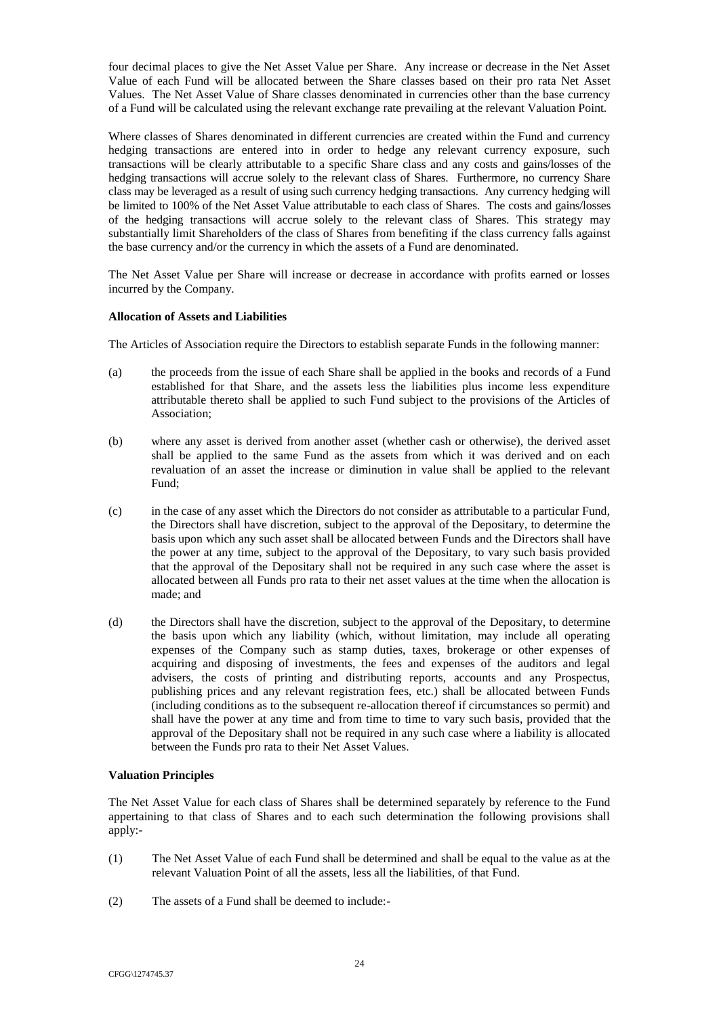four decimal places to give the Net Asset Value per Share. Any increase or decrease in the Net Asset Value of each Fund will be allocated between the Share classes based on their pro rata Net Asset Values. The Net Asset Value of Share classes denominated in currencies other than the base currency of a Fund will be calculated using the relevant exchange rate prevailing at the relevant Valuation Point.

Where classes of Shares denominated in different currencies are created within the Fund and currency hedging transactions are entered into in order to hedge any relevant currency exposure, such transactions will be clearly attributable to a specific Share class and any costs and gains/losses of the hedging transactions will accrue solely to the relevant class of Shares. Furthermore, no currency Share class may be leveraged as a result of using such currency hedging transactions. Any currency hedging will be limited to 100% of the Net Asset Value attributable to each class of Shares. The costs and gains/losses of the hedging transactions will accrue solely to the relevant class of Shares. This strategy may substantially limit Shareholders of the class of Shares from benefiting if the class currency falls against the base currency and/or the currency in which the assets of a Fund are denominated.

The Net Asset Value per Share will increase or decrease in accordance with profits earned or losses incurred by the Company.

## <span id="page-38-0"></span>**Allocation of Assets and Liabilities**

The Articles of Association require the Directors to establish separate Funds in the following manner:

- (a) the proceeds from the issue of each Share shall be applied in the books and records of a Fund established for that Share, and the assets less the liabilities plus income less expenditure attributable thereto shall be applied to such Fund subject to the provisions of the Articles of Association;
- (b) where any asset is derived from another asset (whether cash or otherwise), the derived asset shall be applied to the same Fund as the assets from which it was derived and on each revaluation of an asset the increase or diminution in value shall be applied to the relevant Fund;
- (c) in the case of any asset which the Directors do not consider as attributable to a particular Fund, the Directors shall have discretion, subject to the approval of the Depositary, to determine the basis upon which any such asset shall be allocated between Funds and the Directors shall have the power at any time, subject to the approval of the Depositary, to vary such basis provided that the approval of the Depositary shall not be required in any such case where the asset is allocated between all Funds pro rata to their net asset values at the time when the allocation is made; and
- (d) the Directors shall have the discretion, subject to the approval of the Depositary, to determine the basis upon which any liability (which, without limitation, may include all operating expenses of the Company such as stamp duties, taxes, brokerage or other expenses of acquiring and disposing of investments, the fees and expenses of the auditors and legal advisers, the costs of printing and distributing reports, accounts and any Prospectus, publishing prices and any relevant registration fees, etc.) shall be allocated between Funds (including conditions as to the subsequent re-allocation thereof if circumstances so permit) and shall have the power at any time and from time to time to vary such basis, provided that the approval of the Depositary shall not be required in any such case where a liability is allocated between the Funds pro rata to their Net Asset Values.

# <span id="page-38-1"></span>**Valuation Principles**

The Net Asset Value for each class of Shares shall be determined separately by reference to the Fund appertaining to that class of Shares and to each such determination the following provisions shall apply:-

- (1) The Net Asset Value of each Fund shall be determined and shall be equal to the value as at the relevant Valuation Point of all the assets, less all the liabilities, of that Fund.
- (2) The assets of a Fund shall be deemed to include:-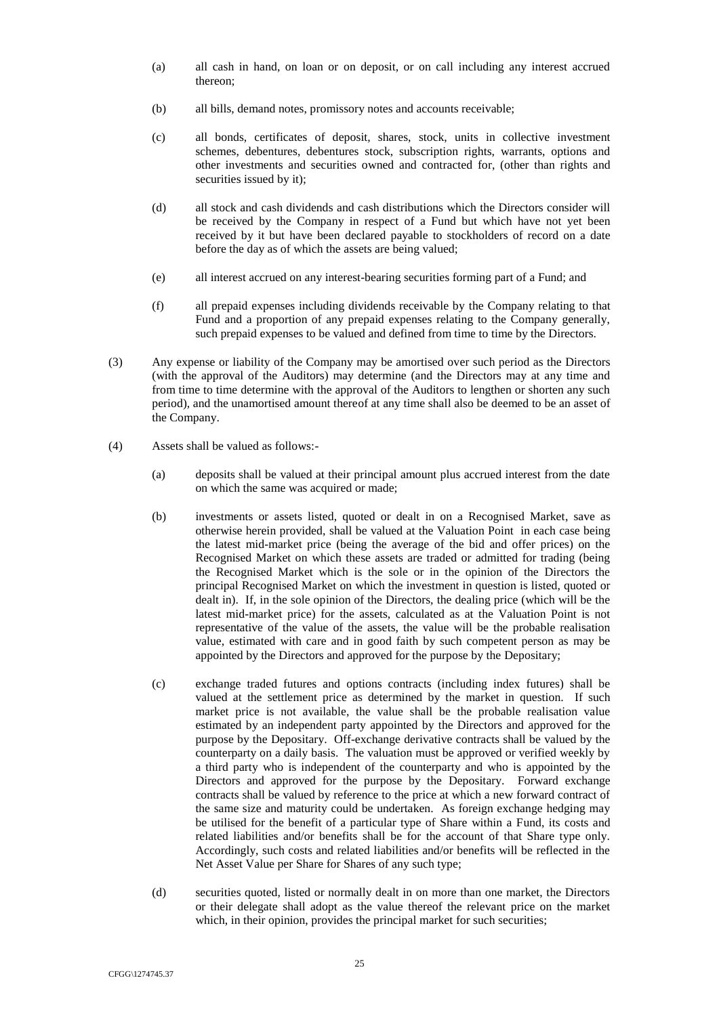- (a) all cash in hand, on loan or on deposit, or on call including any interest accrued thereon;
- (b) all bills, demand notes, promissory notes and accounts receivable;
- (c) all bonds, certificates of deposit, shares, stock, units in collective investment schemes, debentures, debentures stock, subscription rights, warrants, options and other investments and securities owned and contracted for, (other than rights and securities issued by it);
- (d) all stock and cash dividends and cash distributions which the Directors consider will be received by the Company in respect of a Fund but which have not yet been received by it but have been declared payable to stockholders of record on a date before the day as of which the assets are being valued;
- (e) all interest accrued on any interest-bearing securities forming part of a Fund; and
- (f) all prepaid expenses including dividends receivable by the Company relating to that Fund and a proportion of any prepaid expenses relating to the Company generally, such prepaid expenses to be valued and defined from time to time by the Directors.
- (3) Any expense or liability of the Company may be amortised over such period as the Directors (with the approval of the Auditors) may determine (and the Directors may at any time and from time to time determine with the approval of the Auditors to lengthen or shorten any such period), and the unamortised amount thereof at any time shall also be deemed to be an asset of the Company.
- (4) Assets shall be valued as follows:-
	- (a) deposits shall be valued at their principal amount plus accrued interest from the date on which the same was acquired or made;
	- (b) investments or assets listed, quoted or dealt in on a Recognised Market, save as otherwise herein provided, shall be valued at the Valuation Point in each case being the latest mid-market price (being the average of the bid and offer prices) on the Recognised Market on which these assets are traded or admitted for trading (being the Recognised Market which is the sole or in the opinion of the Directors the principal Recognised Market on which the investment in question is listed, quoted or dealt in). If, in the sole opinion of the Directors, the dealing price (which will be the latest mid-market price) for the assets, calculated as at the Valuation Point is not representative of the value of the assets, the value will be the probable realisation value, estimated with care and in good faith by such competent person as may be appointed by the Directors and approved for the purpose by the Depositary;
	- (c) exchange traded futures and options contracts (including index futures) shall be valued at the settlement price as determined by the market in question. If such market price is not available, the value shall be the probable realisation value estimated by an independent party appointed by the Directors and approved for the purpose by the Depositary. Off-exchange derivative contracts shall be valued by the counterparty on a daily basis. The valuation must be approved or verified weekly by a third party who is independent of the counterparty and who is appointed by the Directors and approved for the purpose by the Depositary. Forward exchange contracts shall be valued by reference to the price at which a new forward contract of the same size and maturity could be undertaken. As foreign exchange hedging may be utilised for the benefit of a particular type of Share within a Fund, its costs and related liabilities and/or benefits shall be for the account of that Share type only. Accordingly, such costs and related liabilities and/or benefits will be reflected in the Net Asset Value per Share for Shares of any such type;
	- (d) securities quoted, listed or normally dealt in on more than one market, the Directors or their delegate shall adopt as the value thereof the relevant price on the market which, in their opinion, provides the principal market for such securities;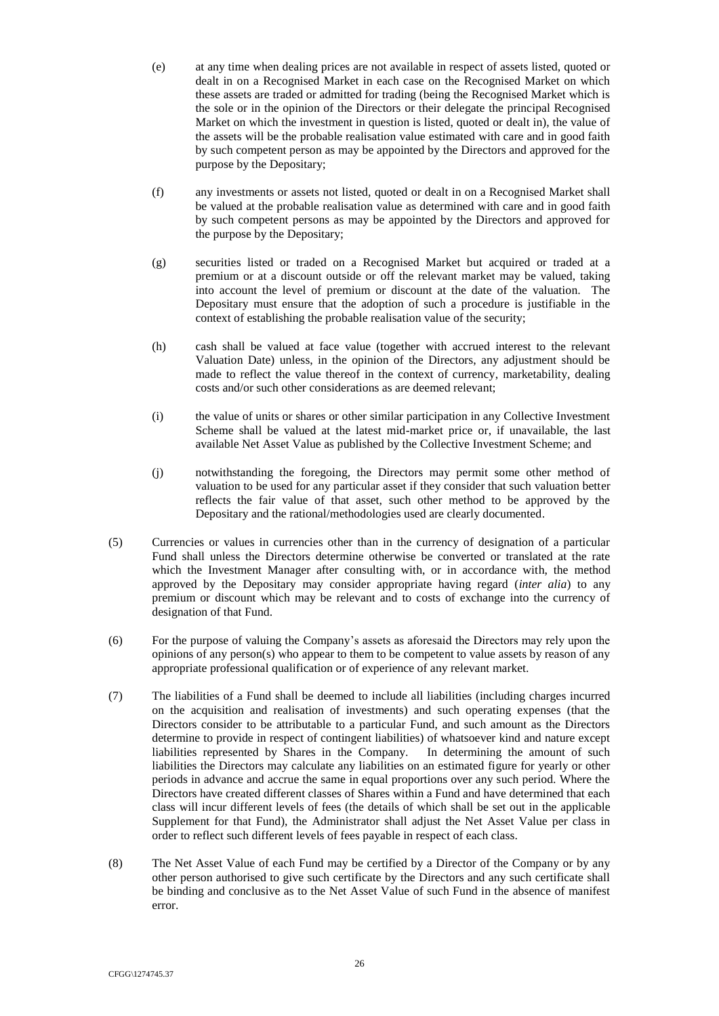- (e) at any time when dealing prices are not available in respect of assets listed, quoted or dealt in on a Recognised Market in each case on the Recognised Market on which these assets are traded or admitted for trading (being the Recognised Market which is the sole or in the opinion of the Directors or their delegate the principal Recognised Market on which the investment in question is listed, quoted or dealt in), the value of the assets will be the probable realisation value estimated with care and in good faith by such competent person as may be appointed by the Directors and approved for the purpose by the Depositary;
- (f) any investments or assets not listed, quoted or dealt in on a Recognised Market shall be valued at the probable realisation value as determined with care and in good faith by such competent persons as may be appointed by the Directors and approved for the purpose by the Depositary;
- (g) securities listed or traded on a Recognised Market but acquired or traded at a premium or at a discount outside or off the relevant market may be valued, taking into account the level of premium or discount at the date of the valuation. The Depositary must ensure that the adoption of such a procedure is justifiable in the context of establishing the probable realisation value of the security;
- (h) cash shall be valued at face value (together with accrued interest to the relevant Valuation Date) unless, in the opinion of the Directors, any adjustment should be made to reflect the value thereof in the context of currency, marketability, dealing costs and/or such other considerations as are deemed relevant;
- (i) the value of units or shares or other similar participation in any Collective Investment Scheme shall be valued at the latest mid-market price or, if unavailable, the last available Net Asset Value as published by the Collective Investment Scheme; and
- (j) notwithstanding the foregoing, the Directors may permit some other method of valuation to be used for any particular asset if they consider that such valuation better reflects the fair value of that asset, such other method to be approved by the Depositary and the rational/methodologies used are clearly documented.
- (5) Currencies or values in currencies other than in the currency of designation of a particular Fund shall unless the Directors determine otherwise be converted or translated at the rate which the Investment Manager after consulting with, or in accordance with, the method approved by the Depositary may consider appropriate having regard (*inter alia*) to any premium or discount which may be relevant and to costs of exchange into the currency of designation of that Fund.
- (6) For the purpose of valuing the Company's assets as aforesaid the Directors may rely upon the opinions of any person(s) who appear to them to be competent to value assets by reason of any appropriate professional qualification or of experience of any relevant market.
- (7) The liabilities of a Fund shall be deemed to include all liabilities (including charges incurred on the acquisition and realisation of investments) and such operating expenses (that the Directors consider to be attributable to a particular Fund, and such amount as the Directors determine to provide in respect of contingent liabilities) of whatsoever kind and nature except liabilities represented by Shares in the Company. In determining the amount of such liabilities the Directors may calculate any liabilities on an estimated figure for yearly or other periods in advance and accrue the same in equal proportions over any such period. Where the Directors have created different classes of Shares within a Fund and have determined that each class will incur different levels of fees (the details of which shall be set out in the applicable Supplement for that Fund), the Administrator shall adjust the Net Asset Value per class in order to reflect such different levels of fees payable in respect of each class.
- (8) The Net Asset Value of each Fund may be certified by a Director of the Company or by any other person authorised to give such certificate by the Directors and any such certificate shall be binding and conclusive as to the Net Asset Value of such Fund in the absence of manifest error.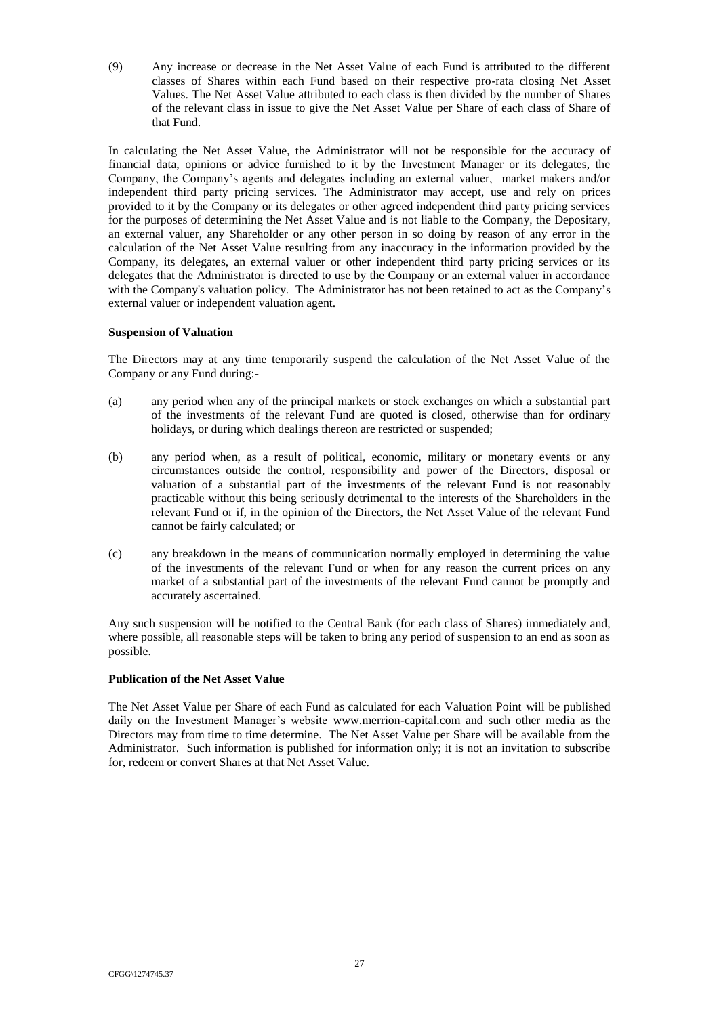(9) Any increase or decrease in the Net Asset Value of each Fund is attributed to the different classes of Shares within each Fund based on their respective pro-rata closing Net Asset Values. The Net Asset Value attributed to each class is then divided by the number of Shares of the relevant class in issue to give the Net Asset Value per Share of each class of Share of that Fund.

In calculating the Net Asset Value, the Administrator will not be responsible for the accuracy of financial data, opinions or advice furnished to it by the Investment Manager or its delegates, the Company, the Company's agents and delegates including an external valuer, market makers and/or independent third party pricing services. The Administrator may accept, use and rely on prices provided to it by the Company or its delegates or other agreed independent third party pricing services for the purposes of determining the Net Asset Value and is not liable to the Company, the Depositary, an external valuer, any Shareholder or any other person in so doing by reason of any error in the calculation of the Net Asset Value resulting from any inaccuracy in the information provided by the Company, its delegates, an external valuer or other independent third party pricing services or its delegates that the Administrator is directed to use by the Company or an external valuer in accordance with the Company's valuation policy. The Administrator has not been retained to act as the Company's external valuer or independent valuation agent.

## <span id="page-41-0"></span>**Suspension of Valuation**

The Directors may at any time temporarily suspend the calculation of the Net Asset Value of the Company or any Fund during:-

- (a) any period when any of the principal markets or stock exchanges on which a substantial part of the investments of the relevant Fund are quoted is closed, otherwise than for ordinary holidays, or during which dealings thereon are restricted or suspended;
- (b) any period when, as a result of political, economic, military or monetary events or any circumstances outside the control, responsibility and power of the Directors, disposal or valuation of a substantial part of the investments of the relevant Fund is not reasonably practicable without this being seriously detrimental to the interests of the Shareholders in the relevant Fund or if, in the opinion of the Directors, the Net Asset Value of the relevant Fund cannot be fairly calculated; or
- (c) any breakdown in the means of communication normally employed in determining the value of the investments of the relevant Fund or when for any reason the current prices on any market of a substantial part of the investments of the relevant Fund cannot be promptly and accurately ascertained.

Any such suspension will be notified to the Central Bank (for each class of Shares) immediately and, where possible, all reasonable steps will be taken to bring any period of suspension to an end as soon as possible.

# <span id="page-41-1"></span>**Publication of the Net Asset Value**

The Net Asset Value per Share of each Fund as calculated for each Valuation Point will be published daily on the Investment Manager's website www.merrion-capital.com and such other media as the Directors may from time to time determine. The Net Asset Value per Share will be available from the Administrator. Such information is published for information only; it is not an invitation to subscribe for, redeem or convert Shares at that Net Asset Value.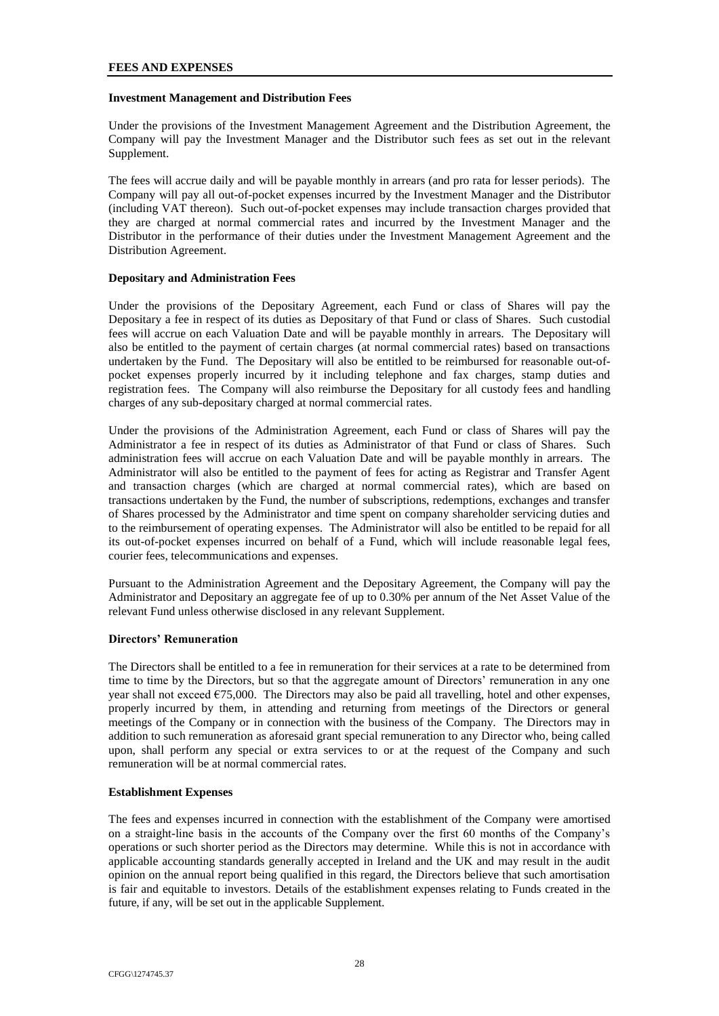### <span id="page-42-4"></span>**FEES AND EXPENSES**

### <span id="page-42-0"></span>**Investment Management and Distribution Fees**

Under the provisions of the Investment Management Agreement and the Distribution Agreement, the Company will pay the Investment Manager and the Distributor such fees as set out in the relevant Supplement.

The fees will accrue daily and will be payable monthly in arrears (and pro rata for lesser periods). The Company will pay all out-of-pocket expenses incurred by the Investment Manager and the Distributor (including VAT thereon). Such out-of-pocket expenses may include transaction charges provided that they are charged at normal commercial rates and incurred by the Investment Manager and the Distributor in the performance of their duties under the Investment Management Agreement and the Distribution Agreement.

## <span id="page-42-1"></span>**Depositary and Administration Fees**

Under the provisions of the Depositary Agreement, each Fund or class of Shares will pay the Depositary a fee in respect of its duties as Depositary of that Fund or class of Shares. Such custodial fees will accrue on each Valuation Date and will be payable monthly in arrears. The Depositary will also be entitled to the payment of certain charges (at normal commercial rates) based on transactions undertaken by the Fund. The Depositary will also be entitled to be reimbursed for reasonable out-ofpocket expenses properly incurred by it including telephone and fax charges, stamp duties and registration fees. The Company will also reimburse the Depositary for all custody fees and handling charges of any sub-depositary charged at normal commercial rates.

Under the provisions of the Administration Agreement, each Fund or class of Shares will pay the Administrator a fee in respect of its duties as Administrator of that Fund or class of Shares. Such administration fees will accrue on each Valuation Date and will be payable monthly in arrears. The Administrator will also be entitled to the payment of fees for acting as Registrar and Transfer Agent and transaction charges (which are charged at normal commercial rates), which are based on transactions undertaken by the Fund, the number of subscriptions, redemptions, exchanges and transfer of Shares processed by the Administrator and time spent on company shareholder servicing duties and to the reimbursement of operating expenses. The Administrator will also be entitled to be repaid for all its out-of-pocket expenses incurred on behalf of a Fund, which will include reasonable legal fees, courier fees, telecommunications and expenses.

Pursuant to the Administration Agreement and the Depositary Agreement, the Company will pay the Administrator and Depositary an aggregate fee of up to 0.30% per annum of the Net Asset Value of the relevant Fund unless otherwise disclosed in any relevant Supplement.

## <span id="page-42-2"></span>**Directors' Remuneration**

The Directors shall be entitled to a fee in remuneration for their services at a rate to be determined from time to time by the Directors, but so that the aggregate amount of Directors' remuneration in any one year shall not exceed  $\epsilon$ 75,000. The Directors may also be paid all travelling, hotel and other expenses, properly incurred by them, in attending and returning from meetings of the Directors or general meetings of the Company or in connection with the business of the Company. The Directors may in addition to such remuneration as aforesaid grant special remuneration to any Director who, being called upon, shall perform any special or extra services to or at the request of the Company and such remuneration will be at normal commercial rates.

# <span id="page-42-3"></span>**Establishment Expenses**

The fees and expenses incurred in connection with the establishment of the Company were amortised on a straight-line basis in the accounts of the Company over the first 60 months of the Company's operations or such shorter period as the Directors may determine. While this is not in accordance with applicable accounting standards generally accepted in Ireland and the UK and may result in the audit opinion on the annual report being qualified in this regard, the Directors believe that such amortisation is fair and equitable to investors. Details of the establishment expenses relating to Funds created in the future, if any, will be set out in the applicable Supplement.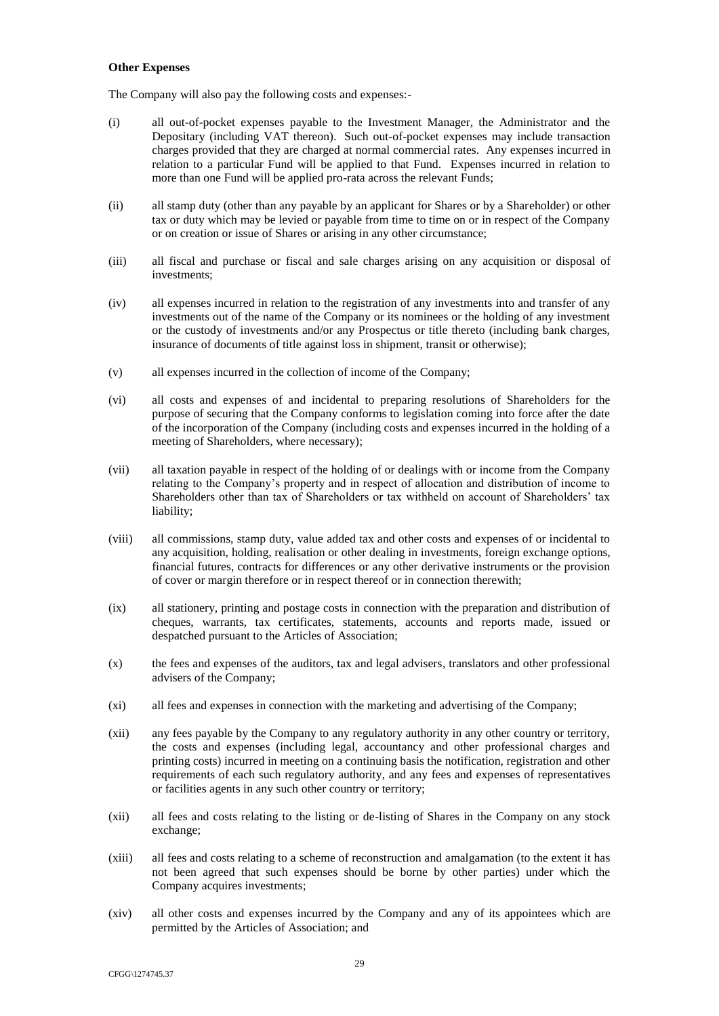#### <span id="page-43-0"></span>**Other Expenses**

The Company will also pay the following costs and expenses:-

- (i) all out-of-pocket expenses payable to the Investment Manager, the Administrator and the Depositary (including VAT thereon). Such out-of-pocket expenses may include transaction charges provided that they are charged at normal commercial rates. Any expenses incurred in relation to a particular Fund will be applied to that Fund. Expenses incurred in relation to more than one Fund will be applied pro-rata across the relevant Funds;
- (ii) all stamp duty (other than any payable by an applicant for Shares or by a Shareholder) or other tax or duty which may be levied or payable from time to time on or in respect of the Company or on creation or issue of Shares or arising in any other circumstance;
- (iii) all fiscal and purchase or fiscal and sale charges arising on any acquisition or disposal of investments;
- (iv) all expenses incurred in relation to the registration of any investments into and transfer of any investments out of the name of the Company or its nominees or the holding of any investment or the custody of investments and/or any Prospectus or title thereto (including bank charges, insurance of documents of title against loss in shipment, transit or otherwise);
- (v) all expenses incurred in the collection of income of the Company;
- (vi) all costs and expenses of and incidental to preparing resolutions of Shareholders for the purpose of securing that the Company conforms to legislation coming into force after the date of the incorporation of the Company (including costs and expenses incurred in the holding of a meeting of Shareholders, where necessary);
- (vii) all taxation payable in respect of the holding of or dealings with or income from the Company relating to the Company's property and in respect of allocation and distribution of income to Shareholders other than tax of Shareholders or tax withheld on account of Shareholders' tax liability;
- (viii) all commissions, stamp duty, value added tax and other costs and expenses of or incidental to any acquisition, holding, realisation or other dealing in investments, foreign exchange options, financial futures, contracts for differences or any other derivative instruments or the provision of cover or margin therefore or in respect thereof or in connection therewith;
- (ix) all stationery, printing and postage costs in connection with the preparation and distribution of cheques, warrants, tax certificates, statements, accounts and reports made, issued or despatched pursuant to the Articles of Association;
- (x) the fees and expenses of the auditors, tax and legal advisers, translators and other professional advisers of the Company;
- (xi) all fees and expenses in connection with the marketing and advertising of the Company;
- (xii) any fees payable by the Company to any regulatory authority in any other country or territory, the costs and expenses (including legal, accountancy and other professional charges and printing costs) incurred in meeting on a continuing basis the notification, registration and other requirements of each such regulatory authority, and any fees and expenses of representatives or facilities agents in any such other country or territory;
- (xii) all fees and costs relating to the listing or de-listing of Shares in the Company on any stock exchange;
- (xiii) all fees and costs relating to a scheme of reconstruction and amalgamation (to the extent it has not been agreed that such expenses should be borne by other parties) under which the Company acquires investments;
- (xiv) all other costs and expenses incurred by the Company and any of its appointees which are permitted by the Articles of Association; and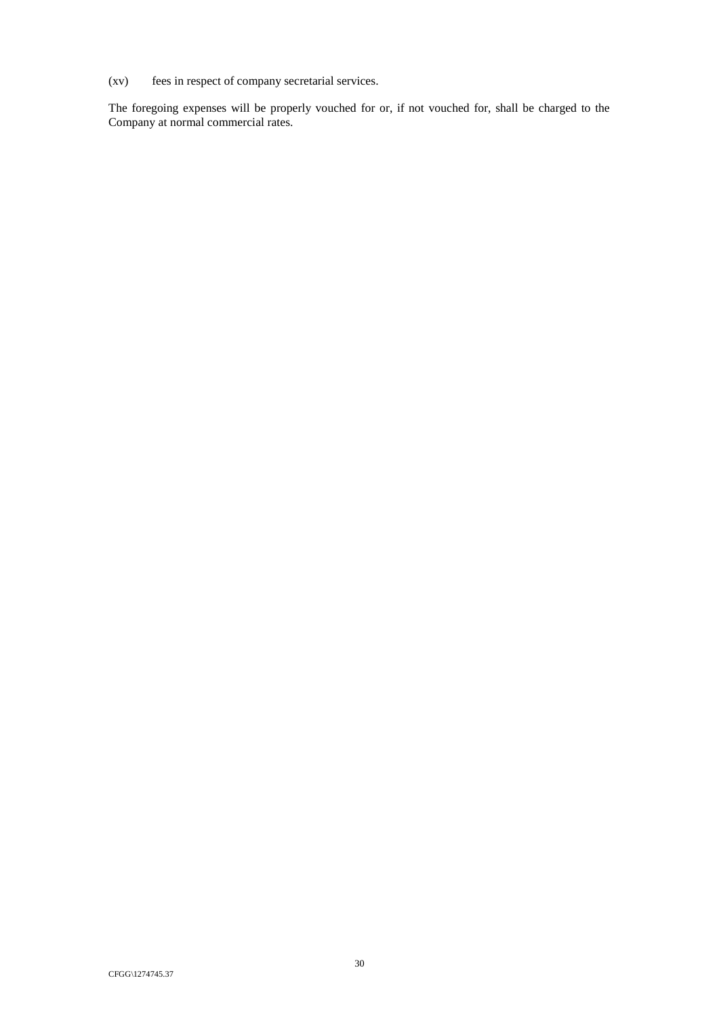(xv) fees in respect of company secretarial services.

The foregoing expenses will be properly vouched for or, if not vouched for, shall be charged to the Company at normal commercial rates.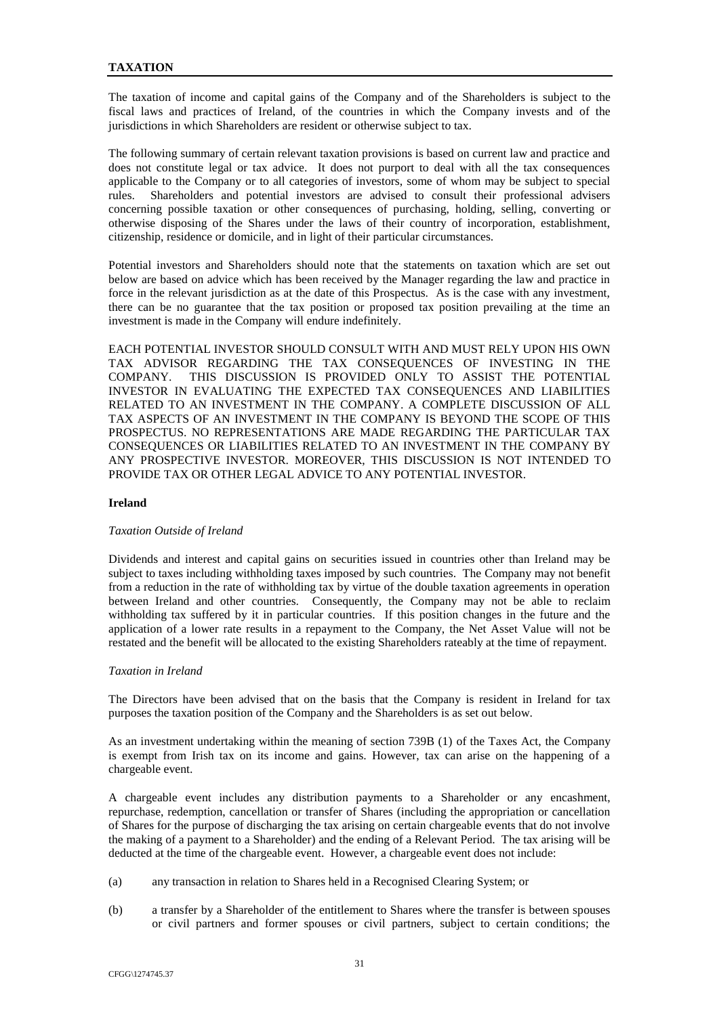<span id="page-45-0"></span>The taxation of income and capital gains of the Company and of the Shareholders is subject to the fiscal laws and practices of Ireland, of the countries in which the Company invests and of the jurisdictions in which Shareholders are resident or otherwise subject to tax.

The following summary of certain relevant taxation provisions is based on current law and practice and does not constitute legal or tax advice. It does not purport to deal with all the tax consequences applicable to the Company or to all categories of investors, some of whom may be subject to special rules. Shareholders and potential investors are advised to consult their professional advisers concerning possible taxation or other consequences of purchasing, holding, selling, converting or otherwise disposing of the Shares under the laws of their country of incorporation, establishment, citizenship, residence or domicile, and in light of their particular circumstances.

Potential investors and Shareholders should note that the statements on taxation which are set out below are based on advice which has been received by the Manager regarding the law and practice in force in the relevant jurisdiction as at the date of this Prospectus. As is the case with any investment, there can be no guarantee that the tax position or proposed tax position prevailing at the time an investment is made in the Company will endure indefinitely.

EACH POTENTIAL INVESTOR SHOULD CONSULT WITH AND MUST RELY UPON HIS OWN TAX ADVISOR REGARDING THE TAX CONSEQUENCES OF INVESTING IN THE COMPANY. THIS DISCUSSION IS PROVIDED ONLY TO ASSIST THE POTENTIAL INVESTOR IN EVALUATING THE EXPECTED TAX CONSEQUENCES AND LIABILITIES RELATED TO AN INVESTMENT IN THE COMPANY. A COMPLETE DISCUSSION OF ALL TAX ASPECTS OF AN INVESTMENT IN THE COMPANY IS BEYOND THE SCOPE OF THIS PROSPECTUS. NO REPRESENTATIONS ARE MADE REGARDING THE PARTICULAR TAX CONSEQUENCES OR LIABILITIES RELATED TO AN INVESTMENT IN THE COMPANY BY ANY PROSPECTIVE INVESTOR. MOREOVER, THIS DISCUSSION IS NOT INTENDED TO PROVIDE TAX OR OTHER LEGAL ADVICE TO ANY POTENTIAL INVESTOR.

### **Ireland**

### *Taxation Outside of Ireland*

Dividends and interest and capital gains on securities issued in countries other than Ireland may be subject to taxes including withholding taxes imposed by such countries. The Company may not benefit from a reduction in the rate of withholding tax by virtue of the double taxation agreements in operation between Ireland and other countries. Consequently, the Company may not be able to reclaim withholding tax suffered by it in particular countries. If this position changes in the future and the application of a lower rate results in a repayment to the Company, the Net Asset Value will not be restated and the benefit will be allocated to the existing Shareholders rateably at the time of repayment.

### *Taxation in Ireland*

The Directors have been advised that on the basis that the Company is resident in Ireland for tax purposes the taxation position of the Company and the Shareholders is as set out below.

As an investment undertaking within the meaning of section 739B (1) of the Taxes Act, the Company is exempt from Irish tax on its income and gains. However, tax can arise on the happening of a chargeable event.

A chargeable event includes any distribution payments to a Shareholder or any encashment, repurchase, redemption, cancellation or transfer of Shares (including the appropriation or cancellation of Shares for the purpose of discharging the tax arising on certain chargeable events that do not involve the making of a payment to a Shareholder) and the ending of a Relevant Period. The tax arising will be deducted at the time of the chargeable event. However, a chargeable event does not include:

- (a) any transaction in relation to Shares held in a Recognised Clearing System; or
- (b) a transfer by a Shareholder of the entitlement to Shares where the transfer is between spouses or civil partners and former spouses or civil partners, subject to certain conditions; the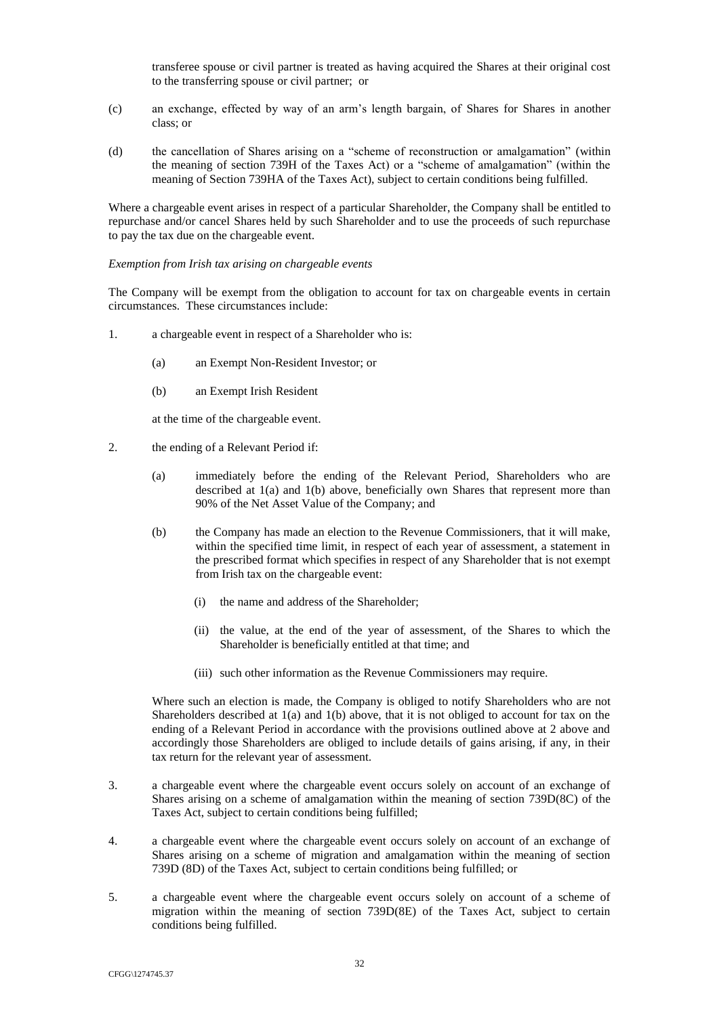transferee spouse or civil partner is treated as having acquired the Shares at their original cost to the transferring spouse or civil partner; or

- (c) an exchange, effected by way of an arm's length bargain, of Shares for Shares in another class; or
- (d) the cancellation of Shares arising on a "scheme of reconstruction or amalgamation" (within the meaning of section 739H of the Taxes Act) or a "scheme of amalgamation" (within the meaning of Section 739HA of the Taxes Act), subject to certain conditions being fulfilled.

Where a chargeable event arises in respect of a particular Shareholder, the Company shall be entitled to repurchase and/or cancel Shares held by such Shareholder and to use the proceeds of such repurchase to pay the tax due on the chargeable event.

## *Exemption from Irish tax arising on chargeable events*

The Company will be exempt from the obligation to account for tax on chargeable events in certain circumstances. These circumstances include:

- 1. a chargeable event in respect of a Shareholder who is:
	- (a) an Exempt Non-Resident Investor; or
	- (b) an Exempt Irish Resident

at the time of the chargeable event.

- 2. the ending of a Relevant Period if:
	- (a) immediately before the ending of the Relevant Period, Shareholders who are described at 1(a) and 1(b) above, beneficially own Shares that represent more than 90% of the Net Asset Value of the Company; and
	- (b) the Company has made an election to the Revenue Commissioners, that it will make, within the specified time limit, in respect of each year of assessment, a statement in the prescribed format which specifies in respect of any Shareholder that is not exempt from Irish tax on the chargeable event:
		- (i) the name and address of the Shareholder;
		- (ii) the value, at the end of the year of assessment, of the Shares to which the Shareholder is beneficially entitled at that time; and
		- (iii) such other information as the Revenue Commissioners may require.

Where such an election is made, the Company is obliged to notify Shareholders who are not Shareholders described at  $1(a)$  and  $1(b)$  above, that it is not obliged to account for tax on the ending of a Relevant Period in accordance with the provisions outlined above at 2 above and accordingly those Shareholders are obliged to include details of gains arising, if any, in their tax return for the relevant year of assessment.

- 3. a chargeable event where the chargeable event occurs solely on account of an exchange of Shares arising on a scheme of amalgamation within the meaning of section 739D(8C) of the Taxes Act, subject to certain conditions being fulfilled;
- 4. a chargeable event where the chargeable event occurs solely on account of an exchange of Shares arising on a scheme of migration and amalgamation within the meaning of section 739D (8D) of the Taxes Act, subject to certain conditions being fulfilled; or
- 5. a chargeable event where the chargeable event occurs solely on account of a scheme of migration within the meaning of section 739D(8E) of the Taxes Act, subject to certain conditions being fulfilled.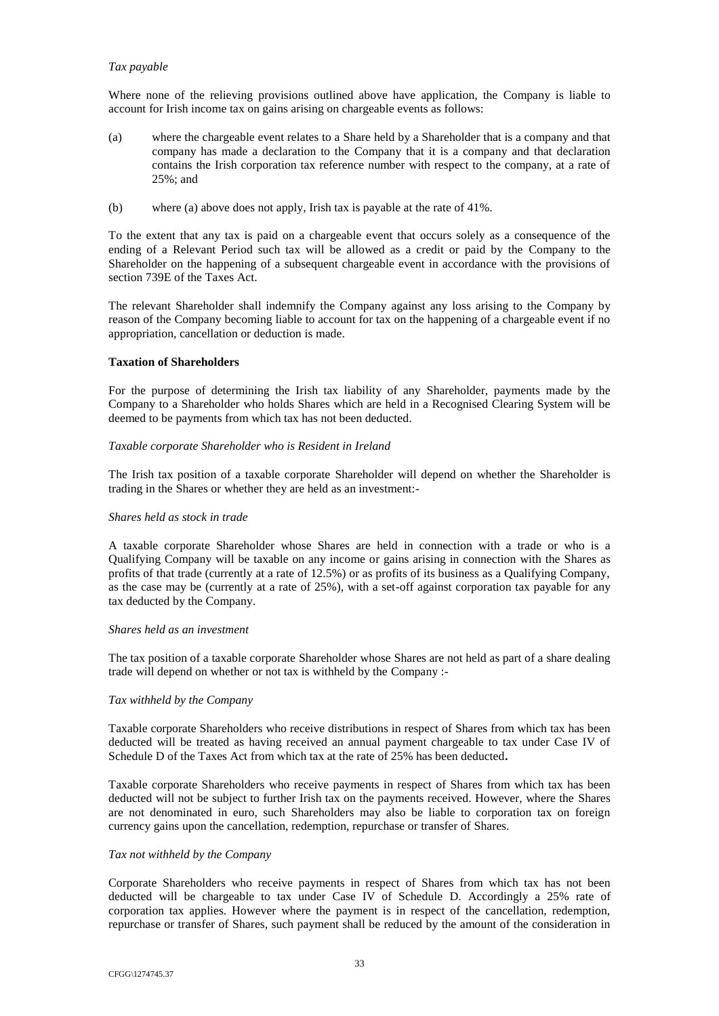# *Tax payable*

Where none of the relieving provisions outlined above have application, the Company is liable to account for Irish income tax on gains arising on chargeable events as follows:

- (a) where the chargeable event relates to a Share held by a Shareholder that is a company and that company has made a declaration to the Company that it is a company and that declaration contains the Irish corporation tax reference number with respect to the company, at a rate of 25%; and
- (b) where (a) above does not apply, Irish tax is payable at the rate of 41%.

To the extent that any tax is paid on a chargeable event that occurs solely as a consequence of the ending of a Relevant Period such tax will be allowed as a credit or paid by the Company to the Shareholder on the happening of a subsequent chargeable event in accordance with the provisions of section 739E of the Taxes Act.

The relevant Shareholder shall indemnify the Company against any loss arising to the Company by reason of the Company becoming liable to account for tax on the happening of a chargeable event if no appropriation, cancellation or deduction is made.

## **Taxation of Shareholders**

For the purpose of determining the Irish tax liability of any Shareholder, payments made by the Company to a Shareholder who holds Shares which are held in a Recognised Clearing System will be deemed to be payments from which tax has not been deducted.

## *Taxable corporate Shareholder who is Resident in Ireland*

The Irish tax position of a taxable corporate Shareholder will depend on whether the Shareholder is trading in the Shares or whether they are held as an investment:-

### *Shares held as stock in trade*

A taxable corporate Shareholder whose Shares are held in connection with a trade or who is a Qualifying Company will be taxable on any income or gains arising in connection with the Shares as profits of that trade (currently at a rate of 12.5%) or as profits of its business as a Qualifying Company, as the case may be (currently at a rate of 25%), with a set-off against corporation tax payable for any tax deducted by the Company.

### *Shares held as an investment*

The tax position of a taxable corporate Shareholder whose Shares are not held as part of a share dealing trade will depend on whether or not tax is withheld by the Company :-

### *Tax withheld by the Company*

Taxable corporate Shareholders who receive distributions in respect of Shares from which tax has been deducted will be treated as having received an annual payment chargeable to tax under Case IV of Schedule D of the Taxes Act from which tax at the rate of 25% has been deducted**.**

Taxable corporate Shareholders who receive payments in respect of Shares from which tax has been deducted will not be subject to further Irish tax on the payments received. However, where the Shares are not denominated in euro, such Shareholders may also be liable to corporation tax on foreign currency gains upon the cancellation, redemption, repurchase or transfer of Shares.

## *Tax not withheld by the Company*

Corporate Shareholders who receive payments in respect of Shares from which tax has not been deducted will be chargeable to tax under Case IV of Schedule D. Accordingly a 25% rate of corporation tax applies. However where the payment is in respect of the cancellation, redemption, repurchase or transfer of Shares, such payment shall be reduced by the amount of the consideration in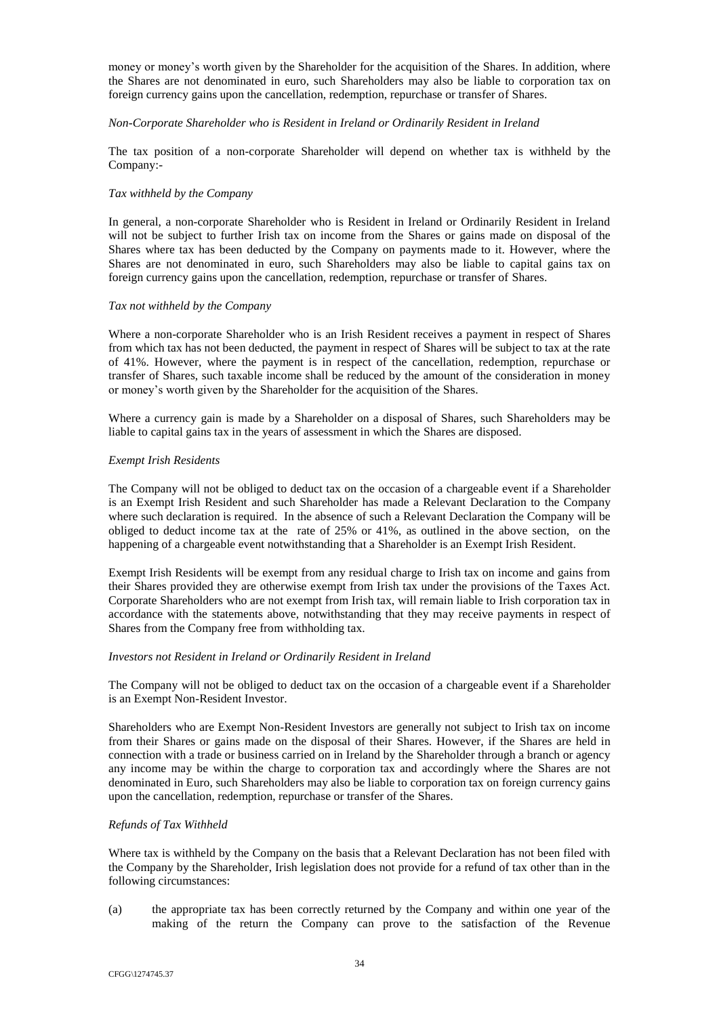money or money's worth given by the Shareholder for the acquisition of the Shares. In addition, where the Shares are not denominated in euro, such Shareholders may also be liable to corporation tax on foreign currency gains upon the cancellation, redemption, repurchase or transfer of Shares.

### *Non-Corporate Shareholder who is Resident in Ireland or Ordinarily Resident in Ireland*

The tax position of a non-corporate Shareholder will depend on whether tax is withheld by the Company:-

### *Tax withheld by the Company*

In general, a non-corporate Shareholder who is Resident in Ireland or Ordinarily Resident in Ireland will not be subject to further Irish tax on income from the Shares or gains made on disposal of the Shares where tax has been deducted by the Company on payments made to it. However, where the Shares are not denominated in euro, such Shareholders may also be liable to capital gains tax on foreign currency gains upon the cancellation, redemption, repurchase or transfer of Shares.

## *Tax not withheld by the Company*

Where a non-corporate Shareholder who is an Irish Resident receives a payment in respect of Shares from which tax has not been deducted, the payment in respect of Shares will be subject to tax at the rate of 41%. However, where the payment is in respect of the cancellation, redemption, repurchase or transfer of Shares, such taxable income shall be reduced by the amount of the consideration in money or money's worth given by the Shareholder for the acquisition of the Shares.

Where a currency gain is made by a Shareholder on a disposal of Shares, such Shareholders may be liable to capital gains tax in the years of assessment in which the Shares are disposed.

## *Exempt Irish Residents*

The Company will not be obliged to deduct tax on the occasion of a chargeable event if a Shareholder is an Exempt Irish Resident and such Shareholder has made a Relevant Declaration to the Company where such declaration is required. In the absence of such a Relevant Declaration the Company will be obliged to deduct income tax at the rate of 25% or 41%, as outlined in the above section, on the happening of a chargeable event notwithstanding that a Shareholder is an Exempt Irish Resident.

Exempt Irish Residents will be exempt from any residual charge to Irish tax on income and gains from their Shares provided they are otherwise exempt from Irish tax under the provisions of the Taxes Act. Corporate Shareholders who are not exempt from Irish tax, will remain liable to Irish corporation tax in accordance with the statements above, notwithstanding that they may receive payments in respect of Shares from the Company free from withholding tax.

### *Investors not Resident in Ireland or Ordinarily Resident in Ireland*

The Company will not be obliged to deduct tax on the occasion of a chargeable event if a Shareholder is an Exempt Non-Resident Investor.

Shareholders who are Exempt Non-Resident Investors are generally not subject to Irish tax on income from their Shares or gains made on the disposal of their Shares. However, if the Shares are held in connection with a trade or business carried on in Ireland by the Shareholder through a branch or agency any income may be within the charge to corporation tax and accordingly where the Shares are not denominated in Euro, such Shareholders may also be liable to corporation tax on foreign currency gains upon the cancellation, redemption, repurchase or transfer of the Shares.

# *Refunds of Tax Withheld*

Where tax is withheld by the Company on the basis that a Relevant Declaration has not been filed with the Company by the Shareholder, Irish legislation does not provide for a refund of tax other than in the following circumstances:

(a) the appropriate tax has been correctly returned by the Company and within one year of the making of the return the Company can prove to the satisfaction of the Revenue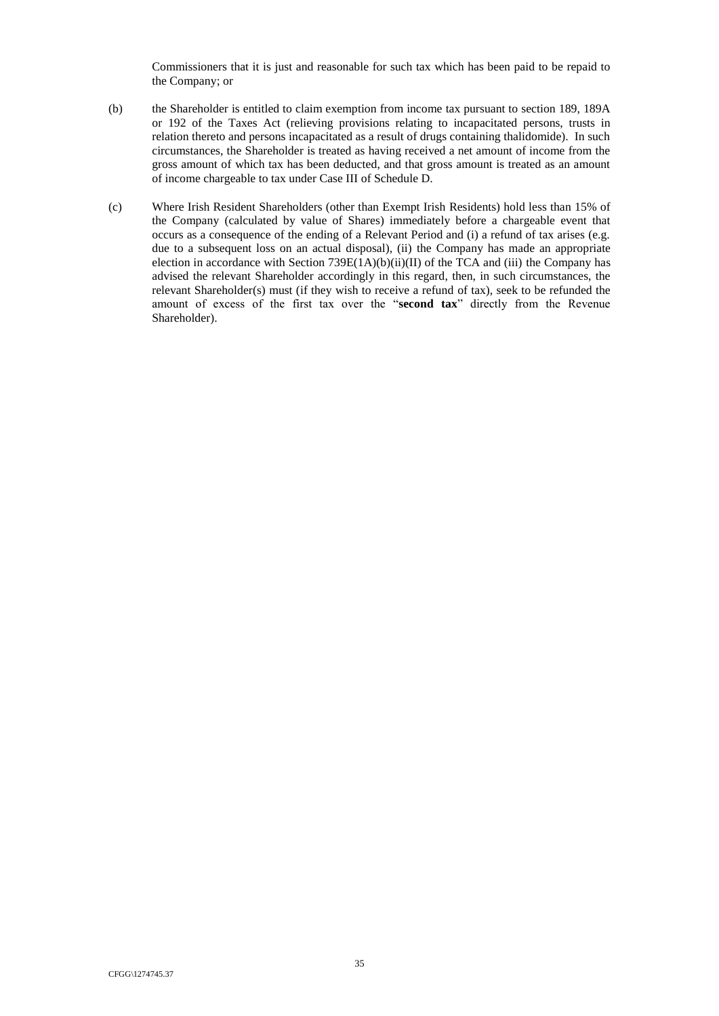Commissioners that it is just and reasonable for such tax which has been paid to be repaid to the Company; or

- (b) the Shareholder is entitled to claim exemption from income tax pursuant to section 189, 189A or 192 of the Taxes Act (relieving provisions relating to incapacitated persons, trusts in relation thereto and persons incapacitated as a result of drugs containing thalidomide). In such circumstances, the Shareholder is treated as having received a net amount of income from the gross amount of which tax has been deducted, and that gross amount is treated as an amount of income chargeable to tax under Case III of Schedule D.
- (c) Where Irish Resident Shareholders (other than Exempt Irish Residents) hold less than 15% of the Company (calculated by value of Shares) immediately before a chargeable event that occurs as a consequence of the ending of a Relevant Period and (i) a refund of tax arises (e.g. due to a subsequent loss on an actual disposal), (ii) the Company has made an appropriate election in accordance with Section 739E(1A)(b)(ii)(II) of the TCA and (iii) the Company has advised the relevant Shareholder accordingly in this regard, then, in such circumstances, the relevant Shareholder(s) must (if they wish to receive a refund of tax), seek to be refunded the amount of excess of the first tax over the "**second tax**" directly from the Revenue Shareholder).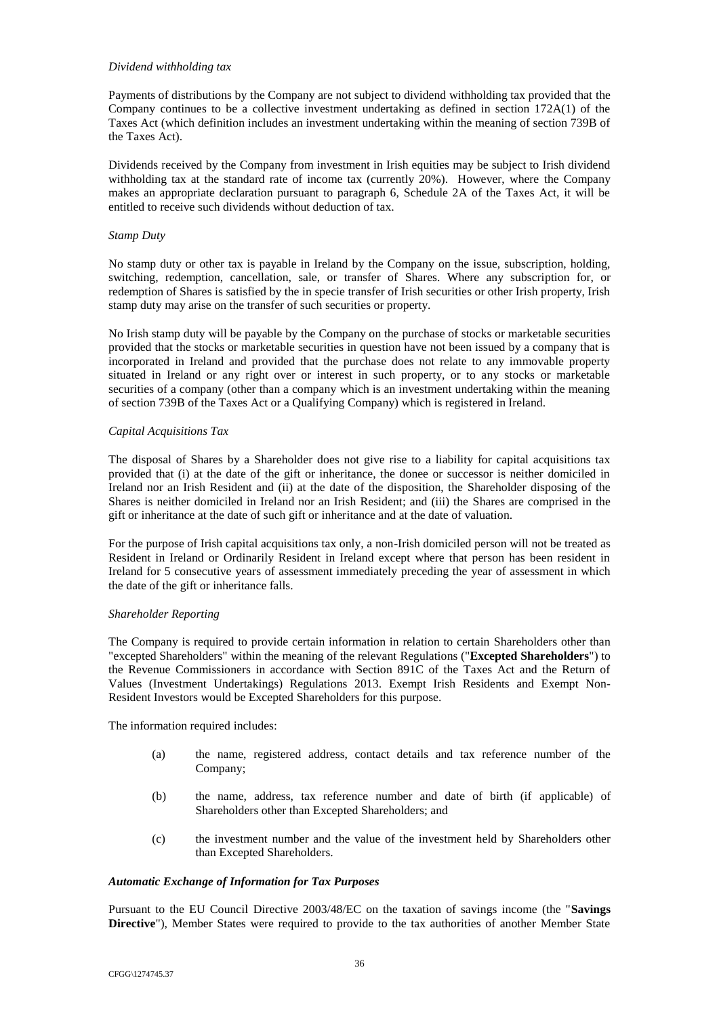### *Dividend withholding tax*

Payments of distributions by the Company are not subject to dividend withholding tax provided that the Company continues to be a collective investment undertaking as defined in section 172A(1) of the Taxes Act (which definition includes an investment undertaking within the meaning of section 739B of the Taxes Act).

Dividends received by the Company from investment in Irish equities may be subject to Irish dividend withholding tax at the standard rate of income tax (currently 20%). However, where the Company makes an appropriate declaration pursuant to paragraph 6, Schedule 2A of the Taxes Act, it will be entitled to receive such dividends without deduction of tax.

# *Stamp Duty*

No stamp duty or other tax is payable in Ireland by the Company on the issue, subscription, holding, switching, redemption, cancellation, sale, or transfer of Shares. Where any subscription for, or redemption of Shares is satisfied by the in specie transfer of Irish securities or other Irish property, Irish stamp duty may arise on the transfer of such securities or property.

No Irish stamp duty will be payable by the Company on the purchase of stocks or marketable securities provided that the stocks or marketable securities in question have not been issued by a company that is incorporated in Ireland and provided that the purchase does not relate to any immovable property situated in Ireland or any right over or interest in such property, or to any stocks or marketable securities of a company (other than a company which is an investment undertaking within the meaning of section 739B of the Taxes Act or a Qualifying Company) which is registered in Ireland.

## *Capital Acquisitions Tax*

The disposal of Shares by a Shareholder does not give rise to a liability for capital acquisitions tax provided that (i) at the date of the gift or inheritance, the donee or successor is neither domiciled in Ireland nor an Irish Resident and (ii) at the date of the disposition, the Shareholder disposing of the Shares is neither domiciled in Ireland nor an Irish Resident; and (iii) the Shares are comprised in the gift or inheritance at the date of such gift or inheritance and at the date of valuation.

For the purpose of Irish capital acquisitions tax only, a non-Irish domiciled person will not be treated as Resident in Ireland or Ordinarily Resident in Ireland except where that person has been resident in Ireland for 5 consecutive years of assessment immediately preceding the year of assessment in which the date of the gift or inheritance falls.

# *Shareholder Reporting*

The Company is required to provide certain information in relation to certain Shareholders other than "excepted Shareholders" within the meaning of the relevant Regulations ("**Excepted Shareholders**") to the Revenue Commissioners in accordance with Section 891C of the Taxes Act and the Return of Values (Investment Undertakings) Regulations 2013. Exempt Irish Residents and Exempt Non-Resident Investors would be Excepted Shareholders for this purpose.

The information required includes:

- (a) the name, registered address, contact details and tax reference number of the Company;
- (b) the name, address, tax reference number and date of birth (if applicable) of Shareholders other than Excepted Shareholders; and
- (c) the investment number and the value of the investment held by Shareholders other than Excepted Shareholders.

# *Automatic Exchange of Information for Tax Purposes*

Pursuant to the EU Council Directive 2003/48/EC on the taxation of savings income (the "**Savings Directive**"), Member States were required to provide to the tax authorities of another Member State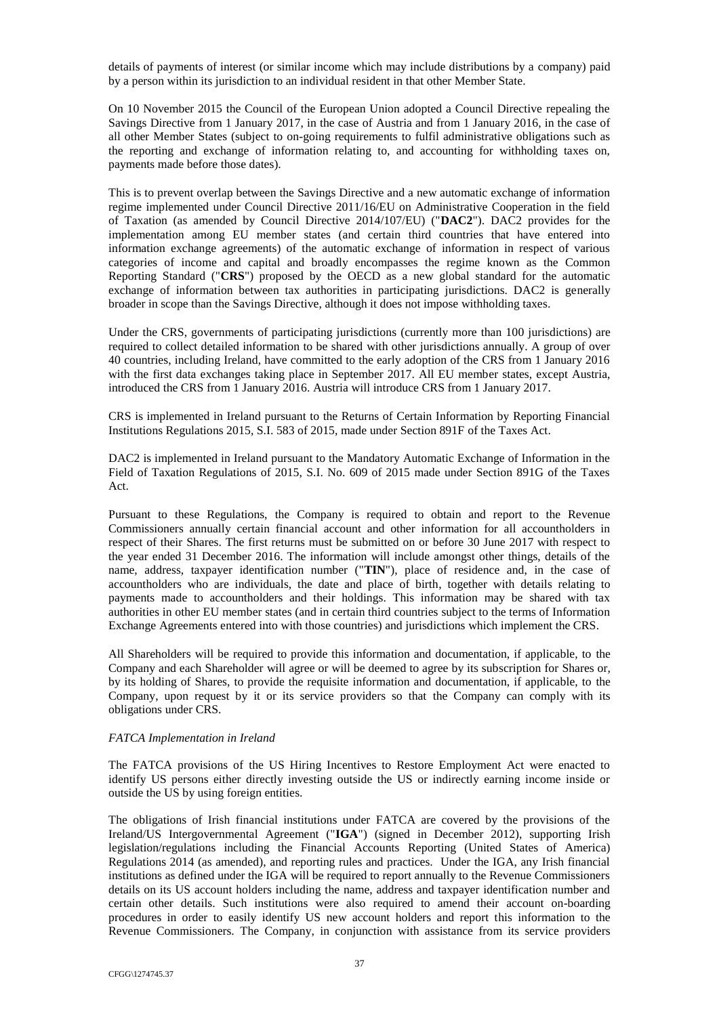details of payments of interest (or similar income which may include distributions by a company) paid by a person within its jurisdiction to an individual resident in that other Member State.

On 10 November 2015 the Council of the European Union adopted a Council Directive repealing the Savings Directive from 1 January 2017, in the case of Austria and from 1 January 2016, in the case of all other Member States (subject to on-going requirements to fulfil administrative obligations such as the reporting and exchange of information relating to, and accounting for withholding taxes on, payments made before those dates).

This is to prevent overlap between the Savings Directive and a new automatic exchange of information regime implemented under Council Directive 2011/16/EU on Administrative Cooperation in the field of Taxation (as amended by Council Directive 2014/107/EU) ("**DAC2**"). DAC2 provides for the implementation among EU member states (and certain third countries that have entered into information exchange agreements) of the automatic exchange of information in respect of various categories of income and capital and broadly encompasses the regime known as the Common Reporting Standard ("**CRS**") proposed by the OECD as a new global standard for the automatic exchange of information between tax authorities in participating jurisdictions. DAC2 is generally broader in scope than the Savings Directive, although it does not impose withholding taxes.

Under the CRS, governments of participating jurisdictions (currently more than 100 jurisdictions) are required to collect detailed information to be shared with other jurisdictions annually. A group of over 40 countries, including Ireland, have committed to the early adoption of the CRS from 1 January 2016 with the first data exchanges taking place in September 2017. All EU member states, except Austria, introduced the CRS from 1 January 2016. Austria will introduce CRS from 1 January 2017.

CRS is implemented in Ireland pursuant to the Returns of Certain Information by Reporting Financial Institutions Regulations 2015, S.I. 583 of 2015, made under Section 891F of the Taxes Act.

DAC2 is implemented in Ireland pursuant to the Mandatory Automatic Exchange of Information in the Field of Taxation Regulations of 2015, S.I. No. 609 of 2015 made under Section 891G of the Taxes Act.

Pursuant to these Regulations, the Company is required to obtain and report to the Revenue Commissioners annually certain financial account and other information for all accountholders in respect of their Shares. The first returns must be submitted on or before 30 June 2017 with respect to the year ended 31 December 2016. The information will include amongst other things, details of the name, address, taxpayer identification number ("**TIN**"), place of residence and, in the case of accountholders who are individuals, the date and place of birth, together with details relating to payments made to accountholders and their holdings. This information may be shared with tax authorities in other EU member states (and in certain third countries subject to the terms of Information Exchange Agreements entered into with those countries) and jurisdictions which implement the CRS.

All Shareholders will be required to provide this information and documentation, if applicable, to the Company and each Shareholder will agree or will be deemed to agree by its subscription for Shares or, by its holding of Shares, to provide the requisite information and documentation, if applicable, to the Company, upon request by it or its service providers so that the Company can comply with its obligations under CRS.

### *FATCA Implementation in Ireland*

The FATCA provisions of the US Hiring Incentives to Restore Employment Act were enacted to identify US persons either directly investing outside the US or indirectly earning income inside or outside the US by using foreign entities.

The obligations of Irish financial institutions under FATCA are covered by the provisions of the Ireland/US Intergovernmental Agreement ("**IGA**") (signed in December 2012), supporting Irish legislation/regulations including the Financial Accounts Reporting (United States of America) Regulations 2014 (as amended), and reporting rules and practices. Under the IGA, any Irish financial institutions as defined under the IGA will be required to report annually to the Revenue Commissioners details on its US account holders including the name, address and taxpayer identification number and certain other details. Such institutions were also required to amend their account on-boarding procedures in order to easily identify US new account holders and report this information to the Revenue Commissioners. The Company, in conjunction with assistance from its service providers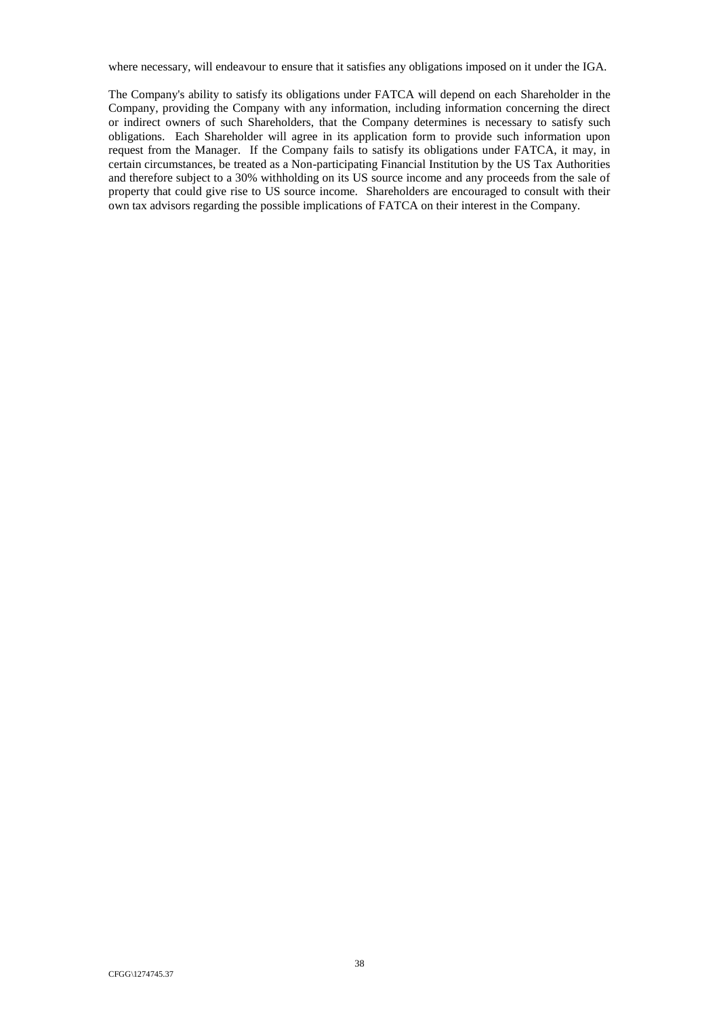where necessary, will endeavour to ensure that it satisfies any obligations imposed on it under the IGA.

The Company's ability to satisfy its obligations under FATCA will depend on each Shareholder in the Company, providing the Company with any information, including information concerning the direct or indirect owners of such Shareholders, that the Company determines is necessary to satisfy such obligations. Each Shareholder will agree in its application form to provide such information upon request from the Manager. If the Company fails to satisfy its obligations under FATCA, it may, in certain circumstances, be treated as a Non-participating Financial Institution by the US Tax Authorities and therefore subject to a 30% withholding on its US source income and any proceeds from the sale of property that could give rise to US source income. Shareholders are encouraged to consult with their own tax advisors regarding the possible implications of FATCA on their interest in the Company.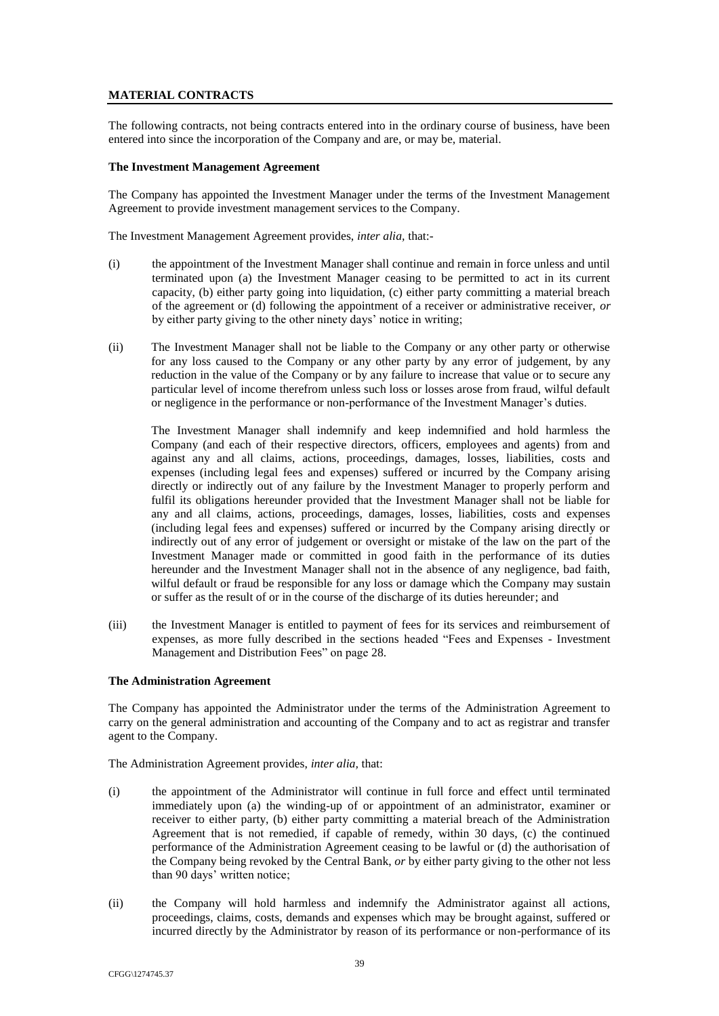# **MATERIAL CONTRACTS**

The following contracts, not being contracts entered into in the ordinary course of business, have been entered into since the incorporation of the Company and are, or may be, material.

## <span id="page-53-0"></span>**The Investment Management Agreement**

The Company has appointed the Investment Manager under the terms of the Investment Management Agreement to provide investment management services to the Company.

The Investment Management Agreement provides, *inter alia,* that:-

- (i) the appointment of the Investment Manager shall continue and remain in force unless and until terminated upon (a) the Investment Manager ceasing to be permitted to act in its current capacity, (b) either party going into liquidation, (c) either party committing a material breach of the agreement or (d) following the appointment of a receiver or administrative receiver, *or* by either party giving to the other ninety days' notice in writing;
- (ii) The Investment Manager shall not be liable to the Company or any other party or otherwise for any loss caused to the Company or any other party by any error of judgement, by any reduction in the value of the Company or by any failure to increase that value or to secure any particular level of income therefrom unless such loss or losses arose from fraud, wilful default or negligence in the performance or non-performance of the Investment Manager's duties.

The Investment Manager shall indemnify and keep indemnified and hold harmless the Company (and each of their respective directors, officers, employees and agents) from and against any and all claims, actions, proceedings, damages, losses, liabilities, costs and expenses (including legal fees and expenses) suffered or incurred by the Company arising directly or indirectly out of any failure by the Investment Manager to properly perform and fulfil its obligations hereunder provided that the Investment Manager shall not be liable for any and all claims, actions, proceedings, damages, losses, liabilities, costs and expenses (including legal fees and expenses) suffered or incurred by the Company arising directly or indirectly out of any error of judgement or oversight or mistake of the law on the part of the Investment Manager made or committed in good faith in the performance of its duties hereunder and the Investment Manager shall not in the absence of any negligence, bad faith, wilful default or fraud be responsible for any loss or damage which the Company may sustain or suffer as the result of or in the course of the discharge of its duties hereunder; and

(iii) the Investment Manager is entitled to payment of fees for its services and reimbursement of expenses, as more fully described in the sections headed "Fees and Expenses - Investment Management and Distribution Fees" on page [28.](#page-42-4)

### <span id="page-53-1"></span>**The Administration Agreement**

The Company has appointed the Administrator under the terms of the Administration Agreement to carry on the general administration and accounting of the Company and to act as registrar and transfer agent to the Company.

The Administration Agreement provides, *inter alia,* that:

- (i) the appointment of the Administrator will continue in full force and effect until terminated immediately upon (a) the winding-up of or appointment of an administrator, examiner or receiver to either party, (b) either party committing a material breach of the Administration Agreement that is not remedied, if capable of remedy, within 30 days, (c) the continued performance of the Administration Agreement ceasing to be lawful or (d) the authorisation of the Company being revoked by the Central Bank, *or* by either party giving to the other not less than 90 days' written notice;
- (ii) the Company will hold harmless and indemnify the Administrator against all actions, proceedings, claims, costs, demands and expenses which may be brought against, suffered or incurred directly by the Administrator by reason of its performance or non-performance of its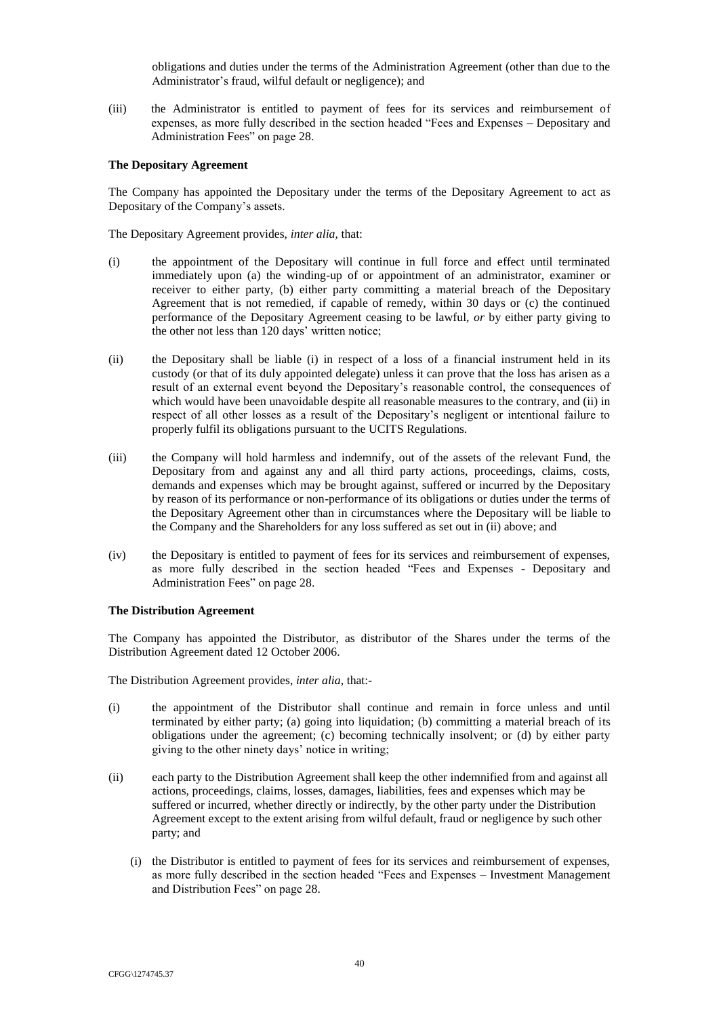obligations and duties under the terms of the Administration Agreement (other than due to the Administrator's fraud, wilful default or negligence); and

(iii) the Administrator is entitled to payment of fees for its services and reimbursement of expenses, as more fully described in the section headed "Fees and Expenses – Depositary and Administration Fees" on page [28.](#page-42-4)

# <span id="page-54-0"></span>**The Depositary Agreement**

The Company has appointed the Depositary under the terms of the Depositary Agreement to act as Depositary of the Company's assets.

The Depositary Agreement provides, *inter alia,* that:

- (i) the appointment of the Depositary will continue in full force and effect until terminated immediately upon (a) the winding-up of or appointment of an administrator, examiner or receiver to either party, (b) either party committing a material breach of the Depositary Agreement that is not remedied, if capable of remedy, within 30 days or (c) the continued performance of the Depositary Agreement ceasing to be lawful, *or* by either party giving to the other not less than 120 days' written notice;
- (ii) the Depositary shall be liable (i) in respect of a loss of a financial instrument held in its custody (or that of its duly appointed delegate) unless it can prove that the loss has arisen as a result of an external event beyond the Depositary's reasonable control, the consequences of which would have been unavoidable despite all reasonable measures to the contrary, and (ii) in respect of all other losses as a result of the Depositary's negligent or intentional failure to properly fulfil its obligations pursuant to the UCITS Regulations.
- (iii) the Company will hold harmless and indemnify, out of the assets of the relevant Fund, the Depositary from and against any and all third party actions, proceedings, claims, costs, demands and expenses which may be brought against, suffered or incurred by the Depositary by reason of its performance or non-performance of its obligations or duties under the terms of the Depositary Agreement other than in circumstances where the Depositary will be liable to the Company and the Shareholders for any loss suffered as set out in (ii) above; and
- (iv) the Depositary is entitled to payment of fees for its services and reimbursement of expenses, as more fully described in the section headed "Fees and Expenses - Depositary and Administration Fees" on page [28.](#page-42-4)

### <span id="page-54-1"></span>**The Distribution Agreement**

The Company has appointed the Distributor, as distributor of the Shares under the terms of the Distribution Agreement dated 12 October 2006.

The Distribution Agreement provides, *inter alia,* that:-

- (i) the appointment of the Distributor shall continue and remain in force unless and until terminated by either party; (a) going into liquidation; (b) committing a material breach of its obligations under the agreement; (c) becoming technically insolvent; or (d) by either party giving to the other ninety days' notice in writing;
- (ii) each party to the Distribution Agreement shall keep the other indemnified from and against all actions, proceedings, claims, losses, damages, liabilities, fees and expenses which may be suffered or incurred, whether directly or indirectly, by the other party under the Distribution Agreement except to the extent arising from wilful default, fraud or negligence by such other party; and
	- (i) the Distributor is entitled to payment of fees for its services and reimbursement of expenses, as more fully described in the section headed "Fees and Expenses – Investment Management and Distribution Fees" on page [28.](#page-42-4)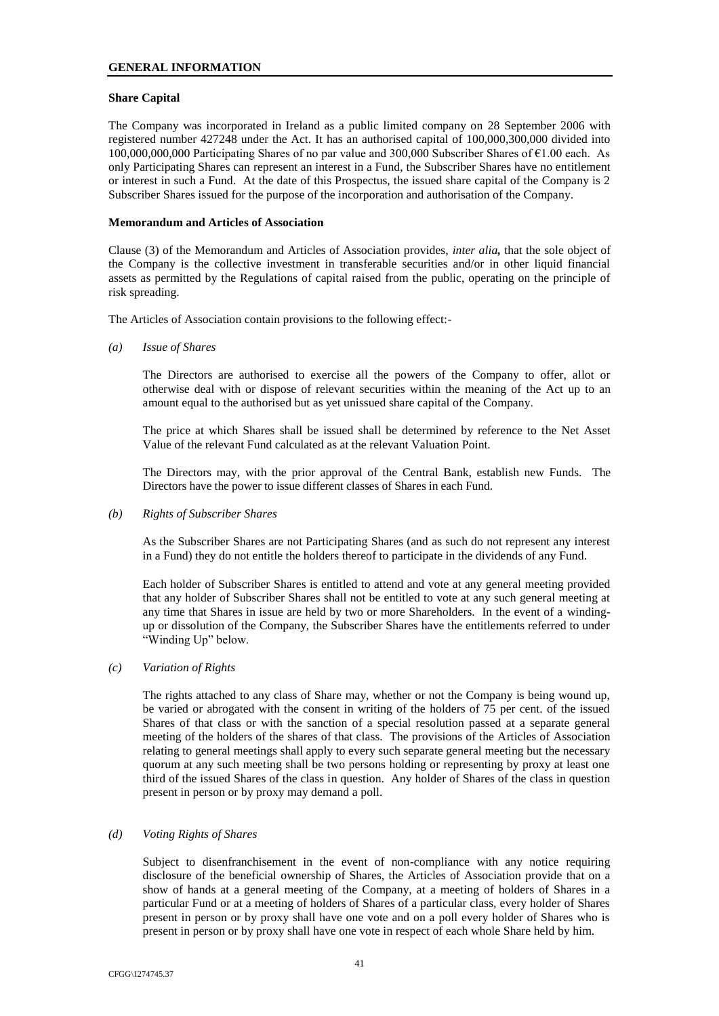## <span id="page-55-0"></span>**Share Capital**

The Company was incorporated in Ireland as a public limited company on 28 September 2006 with registered number 427248 under the Act. It has an authorised capital of 100,000,300,000 divided into 100,000,000,000 Participating Shares of no par value and 300,000 Subscriber Shares of €1.00 each. As only Participating Shares can represent an interest in a Fund, the Subscriber Shares have no entitlement or interest in such a Fund. At the date of this Prospectus, the issued share capital of the Company is 2 Subscriber Shares issued for the purpose of the incorporation and authorisation of the Company.

## <span id="page-55-1"></span>**Memorandum and Articles of Association**

Clause (3) of the Memorandum and Articles of Association provides, *inter alia,* that the sole object of the Company is the collective investment in transferable securities and/or in other liquid financial assets as permitted by the Regulations of capital raised from the public, operating on the principle of risk spreading.

The Articles of Association contain provisions to the following effect:-

*(a) Issue of Shares*

The Directors are authorised to exercise all the powers of the Company to offer, allot or otherwise deal with or dispose of relevant securities within the meaning of the Act up to an amount equal to the authorised but as yet unissued share capital of the Company.

The price at which Shares shall be issued shall be determined by reference to the Net Asset Value of the relevant Fund calculated as at the relevant Valuation Point.

The Directors may, with the prior approval of the Central Bank, establish new Funds. The Directors have the power to issue different classes of Shares in each Fund.

### *(b) Rights of Subscriber Shares*

As the Subscriber Shares are not Participating Shares (and as such do not represent any interest in a Fund) they do not entitle the holders thereof to participate in the dividends of any Fund.

Each holder of Subscriber Shares is entitled to attend and vote at any general meeting provided that any holder of Subscriber Shares shall not be entitled to vote at any such general meeting at any time that Shares in issue are held by two or more Shareholders. In the event of a windingup or dissolution of the Company, the Subscriber Shares have the entitlements referred to under "Winding Up" below.

# *(c) Variation of Rights*

The rights attached to any class of Share may, whether or not the Company is being wound up, be varied or abrogated with the consent in writing of the holders of 75 per cent. of the issued Shares of that class or with the sanction of a special resolution passed at a separate general meeting of the holders of the shares of that class. The provisions of the Articles of Association relating to general meetings shall apply to every such separate general meeting but the necessary quorum at any such meeting shall be two persons holding or representing by proxy at least one third of the issued Shares of the class in question. Any holder of Shares of the class in question present in person or by proxy may demand a poll.

### *(d) Voting Rights of Shares*

Subject to disenfranchisement in the event of non-compliance with any notice requiring disclosure of the beneficial ownership of Shares, the Articles of Association provide that on a show of hands at a general meeting of the Company, at a meeting of holders of Shares in a particular Fund or at a meeting of holders of Shares of a particular class, every holder of Shares present in person or by proxy shall have one vote and on a poll every holder of Shares who is present in person or by proxy shall have one vote in respect of each whole Share held by him.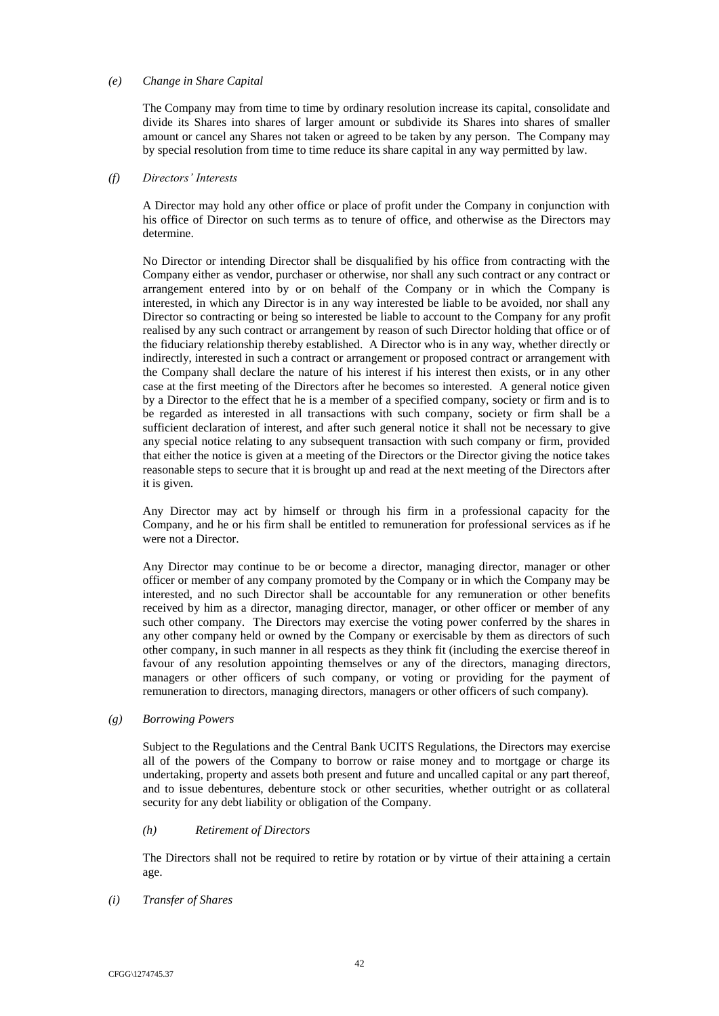## *(e) Change in Share Capital*

The Company may from time to time by ordinary resolution increase its capital, consolidate and divide its Shares into shares of larger amount or subdivide its Shares into shares of smaller amount or cancel any Shares not taken or agreed to be taken by any person. The Company may by special resolution from time to time reduce its share capital in any way permitted by law.

## *(f) Directors' Interests*

A Director may hold any other office or place of profit under the Company in conjunction with his office of Director on such terms as to tenure of office, and otherwise as the Directors may determine.

No Director or intending Director shall be disqualified by his office from contracting with the Company either as vendor, purchaser or otherwise, nor shall any such contract or any contract or arrangement entered into by or on behalf of the Company or in which the Company is interested, in which any Director is in any way interested be liable to be avoided, nor shall any Director so contracting or being so interested be liable to account to the Company for any profit realised by any such contract or arrangement by reason of such Director holding that office or of the fiduciary relationship thereby established. A Director who is in any way, whether directly or indirectly, interested in such a contract or arrangement or proposed contract or arrangement with the Company shall declare the nature of his interest if his interest then exists, or in any other case at the first meeting of the Directors after he becomes so interested. A general notice given by a Director to the effect that he is a member of a specified company, society or firm and is to be regarded as interested in all transactions with such company, society or firm shall be a sufficient declaration of interest, and after such general notice it shall not be necessary to give any special notice relating to any subsequent transaction with such company or firm, provided that either the notice is given at a meeting of the Directors or the Director giving the notice takes reasonable steps to secure that it is brought up and read at the next meeting of the Directors after it is given.

Any Director may act by himself or through his firm in a professional capacity for the Company, and he or his firm shall be entitled to remuneration for professional services as if he were not a Director.

Any Director may continue to be or become a director, managing director, manager or other officer or member of any company promoted by the Company or in which the Company may be interested, and no such Director shall be accountable for any remuneration or other benefits received by him as a director, managing director, manager, or other officer or member of any such other company. The Directors may exercise the voting power conferred by the shares in any other company held or owned by the Company or exercisable by them as directors of such other company, in such manner in all respects as they think fit (including the exercise thereof in favour of any resolution appointing themselves or any of the directors, managing directors, managers or other officers of such company, or voting or providing for the payment of remuneration to directors, managing directors, managers or other officers of such company).

### *(g) Borrowing Powers*

Subject to the Regulations and the Central Bank UCITS Regulations, the Directors may exercise all of the powers of the Company to borrow or raise money and to mortgage or charge its undertaking, property and assets both present and future and uncalled capital or any part thereof, and to issue debentures, debenture stock or other securities, whether outright or as collateral security for any debt liability or obligation of the Company.

# *(h) Retirement of Directors*

The Directors shall not be required to retire by rotation or by virtue of their attaining a certain age.

### *(i) Transfer of Shares*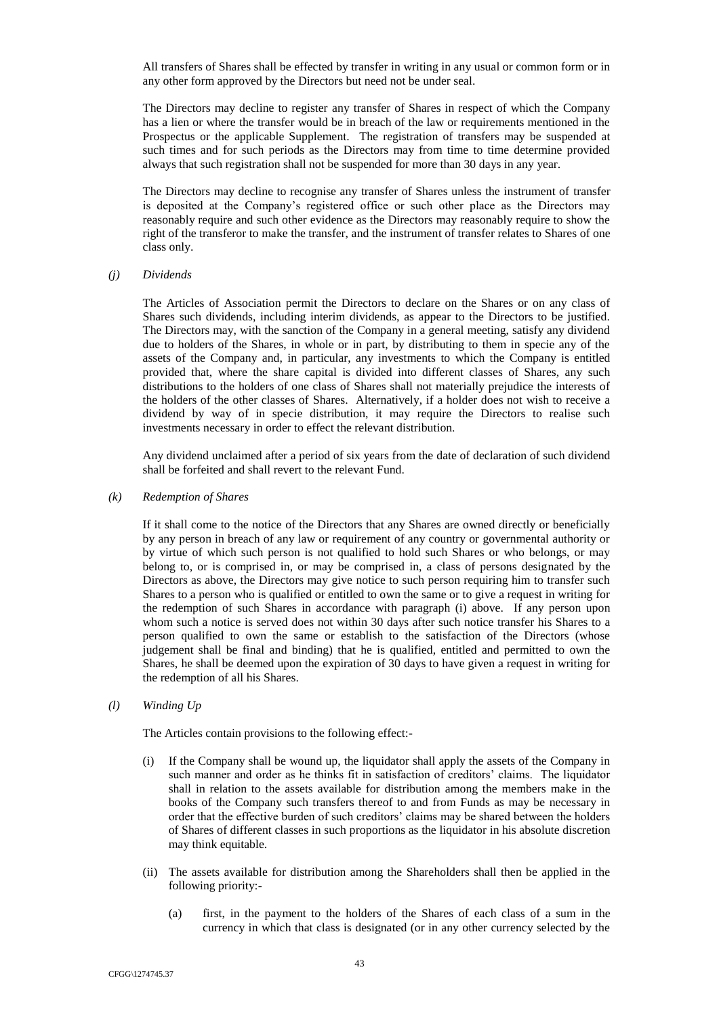All transfers of Shares shall be effected by transfer in writing in any usual or common form or in any other form approved by the Directors but need not be under seal.

The Directors may decline to register any transfer of Shares in respect of which the Company has a lien or where the transfer would be in breach of the law or requirements mentioned in the Prospectus or the applicable Supplement. The registration of transfers may be suspended at such times and for such periods as the Directors may from time to time determine provided always that such registration shall not be suspended for more than 30 days in any year.

The Directors may decline to recognise any transfer of Shares unless the instrument of transfer is deposited at the Company's registered office or such other place as the Directors may reasonably require and such other evidence as the Directors may reasonably require to show the right of the transferor to make the transfer, and the instrument of transfer relates to Shares of one class only.

### *(j) Dividends*

The Articles of Association permit the Directors to declare on the Shares or on any class of Shares such dividends, including interim dividends, as appear to the Directors to be justified. The Directors may, with the sanction of the Company in a general meeting, satisfy any dividend due to holders of the Shares, in whole or in part, by distributing to them in specie any of the assets of the Company and, in particular, any investments to which the Company is entitled provided that, where the share capital is divided into different classes of Shares, any such distributions to the holders of one class of Shares shall not materially prejudice the interests of the holders of the other classes of Shares. Alternatively, if a holder does not wish to receive a dividend by way of in specie distribution, it may require the Directors to realise such investments necessary in order to effect the relevant distribution.

Any dividend unclaimed after a period of six years from the date of declaration of such dividend shall be forfeited and shall revert to the relevant Fund.

*(k) Redemption of Shares*

If it shall come to the notice of the Directors that any Shares are owned directly or beneficially by any person in breach of any law or requirement of any country or governmental authority or by virtue of which such person is not qualified to hold such Shares or who belongs, or may belong to, or is comprised in, or may be comprised in, a class of persons designated by the Directors as above, the Directors may give notice to such person requiring him to transfer such Shares to a person who is qualified or entitled to own the same or to give a request in writing for the redemption of such Shares in accordance with paragraph (i) above. If any person upon whom such a notice is served does not within 30 days after such notice transfer his Shares to a person qualified to own the same or establish to the satisfaction of the Directors (whose judgement shall be final and binding) that he is qualified, entitled and permitted to own the Shares, he shall be deemed upon the expiration of 30 days to have given a request in writing for the redemption of all his Shares.

# *(l) Winding Up*

The Articles contain provisions to the following effect:-

- (i) If the Company shall be wound up, the liquidator shall apply the assets of the Company in such manner and order as he thinks fit in satisfaction of creditors' claims. The liquidator shall in relation to the assets available for distribution among the members make in the books of the Company such transfers thereof to and from Funds as may be necessary in order that the effective burden of such creditors' claims may be shared between the holders of Shares of different classes in such proportions as the liquidator in his absolute discretion may think equitable.
- (ii) The assets available for distribution among the Shareholders shall then be applied in the following priority:-
	- (a) first, in the payment to the holders of the Shares of each class of a sum in the currency in which that class is designated (or in any other currency selected by the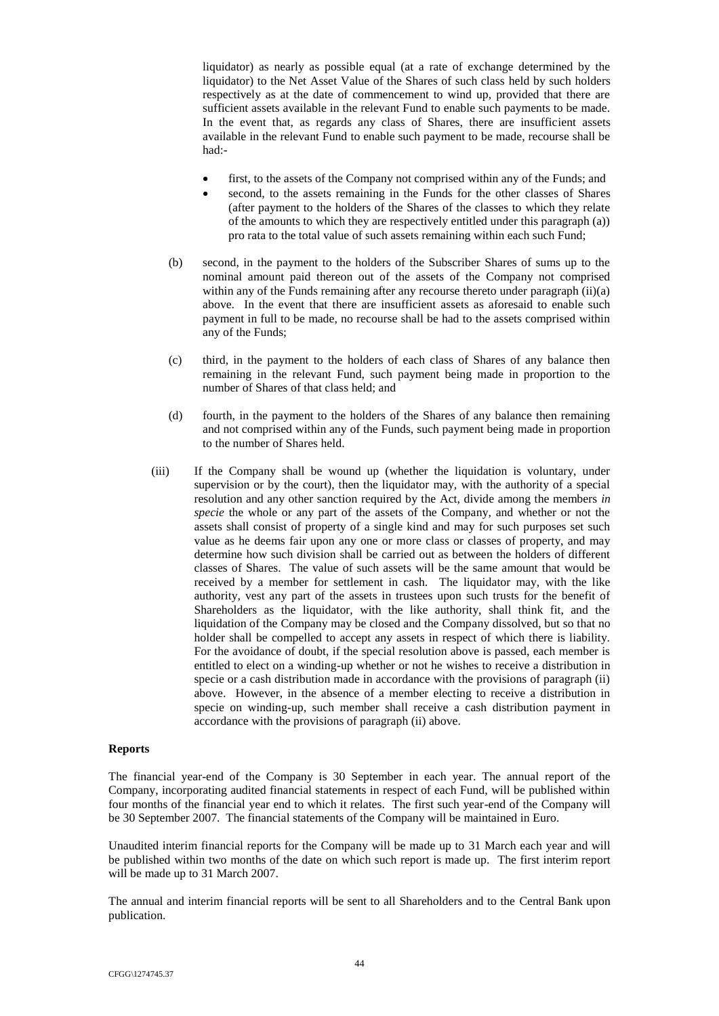liquidator) as nearly as possible equal (at a rate of exchange determined by the liquidator) to the Net Asset Value of the Shares of such class held by such holders respectively as at the date of commencement to wind up, provided that there are sufficient assets available in the relevant Fund to enable such payments to be made. In the event that, as regards any class of Shares, there are insufficient assets available in the relevant Fund to enable such payment to be made, recourse shall be had:-

- first, to the assets of the Company not comprised within any of the Funds; and
- second, to the assets remaining in the Funds for the other classes of Shares (after payment to the holders of the Shares of the classes to which they relate of the amounts to which they are respectively entitled under this paragraph (a)) pro rata to the total value of such assets remaining within each such Fund;
- (b) second, in the payment to the holders of the Subscriber Shares of sums up to the nominal amount paid thereon out of the assets of the Company not comprised within any of the Funds remaining after any recourse thereto under paragraph (ii)(a) above. In the event that there are insufficient assets as aforesaid to enable such payment in full to be made, no recourse shall be had to the assets comprised within any of the Funds;
- (c) third, in the payment to the holders of each class of Shares of any balance then remaining in the relevant Fund, such payment being made in proportion to the number of Shares of that class held; and
- (d) fourth, in the payment to the holders of the Shares of any balance then remaining and not comprised within any of the Funds, such payment being made in proportion to the number of Shares held.
- (iii) If the Company shall be wound up (whether the liquidation is voluntary, under supervision or by the court), then the liquidator may, with the authority of a special resolution and any other sanction required by the Act, divide among the members *in*  specie the whole or any part of the assets of the Company, and whether or not the assets shall consist of property of a single kind and may for such purposes set such value as he deems fair upon any one or more class or classes of property, and may determine how such division shall be carried out as between the holders of different classes of Shares. The value of such assets will be the same amount that would be received by a member for settlement in cash. The liquidator may, with the like authority, vest any part of the assets in trustees upon such trusts for the benefit of Shareholders as the liquidator, with the like authority, shall think fit, and the liquidation of the Company may be closed and the Company dissolved, but so that no holder shall be compelled to accept any assets in respect of which there is liability. For the avoidance of doubt, if the special resolution above is passed, each member is entitled to elect on a winding-up whether or not he wishes to receive a distribution in specie or a cash distribution made in accordance with the provisions of paragraph (ii) above. However, in the absence of a member electing to receive a distribution in specie on winding-up, such member shall receive a cash distribution payment in accordance with the provisions of paragraph (ii) above.

# <span id="page-58-0"></span>**Reports**

The financial year-end of the Company is 30 September in each year. The annual report of the Company, incorporating audited financial statements in respect of each Fund, will be published within four months of the financial year end to which it relates. The first such year-end of the Company will be 30 September 2007. The financial statements of the Company will be maintained in Euro.

Unaudited interim financial reports for the Company will be made up to 31 March each year and will be published within two months of the date on which such report is made up. The first interim report will be made up to 31 March 2007.

The annual and interim financial reports will be sent to all Shareholders and to the Central Bank upon publication.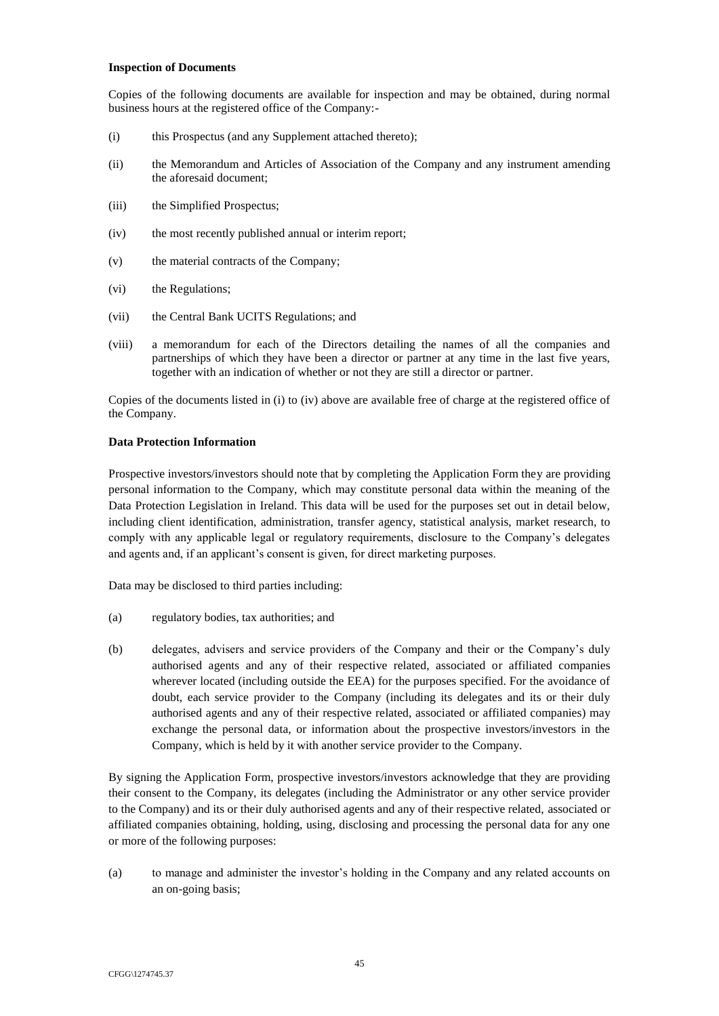### <span id="page-59-0"></span>**[Inspection of Documents](#page-59-0)**

Copies of the following documents are available for inspection and may be obtained, during normal business hours at the registered office of the Company:-

- (i) this Prospectus (and any Supplement attached thereto);
- (ii) the Memorandum and Articles of Association of the Company and any instrument amending the aforesaid document;
- (iii) the Simplified Prospectus;
- (iv) the most recently published annual or interim report;
- (v) the material contracts of the Company;
- (vi) the Regulations;
- (vii) the Central Bank UCITS Regulations; and
- (viii) a memorandum for each of the Directors detailing the names of all the companies and partnerships of which they have been a director or partner at any time in the last five years, together with an indication of whether or not they are still a director or partner.

Copies of the documents listed in (i) to (iv) above are available free of charge at the registered office of the Company.

# <span id="page-59-1"></span>**Data Protection Information**

Prospective investors/investors should note that by completing the Application Form they are providing personal information to the Company, which may constitute personal data within the meaning of the Data Protection Legislation in Ireland. This data will be used for the purposes set out in detail below, including client identification, administration, transfer agency, statistical analysis, market research, to comply with any applicable legal or regulatory requirements, disclosure to the Company's delegates and agents and, if an applicant's consent is given, for direct marketing purposes.

Data may be disclosed to third parties including:

- (a) regulatory bodies, tax authorities; and
- (b) delegates, advisers and service providers of the Company and their or the Company's duly authorised agents and any of their respective related, associated or affiliated companies wherever located (including outside the EEA) for the purposes specified. For the avoidance of doubt, each service provider to the Company (including its delegates and its or their duly authorised agents and any of their respective related, associated or affiliated companies) may exchange the personal data, or information about the prospective investors/investors in the Company, which is held by it with another service provider to the Company.

By signing the Application Form, prospective investors/investors acknowledge that they are providing their consent to the Company, its delegates (including the Administrator or any other service provider to the Company) and its or their duly authorised agents and any of their respective related, associated or affiliated companies obtaining, holding, using, disclosing and processing the personal data for any one or more of the following purposes:

(a) to manage and administer the investor's holding in the Company and any related accounts on an on-going basis;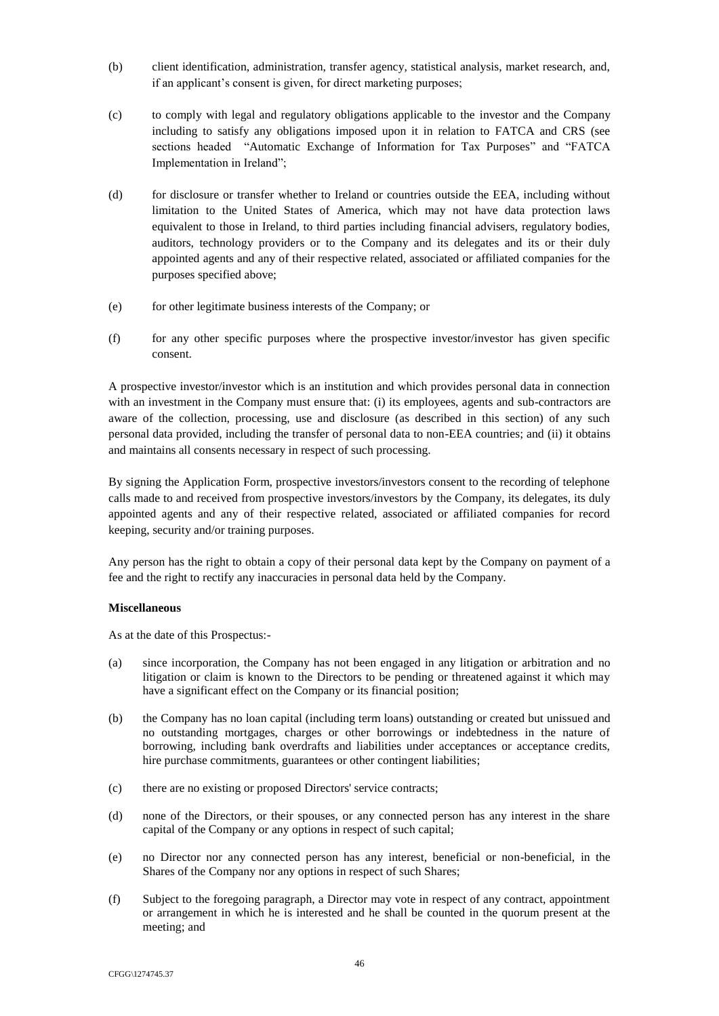- (b) client identification, administration, transfer agency, statistical analysis, market research, and, if an applicant's consent is given, for direct marketing purposes;
- (c) to comply with legal and regulatory obligations applicable to the investor and the Company including to satisfy any obligations imposed upon it in relation to FATCA and CRS (see sections headed "Automatic Exchange of Information for Tax Purposes" and "FATCA Implementation in Ireland";
- (d) for disclosure or transfer whether to Ireland or countries outside the EEA, including without limitation to the United States of America, which may not have data protection laws equivalent to those in Ireland, to third parties including financial advisers, regulatory bodies, auditors, technology providers or to the Company and its delegates and its or their duly appointed agents and any of their respective related, associated or affiliated companies for the purposes specified above;
- (e) for other legitimate business interests of the Company; or
- (f) for any other specific purposes where the prospective investor/investor has given specific consent.

A prospective investor/investor which is an institution and which provides personal data in connection with an investment in the Company must ensure that: (i) its employees, agents and sub-contractors are aware of the collection, processing, use and disclosure (as described in this section) of any such personal data provided, including the transfer of personal data to non-EEA countries; and (ii) it obtains and maintains all consents necessary in respect of such processing.

By signing the Application Form, prospective investors/investors consent to the recording of telephone calls made to and received from prospective investors/investors by the Company, its delegates, its duly appointed agents and any of their respective related, associated or affiliated companies for record keeping, security and/or training purposes.

Any person has the right to obtain a copy of their personal data kept by the Company on payment of a fee and the right to rectify any inaccuracies in personal data held by the Company.

# **Miscellaneous**

As at the date of this Prospectus:-

- (a) since incorporation, the Company has not been engaged in any litigation or arbitration and no litigation or claim is known to the Directors to be pending or threatened against it which may have a significant effect on the Company or its financial position;
- (b) the Company has no loan capital (including term loans) outstanding or created but unissued and no outstanding mortgages, charges or other borrowings or indebtedness in the nature of borrowing, including bank overdrafts and liabilities under acceptances or acceptance credits, hire purchase commitments, guarantees or other contingent liabilities;
- (c) there are no existing or proposed Directors' service contracts;
- (d) none of the Directors, or their spouses, or any connected person has any interest in the share capital of the Company or any options in respect of such capital;
- (e) no Director nor any connected person has any interest, beneficial or non-beneficial, in the Shares of the Company nor any options in respect of such Shares;
- (f) Subject to the foregoing paragraph, a Director may vote in respect of any contract, appointment or arrangement in which he is interested and he shall be counted in the quorum present at the meeting; and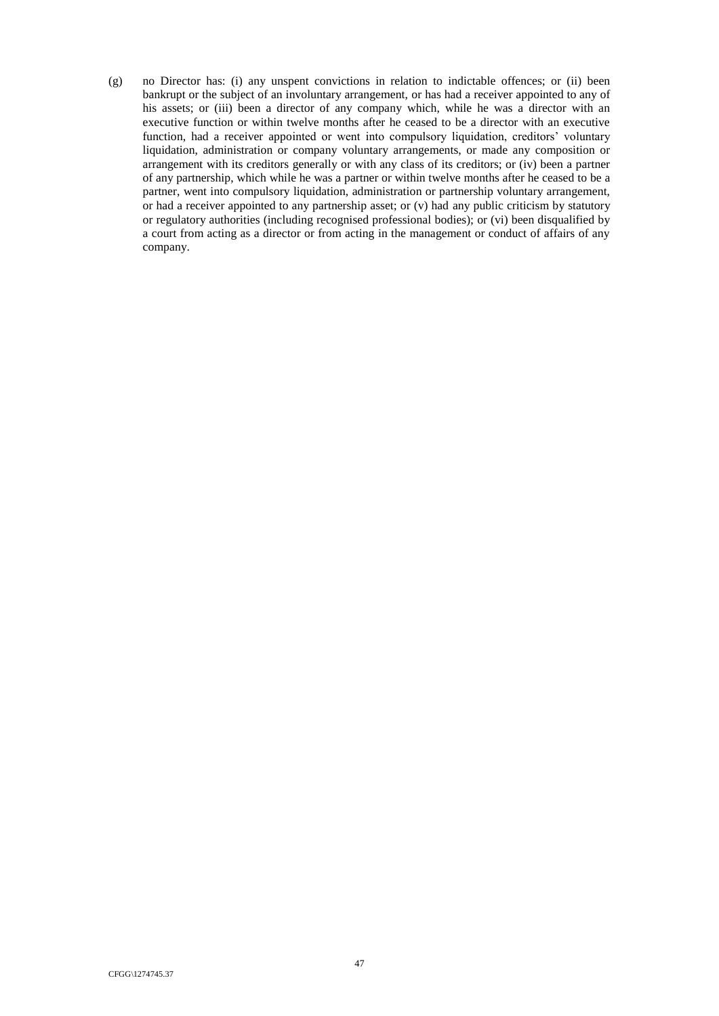(g) no Director has: (i) any unspent convictions in relation to indictable offences; or (ii) been bankrupt or the subject of an involuntary arrangement, or has had a receiver appointed to any of his assets; or (iii) been a director of any company which, while he was a director with an executive function or within twelve months after he ceased to be a director with an executive function, had a receiver appointed or went into compulsory liquidation, creditors' voluntary liquidation, administration or company voluntary arrangements, or made any composition or arrangement with its creditors generally or with any class of its creditors; or (iv) been a partner of any partnership, which while he was a partner or within twelve months after he ceased to be a partner, went into compulsory liquidation, administration or partnership voluntary arrangement, or had a receiver appointed to any partnership asset; or (v) had any public criticism by statutory or regulatory authorities (including recognised professional bodies); or (vi) been disqualified by a court from acting as a director or from acting in the management or conduct of affairs of any company.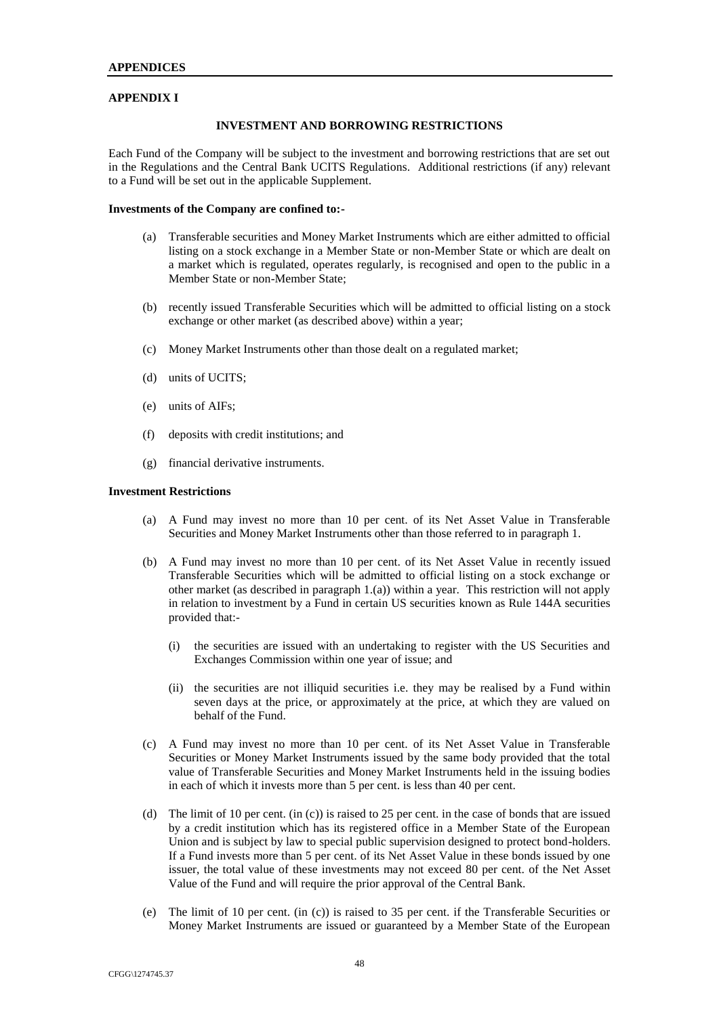### <span id="page-62-0"></span>**APPENDIX I**

### **INVESTMENT AND BORROWING RESTRICTIONS**

Each Fund of the Company will be subject to the investment and borrowing restrictions that are set out in the Regulations and the Central Bank UCITS Regulations. Additional restrictions (if any) relevant to a Fund will be set out in the applicable Supplement.

#### **Investments of the Company are confined to:-**

- (a) Transferable securities and Money Market Instruments which are either admitted to official listing on a stock exchange in a Member State or non-Member State or which are dealt on a market which is regulated, operates regularly, is recognised and open to the public in a Member State or non-Member State;
- (b) recently issued Transferable Securities which will be admitted to official listing on a stock exchange or other market (as described above) within a year;
- (c) Money Market Instruments other than those dealt on a regulated market;
- (d) units of UCITS;
- (e) units of AIFs;
- (f) deposits with credit institutions; and
- (g) financial derivative instruments.

#### **Investment Restrictions**

- (a) A Fund may invest no more than 10 per cent. of its Net Asset Value in Transferable Securities and Money Market Instruments other than those referred to in paragraph 1.
- (b) A Fund may invest no more than 10 per cent. of its Net Asset Value in recently issued Transferable Securities which will be admitted to official listing on a stock exchange or other market (as described in paragraph 1.(a)) within a year. This restriction will not apply in relation to investment by a Fund in certain US securities known as Rule 144A securities provided that:-
	- (i) the securities are issued with an undertaking to register with the US Securities and Exchanges Commission within one year of issue; and
	- (ii) the securities are not illiquid securities i.e. they may be realised by a Fund within seven days at the price, or approximately at the price, at which they are valued on behalf of the Fund.
- (c) A Fund may invest no more than 10 per cent. of its Net Asset Value in Transferable Securities or Money Market Instruments issued by the same body provided that the total value of Transferable Securities and Money Market Instruments held in the issuing bodies in each of which it invests more than 5 per cent. is less than 40 per cent.
- (d) The limit of 10 per cent. (in (c)) is raised to 25 per cent. in the case of bonds that are issued by a credit institution which has its registered office in a Member State of the European Union and is subject by law to special public supervision designed to protect bond-holders. If a Fund invests more than 5 per cent. of its Net Asset Value in these bonds issued by one issuer, the total value of these investments may not exceed 80 per cent. of the Net Asset Value of the Fund and will require the prior approval of the Central Bank.
- (e) The limit of 10 per cent. (in (c)) is raised to 35 per cent. if the Transferable Securities or Money Market Instruments are issued or guaranteed by a Member State of the European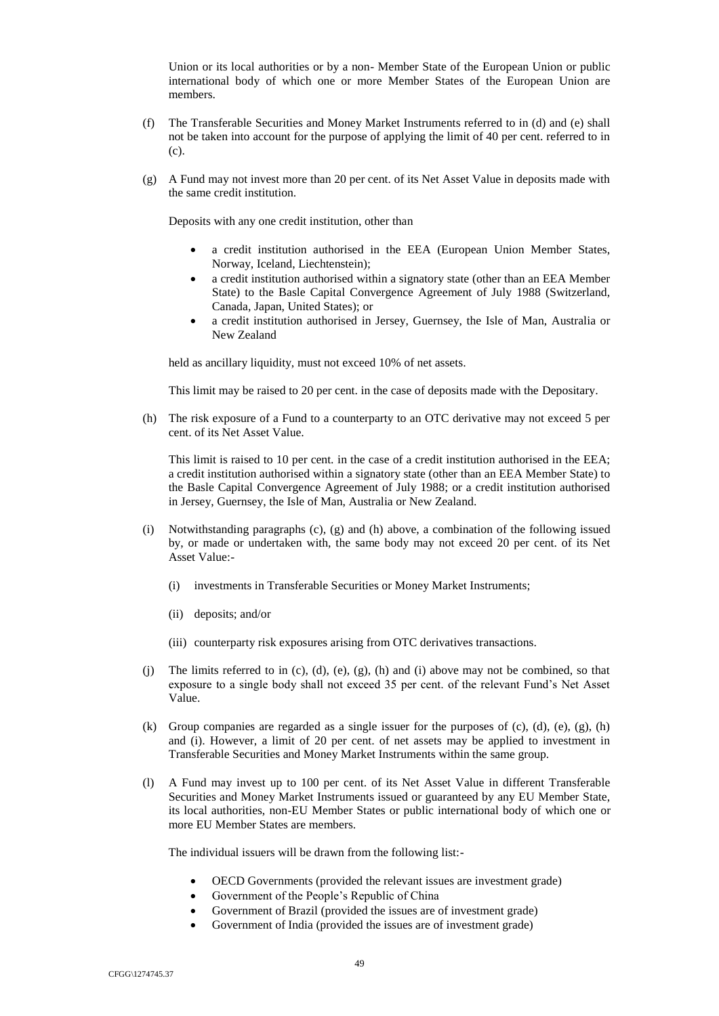Union or its local authorities or by a non- Member State of the European Union or public international body of which one or more Member States of the European Union are members.

- (f) The Transferable Securities and Money Market Instruments referred to in (d) and (e) shall not be taken into account for the purpose of applying the limit of 40 per cent. referred to in (c).
- (g) A Fund may not invest more than 20 per cent. of its Net Asset Value in deposits made with the same credit institution.

Deposits with any one credit institution, other than

- a credit institution authorised in the EEA (European Union Member States, Norway, Iceland, Liechtenstein);
- a credit institution authorised within a signatory state (other than an EEA Member State) to the Basle Capital Convergence Agreement of July 1988 (Switzerland, Canada, Japan, United States); or
- a credit institution authorised in Jersey, Guernsey, the Isle of Man, Australia or New Zealand

held as ancillary liquidity, must not exceed 10% of net assets.

This limit may be raised to 20 per cent. in the case of deposits made with the Depositary.

(h) The risk exposure of a Fund to a counterparty to an OTC derivative may not exceed 5 per cent. of its Net Asset Value.

This limit is raised to 10 per cent. in the case of a credit institution authorised in the EEA; a credit institution authorised within a signatory state (other than an EEA Member State) to the Basle Capital Convergence Agreement of July 1988; or a credit institution authorised in Jersey, Guernsey, the Isle of Man, Australia or New Zealand.

- (i) Notwithstanding paragraphs (c), (g) and (h) above, a combination of the following issued by, or made or undertaken with, the same body may not exceed 20 per cent. of its Net Asset Value:-
	- (i) investments in Transferable Securities or Money Market Instruments;
	- (ii) deposits; and/or
	- (iii) counterparty risk exposures arising from OTC derivatives transactions.
- (i) The limits referred to in (c), (d), (e), (g), (h) and (i) above may not be combined, so that exposure to a single body shall not exceed 35 per cent. of the relevant Fund's Net Asset Value.
- (k) Group companies are regarded as a single issuer for the purposes of  $(c)$ ,  $(d)$ ,  $(e)$ ,  $(g)$ ,  $(h)$ and (i). However, a limit of 20 per cent. of net assets may be applied to investment in Transferable Securities and Money Market Instruments within the same group.
- (l) A Fund may invest up to 100 per cent. of its Net Asset Value in different Transferable Securities and Money Market Instruments issued or guaranteed by any EU Member State, its local authorities, non-EU Member States or public international body of which one or more EU Member States are members.

The individual issuers will be drawn from the following list:-

- OECD Governments (provided the relevant issues are investment grade)
- Government of the People's Republic of China
- Government of Brazil (provided the issues are of investment grade)
- Government of India (provided the issues are of investment grade)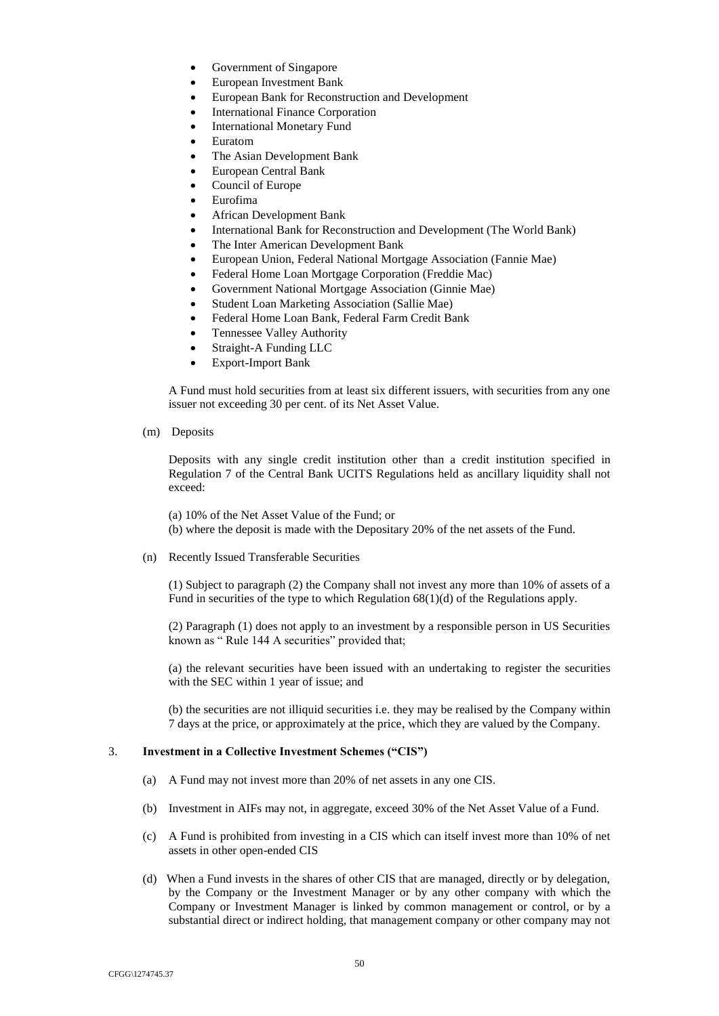- Government of Singapore
- European Investment Bank
- European Bank for Reconstruction and Development
- International Finance Corporation
- International Monetary Fund
- Euratom
- The Asian Development Bank
- European Central Bank
- Council of Europe
- Eurofima
- African Development Bank
- International Bank for Reconstruction and Development (The World Bank)
- The Inter American Development Bank
- European Union, Federal National Mortgage Association (Fannie Mae)
- Federal Home Loan Mortgage Corporation (Freddie Mac)
- Government National Mortgage Association (Ginnie Mae)
- Student Loan Marketing Association (Sallie Mae)
- Federal Home Loan Bank, Federal Farm Credit Bank
- Tennessee Valley Authority
- Straight-A Funding LLC
- Export-Import Bank

A Fund must hold securities from at least six different issuers, with securities from any one issuer not exceeding 30 per cent. of its Net Asset Value.

(m) Deposits

Deposits with any single credit institution other than a credit institution specified in Regulation 7 of the Central Bank UCITS Regulations held as ancillary liquidity shall not exceed:

(a) 10% of the Net Asset Value of the Fund; or

(b) where the deposit is made with the Depositary 20% of the net assets of the Fund.

(n) Recently Issued Transferable Securities

(1) Subject to paragraph (2) the Company shall not invest any more than 10% of assets of a Fund in securities of the type to which Regulation 68(1)(d) of the Regulations apply.

(2) Paragraph (1) does not apply to an investment by a responsible person in US Securities known as " Rule 144 A securities" provided that;

(a) the relevant securities have been issued with an undertaking to register the securities with the SEC within 1 year of issue; and

(b) the securities are not illiquid securities i.e. they may be realised by the Company within 7 days at the price, or approximately at the price, which they are valued by the Company.

# 3. **Investment in a Collective Investment Schemes ("CIS")**

- (a) A Fund may not invest more than 20% of net assets in any one CIS.
- (b) Investment in AIFs may not, in aggregate, exceed 30% of the Net Asset Value of a Fund.
- (c) A Fund is prohibited from investing in a CIS which can itself invest more than 10% of net assets in other open-ended CIS
- (d) When a Fund invests in the shares of other CIS that are managed, directly or by delegation, by the Company or the Investment Manager or by any other company with which the Company or Investment Manager is linked by common management or control, or by a substantial direct or indirect holding, that management company or other company may not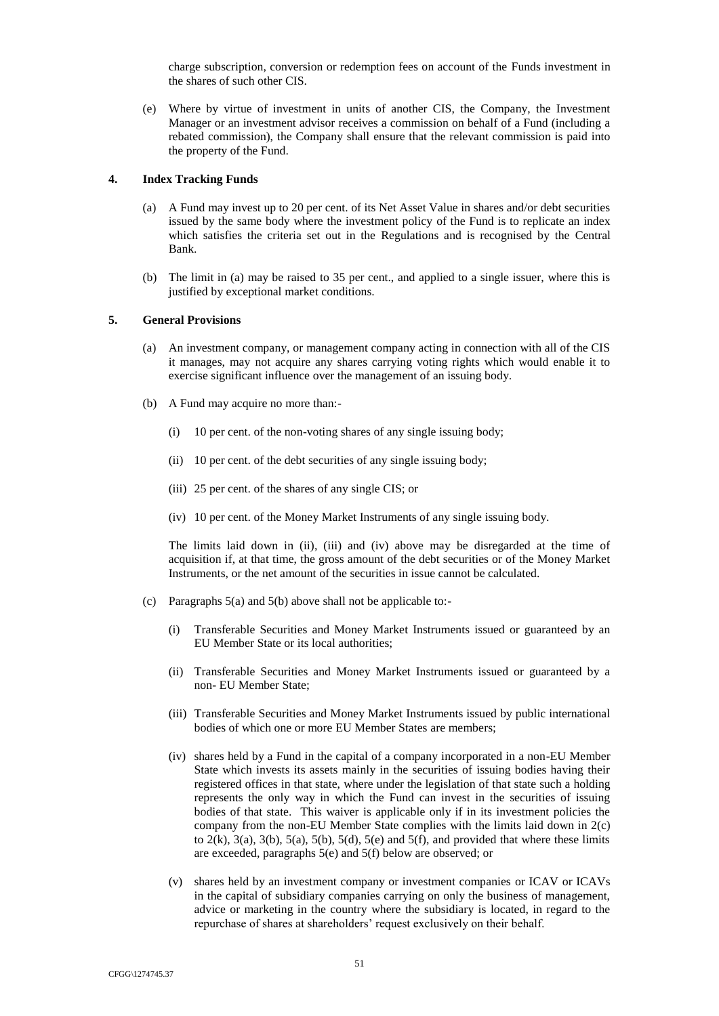charge subscription, conversion or redemption fees on account of the Funds investment in the shares of such other CIS.

(e) Where by virtue of investment in units of another CIS, the Company, the Investment Manager or an investment advisor receives a commission on behalf of a Fund (including a rebated commission), the Company shall ensure that the relevant commission is paid into the property of the Fund.

### **4. Index Tracking Funds**

- (a) A Fund may invest up to 20 per cent. of its Net Asset Value in shares and/or debt securities issued by the same body where the investment policy of the Fund is to replicate an index which satisfies the criteria set out in the Regulations and is recognised by the Central Bank.
- (b) The limit in (a) may be raised to 35 per cent., and applied to a single issuer, where this is justified by exceptional market conditions.

# **5. General Provisions**

- (a) An investment company, or management company acting in connection with all of the CIS it manages, may not acquire any shares carrying voting rights which would enable it to exercise significant influence over the management of an issuing body.
- (b) A Fund may acquire no more than:-
	- (i) 10 per cent. of the non-voting shares of any single issuing body;
	- (ii) 10 per cent. of the debt securities of any single issuing body;
	- (iii) 25 per cent. of the shares of any single CIS; or
	- (iv) 10 per cent. of the Money Market Instruments of any single issuing body.

The limits laid down in (ii), (iii) and (iv) above may be disregarded at the time of acquisition if, at that time, the gross amount of the debt securities or of the Money Market Instruments, or the net amount of the securities in issue cannot be calculated.

- (c) Paragraphs 5(a) and 5(b) above shall not be applicable to:-
	- (i) Transferable Securities and Money Market Instruments issued or guaranteed by an EU Member State or its local authorities;
	- (ii) Transferable Securities and Money Market Instruments issued or guaranteed by a non- EU Member State;
	- (iii) Transferable Securities and Money Market Instruments issued by public international bodies of which one or more EU Member States are members;
	- (iv) shares held by a Fund in the capital of a company incorporated in a non-EU Member State which invests its assets mainly in the securities of issuing bodies having their registered offices in that state, where under the legislation of that state such a holding represents the only way in which the Fund can invest in the securities of issuing bodies of that state. This waiver is applicable only if in its investment policies the company from the non-EU Member State complies with the limits laid down in 2(c) to  $2(k)$ ,  $3(a)$ ,  $3(b)$ ,  $5(a)$ ,  $5(b)$ ,  $5(d)$ ,  $5(e)$  and  $5(f)$ , and provided that where these limits are exceeded, paragraphs 5(e) and 5(f) below are observed; or
	- (v) shares held by an investment company or investment companies or ICAV or ICAVs in the capital of subsidiary companies carrying on only the business of management, advice or marketing in the country where the subsidiary is located, in regard to the repurchase of shares at shareholders' request exclusively on their behalf.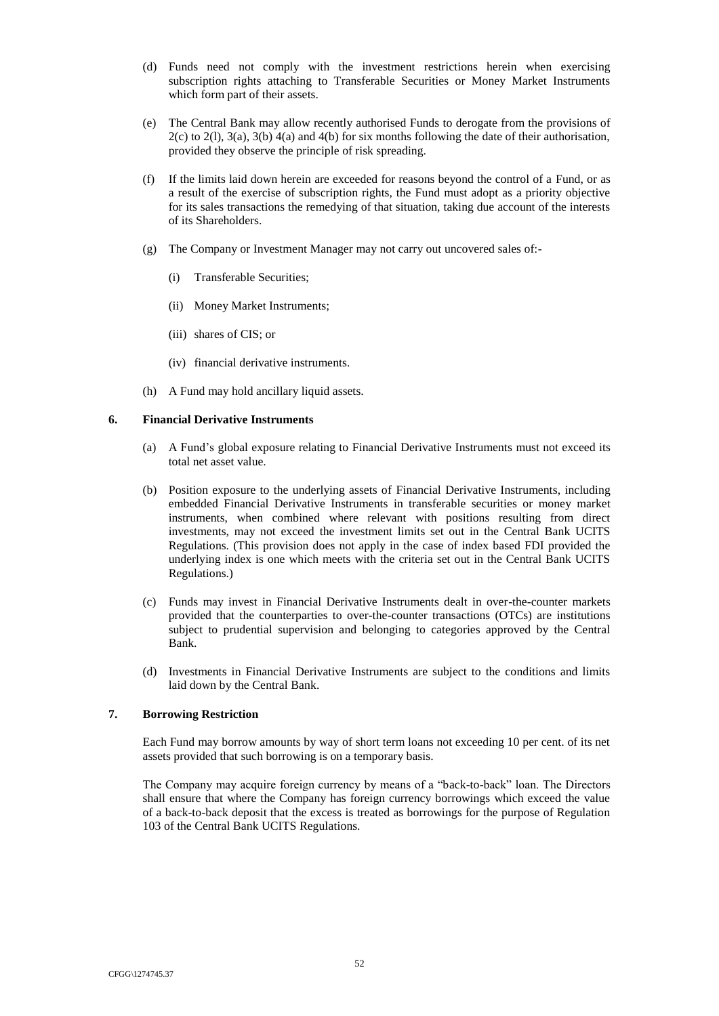- (d) Funds need not comply with the investment restrictions herein when exercising subscription rights attaching to Transferable Securities or Money Market Instruments which form part of their assets.
- (e) The Central Bank may allow recently authorised Funds to derogate from the provisions of 2(c) to 2(l), 3(a), 3(b) 4(a) and 4(b) for six months following the date of their authorisation, provided they observe the principle of risk spreading.
- (f) If the limits laid down herein are exceeded for reasons beyond the control of a Fund, or as a result of the exercise of subscription rights, the Fund must adopt as a priority objective for its sales transactions the remedying of that situation, taking due account of the interests of its Shareholders.
- (g) The Company or Investment Manager may not carry out uncovered sales of:-
	- (i) Transferable Securities;
	- (ii) Money Market Instruments;
	- (iii) shares of CIS; or
	- (iv) financial derivative instruments.
- (h) A Fund may hold ancillary liquid assets.

## **6. Financial Derivative Instruments**

- (a) A Fund's global exposure relating to Financial Derivative Instruments must not exceed its total net asset value.
- (b) Position exposure to the underlying assets of Financial Derivative Instruments, including embedded Financial Derivative Instruments in transferable securities or money market instruments, when combined where relevant with positions resulting from direct investments, may not exceed the investment limits set out in the Central Bank UCITS Regulations. (This provision does not apply in the case of index based FDI provided the underlying index is one which meets with the criteria set out in the Central Bank UCITS Regulations.)
- (c) Funds may invest in Financial Derivative Instruments dealt in over-the-counter markets provided that the counterparties to over-the-counter transactions (OTCs) are institutions subject to prudential supervision and belonging to categories approved by the Central Bank.
- (d) Investments in Financial Derivative Instruments are subject to the conditions and limits laid down by the Central Bank.

### **7. Borrowing Restriction**

Each Fund may borrow amounts by way of short term loans not exceeding 10 per cent. of its net assets provided that such borrowing is on a temporary basis.

The Company may acquire foreign currency by means of a "back-to-back" loan. The Directors shall ensure that where the Company has foreign currency borrowings which exceed the value of a back-to-back deposit that the excess is treated as borrowings for the purpose of Regulation 103 of the Central Bank UCITS Regulations.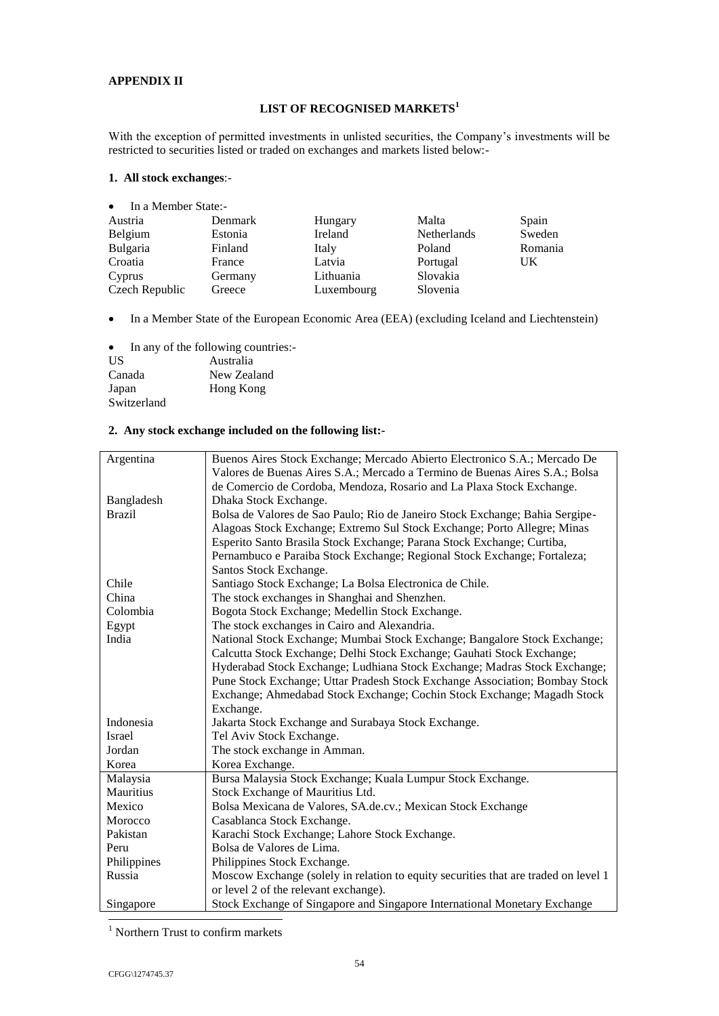# <span id="page-68-0"></span>**APPENDIX II**

# **LIST OF RECOGNISED MARKETS<sup>1</sup>**

With the exception of permitted investments in unlisted securities, the Company's investments will be restricted to securities listed or traded on exchanges and markets listed below:-

# **1. All stock exchanges**:-

| $\bullet$ In a Member State:- |         |            |             |         |
|-------------------------------|---------|------------|-------------|---------|
| Austria                       | Denmark | Hungary    | Malta       | Spain   |
| Belgium                       | Estonia | Ireland    | Netherlands | Sweden  |
| <b>Bulgaria</b>               | Finland | Italy      | Poland      | Romania |
| Croatia                       | France  | Latvia     | Portugal    | UK      |
| Cyprus                        | Germany | Lithuania  | Slovakia    |         |
| Czech Republic                | Greece  | Luxembourg | Slovenia    |         |

In a Member State of the European Economic Area (EEA) (excluding Iceland and Liechtenstein)

• In any of the following countries:-

| US.         | Australia   |
|-------------|-------------|
| Canada      | New Zealand |
| Japan       | Hong Kong   |
| Switzerland |             |

# **2. Any stock exchange included on the following list:-**

| Argentina     | Buenos Aires Stock Exchange; Mercado Abierto Electronico S.A.; Mercado De           |
|---------------|-------------------------------------------------------------------------------------|
|               | Valores de Buenas Aires S.A.; Mercado a Termino de Buenas Aires S.A.; Bolsa         |
|               | de Comercio de Cordoba, Mendoza, Rosario and La Plaxa Stock Exchange.               |
| Bangladesh    | Dhaka Stock Exchange.                                                               |
| <b>Brazil</b> | Bolsa de Valores de Sao Paulo; Rio de Janeiro Stock Exchange; Bahia Sergipe-        |
|               | Alagoas Stock Exchange; Extremo Sul Stock Exchange; Porto Allegre; Minas            |
|               | Esperito Santo Brasila Stock Exchange; Parana Stock Exchange; Curtiba,              |
|               | Pernambuco e Paraiba Stock Exchange; Regional Stock Exchange; Fortaleza;            |
|               | Santos Stock Exchange.                                                              |
| Chile         | Santiago Stock Exchange; La Bolsa Electronica de Chile.                             |
| China         | The stock exchanges in Shanghai and Shenzhen.                                       |
| Colombia      | Bogota Stock Exchange; Medellin Stock Exchange.                                     |
| Egypt         | The stock exchanges in Cairo and Alexandria.                                        |
| India         | National Stock Exchange; Mumbai Stock Exchange; Bangalore Stock Exchange;           |
|               | Calcutta Stock Exchange; Delhi Stock Exchange; Gauhati Stock Exchange;              |
|               | Hyderabad Stock Exchange; Ludhiana Stock Exchange; Madras Stock Exchange;           |
|               | Pune Stock Exchange; Uttar Pradesh Stock Exchange Association; Bombay Stock         |
|               | Exchange; Ahmedabad Stock Exchange; Cochin Stock Exchange; Magadh Stock             |
|               | Exchange.                                                                           |
| Indonesia     | Jakarta Stock Exchange and Surabaya Stock Exchange.                                 |
| <b>Israel</b> | Tel Aviv Stock Exchange.                                                            |
| Jordan        | The stock exchange in Amman.                                                        |
| Korea         | Korea Exchange.                                                                     |
| Malaysia      | Bursa Malaysia Stock Exchange; Kuala Lumpur Stock Exchange.                         |
| Mauritius     | Stock Exchange of Mauritius Ltd.                                                    |
| Mexico        | Bolsa Mexicana de Valores, SA.de.cv.; Mexican Stock Exchange                        |
| Morocco       | Casablanca Stock Exchange.                                                          |
| Pakistan      | Karachi Stock Exchange; Lahore Stock Exchange.                                      |
| Peru          | Bolsa de Valores de Lima.                                                           |
| Philippines   | Philippines Stock Exchange.                                                         |
| Russia        | Moscow Exchange (solely in relation to equity securities that are traded on level 1 |
|               | or level 2 of the relevant exchange).                                               |
| Singapore     | Stock Exchange of Singapore and Singapore International Monetary Exchange           |
|               |                                                                                     |

<sup>1</sup> Northern Trust to confirm markets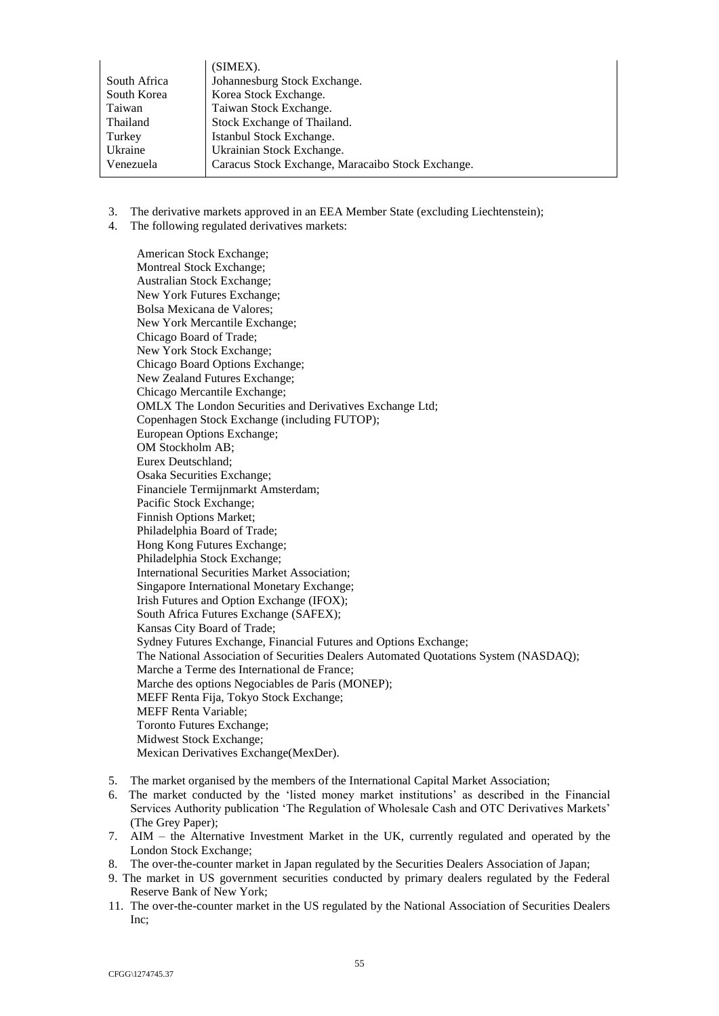|              | (SIMEX).                                          |
|--------------|---------------------------------------------------|
| South Africa | Johannesburg Stock Exchange.                      |
| South Korea  | Korea Stock Exchange.                             |
| Taiwan       | Taiwan Stock Exchange.                            |
| Thailand     | Stock Exchange of Thailand.                       |
| Turkey       | Istanbul Stock Exchange.                          |
| Ukraine      | Ukrainian Stock Exchange.                         |
| Venezuela    | Caracus Stock Exchange, Maracaibo Stock Exchange. |
|              |                                                   |

- 3. The derivative markets approved in an EEA Member State (excluding Liechtenstein);
- 4. The following regulated derivatives markets:

American Stock Exchange; Montreal Stock Exchange; Australian Stock Exchange; New York Futures Exchange; Bolsa Mexicana de Valores; New York Mercantile Exchange; Chicago Board of Trade; New York Stock Exchange; Chicago Board Options Exchange; New Zealand Futures Exchange; Chicago Mercantile Exchange; OMLX The London Securities and Derivatives Exchange Ltd; Copenhagen Stock Exchange (including FUTOP); European Options Exchange; OM Stockholm AB; Eurex Deutschland; Osaka Securities Exchange; Financiele Termijnmarkt Amsterdam; Pacific Stock Exchange; Finnish Options Market; Philadelphia Board of Trade; Hong Kong Futures Exchange; Philadelphia Stock Exchange; International Securities Market Association; Singapore International Monetary Exchange; Irish Futures and Option Exchange (IFOX); South Africa Futures Exchange (SAFEX); Kansas City Board of Trade; Sydney Futures Exchange, Financial Futures and Options Exchange; The National Association of Securities Dealers Automated Quotations System (NASDAQ); Marche a Terme des International de France; Marche des options Negociables de Paris (MONEP); MEFF Renta Fija, Tokyo Stock Exchange; MEFF Renta Variable; Toronto Futures Exchange; Midwest Stock Exchange; Mexican Derivatives Exchange(MexDer).

- 5. The market organised by the members of the International Capital Market Association;
- 6. The market conducted by the 'listed money market institutions' as described in the Financial Services Authority publication 'The Regulation of Wholesale Cash and OTC Derivatives Markets' (The Grey Paper);
- 7. AIM the Alternative Investment Market in the UK, currently regulated and operated by the London Stock Exchange;
- 8. The over-the-counter market in Japan regulated by the Securities Dealers Association of Japan;
- 9. The market in US government securities conducted by primary dealers regulated by the Federal Reserve Bank of New York;
- 11. The over-the-counter market in the US regulated by the National Association of Securities Dealers Inc;